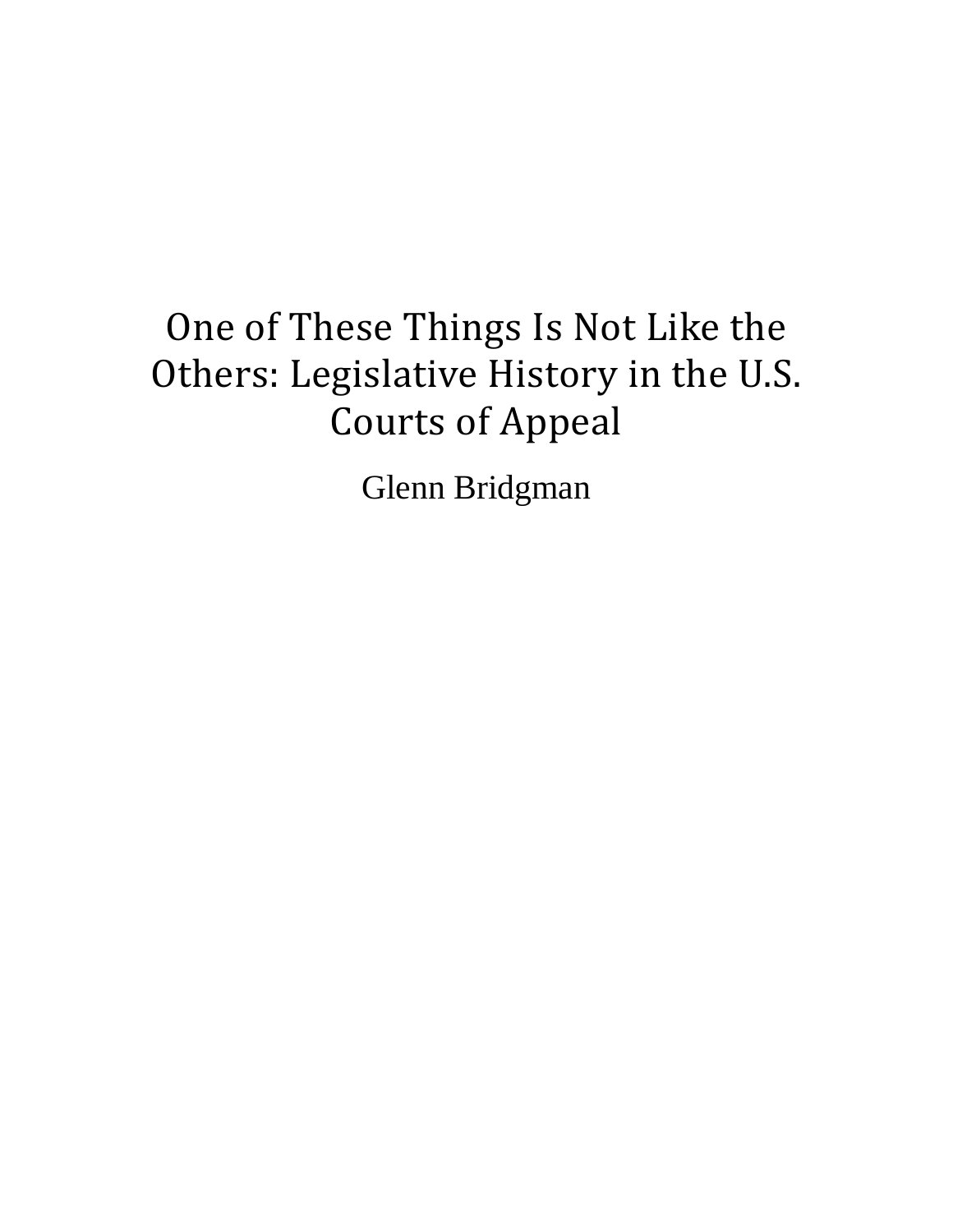# One of These Things Is Not Like the Others: Legislative History in the U.S. **Courts of Appeal**

Glenn Bridgman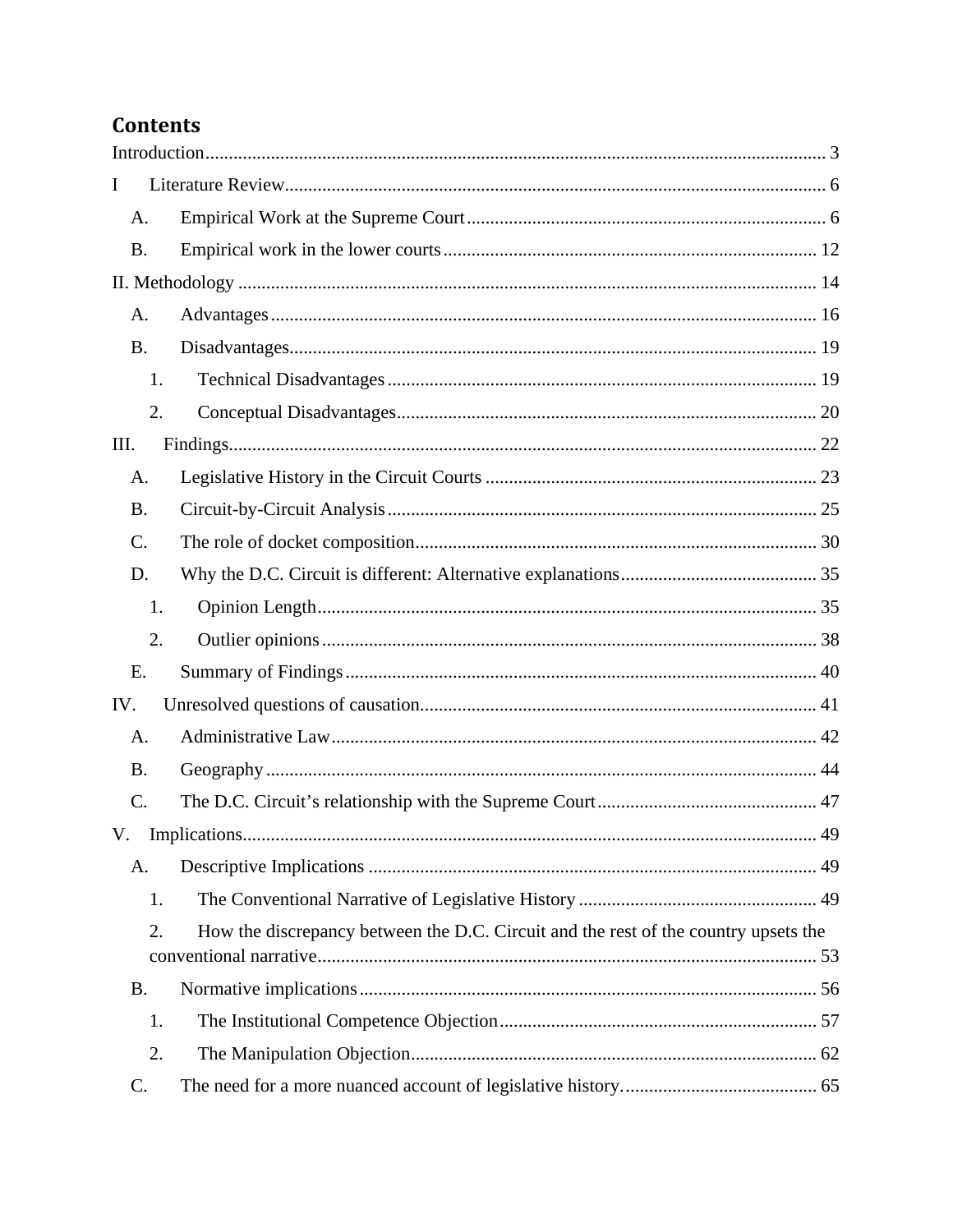# Contents

| I<br>A.<br><b>B.</b><br>A.<br><b>B.</b><br>1.<br>2.<br>Ш.<br>A.<br><b>B.</b><br>$\mathcal{C}$ .<br>D.<br>1.<br>2.<br>Ε.<br>IV. |
|--------------------------------------------------------------------------------------------------------------------------------|
|                                                                                                                                |
|                                                                                                                                |
|                                                                                                                                |
|                                                                                                                                |
|                                                                                                                                |
|                                                                                                                                |
|                                                                                                                                |
|                                                                                                                                |
|                                                                                                                                |
|                                                                                                                                |
|                                                                                                                                |
|                                                                                                                                |
|                                                                                                                                |
|                                                                                                                                |
|                                                                                                                                |
|                                                                                                                                |
|                                                                                                                                |
| A.                                                                                                                             |
| <b>B.</b>                                                                                                                      |
| $\mathcal{C}$ .                                                                                                                |
|                                                                                                                                |
| A.                                                                                                                             |
| 1.                                                                                                                             |
| How the discrepancy between the D.C. Circuit and the rest of the country upsets the<br>2.                                      |
| <b>B.</b>                                                                                                                      |
| 1.                                                                                                                             |
| 2.                                                                                                                             |
| $\mathcal{C}$ .                                                                                                                |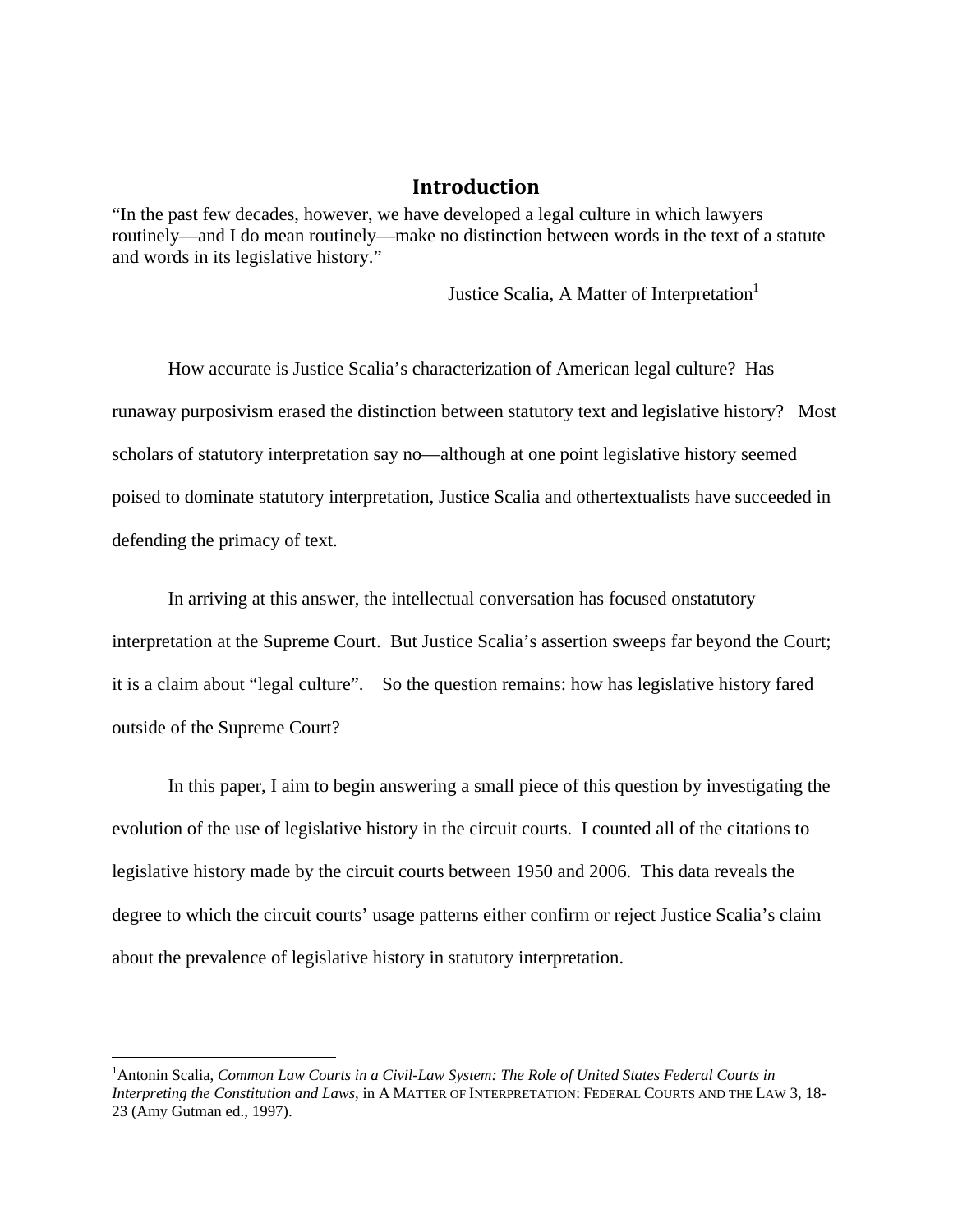#### **Introduction**

"In the past few decades, however, we have developed a legal culture in which lawyers routinely—and I do mean routinely—make no distinction between words in the text of a statute and words in its legislative history."

Justice Scalia, A Matter of Interpretation<sup>1</sup>

How accurate is Justice Scalia's characterization of American legal culture? Has runaway purposivism erased the distinction between statutory text and legislative history? Most scholars of statutory interpretation say no—although at one point legislative history seemed poised to dominate statutory interpretation, Justice Scalia and othertextualists have succeeded in defending the primacy of text.

In arriving at this answer, the intellectual conversation has focused onstatutory interpretation at the Supreme Court. But Justice Scalia's assertion sweeps far beyond the Court; it is a claim about "legal culture". So the question remains: how has legislative history fared outside of the Supreme Court?

In this paper, I aim to begin answering a small piece of this question by investigating the evolution of the use of legislative history in the circuit courts. I counted all of the citations to legislative history made by the circuit courts between 1950 and 2006. This data reveals the degree to which the circuit courts' usage patterns either confirm or reject Justice Scalia's claim about the prevalence of legislative history in statutory interpretation.

<sup>&</sup>lt;sup>1</sup> Antonin Scalia, *Common Law Courts in a Civil-Law System: The Role of United States Federal Courts in Interpreting the Constitution and Laws*, in A MATTER OF INTERPRETATION: FEDERAL COURTS AND THE LAW 3, 18- 23 (Amy Gutman ed., 1997).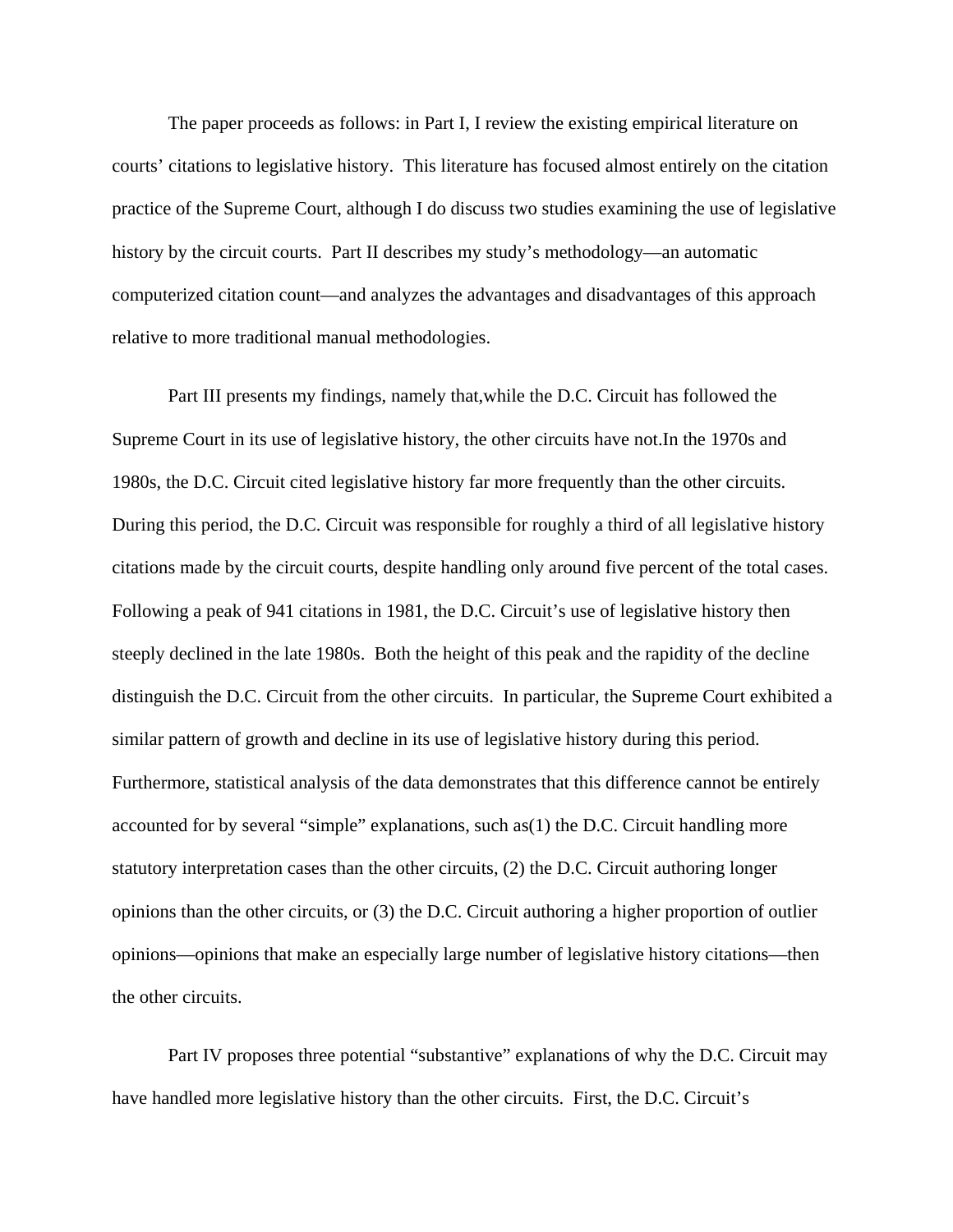The paper proceeds as follows: in Part I, I review the existing empirical literature on courts' citations to legislative history. This literature has focused almost entirely on the citation practice of the Supreme Court, although I do discuss two studies examining the use of legislative history by the circuit courts. Part II describes my study's methodology—an automatic computerized citation count—and analyzes the advantages and disadvantages of this approach relative to more traditional manual methodologies.

Part III presents my findings, namely that,while the D.C. Circuit has followed the Supreme Court in its use of legislative history, the other circuits have not.In the 1970s and 1980s, the D.C. Circuit cited legislative history far more frequently than the other circuits. During this period, the D.C. Circuit was responsible for roughly a third of all legislative history citations made by the circuit courts, despite handling only around five percent of the total cases. Following a peak of 941 citations in 1981, the D.C. Circuit's use of legislative history then steeply declined in the late 1980s. Both the height of this peak and the rapidity of the decline distinguish the D.C. Circuit from the other circuits. In particular, the Supreme Court exhibited a similar pattern of growth and decline in its use of legislative history during this period. Furthermore, statistical analysis of the data demonstrates that this difference cannot be entirely accounted for by several "simple" explanations, such as(1) the D.C. Circuit handling more statutory interpretation cases than the other circuits, (2) the D.C. Circuit authoring longer opinions than the other circuits, or (3) the D.C. Circuit authoring a higher proportion of outlier opinions—opinions that make an especially large number of legislative history citations—then the other circuits.

Part IV proposes three potential "substantive" explanations of why the D.C. Circuit may have handled more legislative history than the other circuits. First, the D.C. Circuit's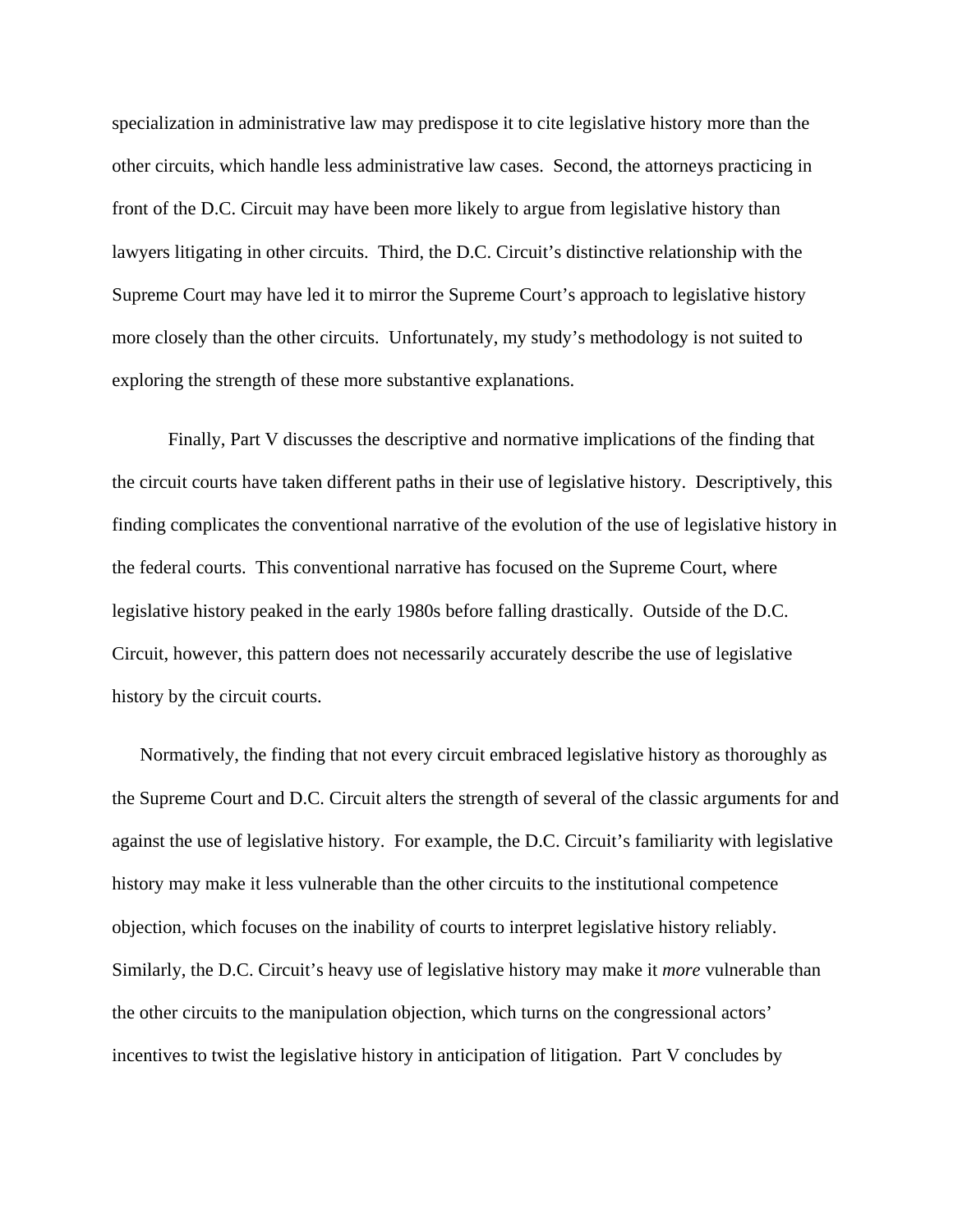specialization in administrative law may predispose it to cite legislative history more than the other circuits, which handle less administrative law cases. Second, the attorneys practicing in front of the D.C. Circuit may have been more likely to argue from legislative history than lawyers litigating in other circuits. Third, the D.C. Circuit's distinctive relationship with the Supreme Court may have led it to mirror the Supreme Court's approach to legislative history more closely than the other circuits. Unfortunately, my study's methodology is not suited to exploring the strength of these more substantive explanations.

Finally, Part V discusses the descriptive and normative implications of the finding that the circuit courts have taken different paths in their use of legislative history. Descriptively, this finding complicates the conventional narrative of the evolution of the use of legislative history in the federal courts. This conventional narrative has focused on the Supreme Court, where legislative history peaked in the early 1980s before falling drastically. Outside of the D.C. Circuit, however, this pattern does not necessarily accurately describe the use of legislative history by the circuit courts.

Normatively, the finding that not every circuit embraced legislative history as thoroughly as the Supreme Court and D.C. Circuit alters the strength of several of the classic arguments for and against the use of legislative history. For example, the D.C. Circuit's familiarity with legislative history may make it less vulnerable than the other circuits to the institutional competence objection, which focuses on the inability of courts to interpret legislative history reliably. Similarly, the D.C. Circuit's heavy use of legislative history may make it *more* vulnerable than the other circuits to the manipulation objection, which turns on the congressional actors' incentives to twist the legislative history in anticipation of litigation. Part V concludes by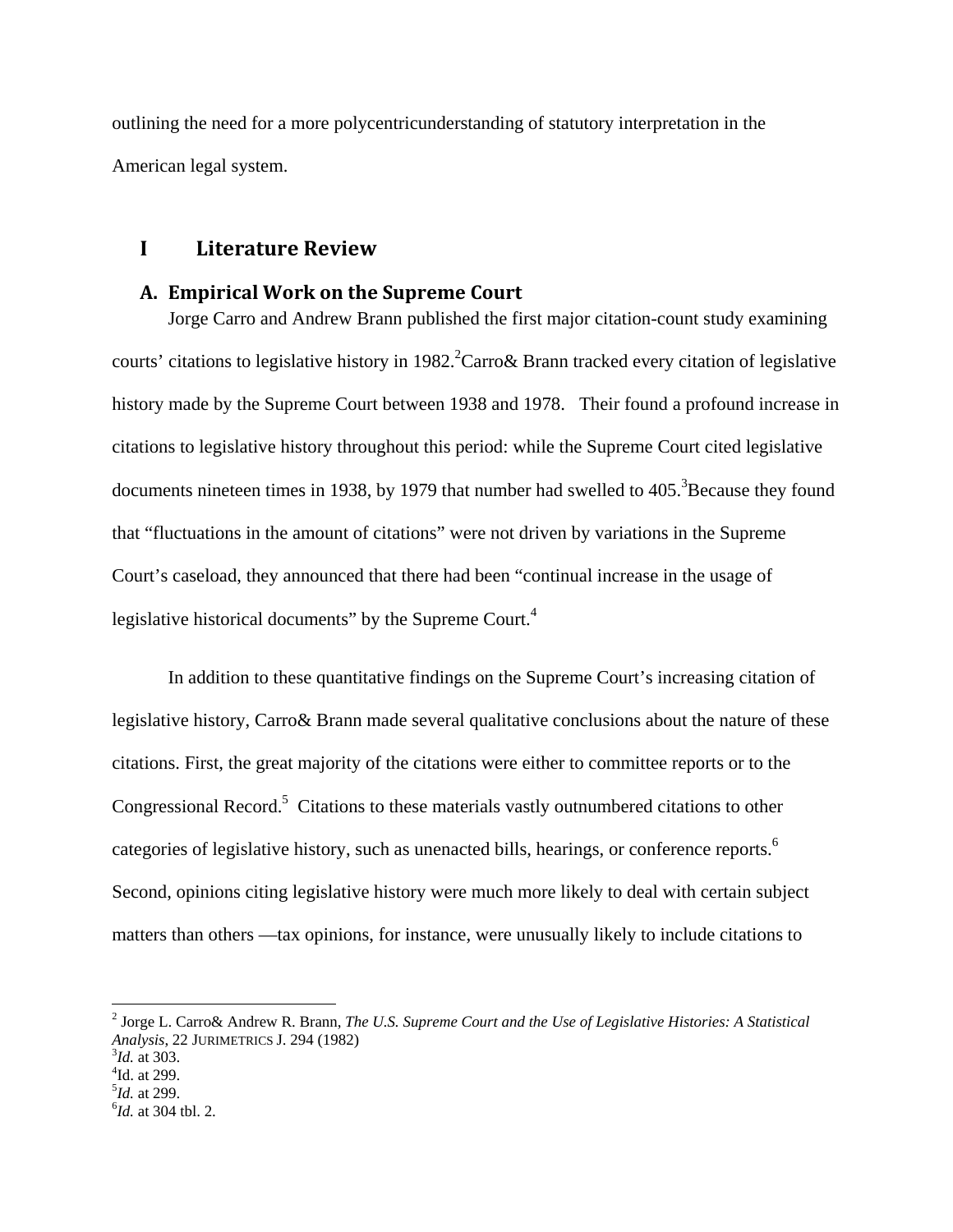outlining the need for a more polycentricunderstanding of statutory interpretation in the American legal system.

# **I Literature Review**

#### **A. Empirical Work on the Supreme Court**

Jorge Carro and Andrew Brann published the first major citation-count study examining courts' citations to legislative history in 1982.<sup>2</sup> Carro & Brann tracked every citation of legislative history made by the Supreme Court between 1938 and 1978. Their found a profound increase in citations to legislative history throughout this period: while the Supreme Court cited legislative documents nineteen times in 1938, by 1979 that number had swelled to  $405.^3$  Because they found that "fluctuations in the amount of citations" were not driven by variations in the Supreme Court's caseload, they announced that there had been "continual increase in the usage of legislative historical documents" by the Supreme Court.<sup>4</sup>

In addition to these quantitative findings on the Supreme Court's increasing citation of legislative history, Carro& Brann made several qualitative conclusions about the nature of these citations. First, the great majority of the citations were either to committee reports or to the Congressional Record.<sup>5</sup> Citations to these materials vastly outnumbered citations to other categories of legislative history, such as unenacted bills, hearings, or conference reports.<sup>6</sup> Second, opinions citing legislative history were much more likely to deal with certain subject matters than others —tax opinions, for instance, were unusually likely to include citations to

1

<sup>2</sup> Jorge L. Carro& Andrew R. Brann, *The U.S. Supreme Court and the Use of Legislative Histories: A Statistical Analysis*, 22 JURIMETRICS J. 294 (1982) 3

 $^{3}$ *Id.* at 303.  $\rm{^4Id.}$  at 299.

<sup>&</sup>lt;sup>5</sup>*Id.* at 299.

<sup>&</sup>lt;sup>6</sup>*Id.* at 304 tbl. 2.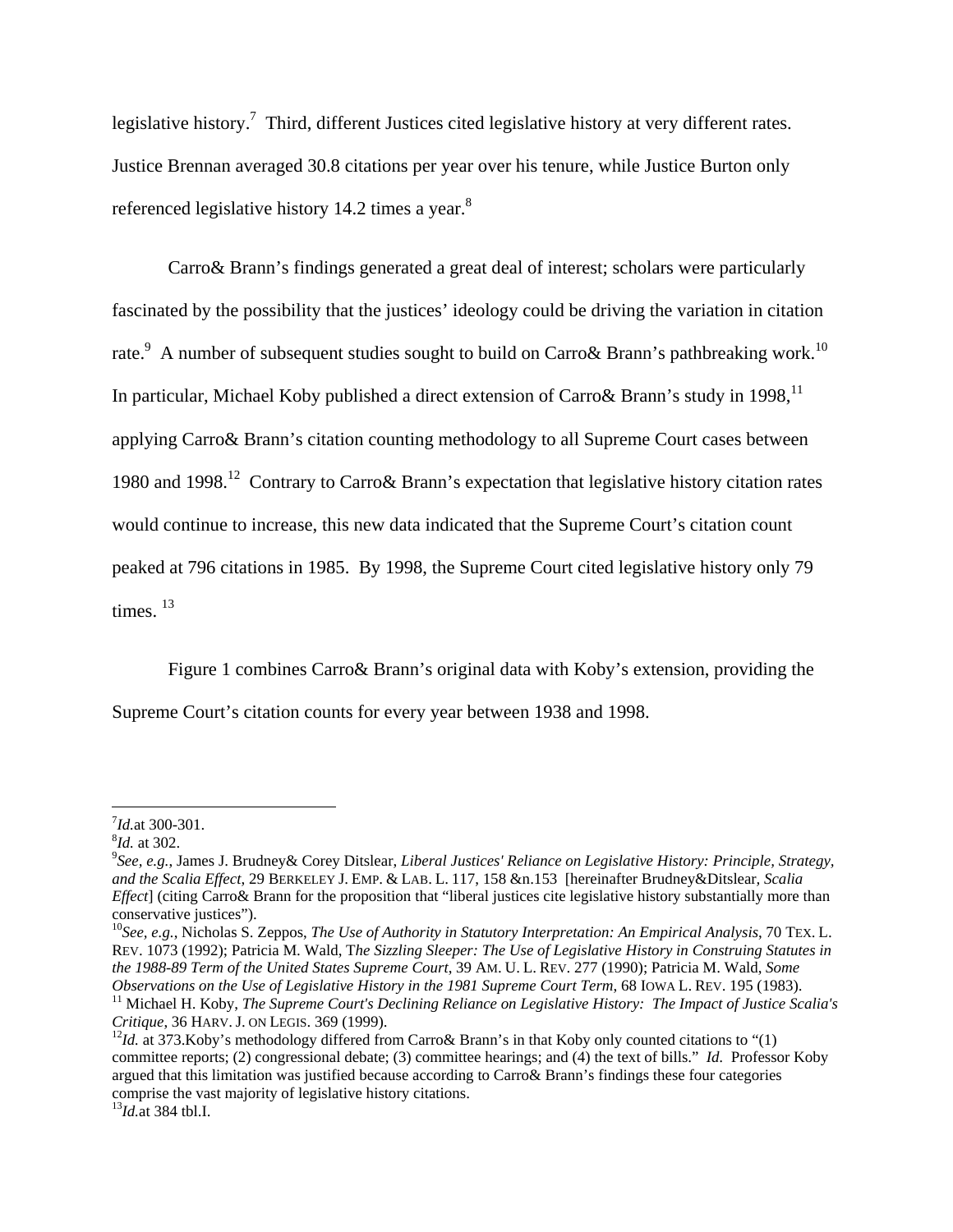legislative history.<sup>7</sup> Third, different Justices cited legislative history at very different rates. Justice Brennan averaged 30.8 citations per year over his tenure, while Justice Burton only referenced legislative history 14.2 times a year.<sup>8</sup>

Carro& Brann's findings generated a great deal of interest; scholars were particularly fascinated by the possibility that the justices' ideology could be driving the variation in citation rate.<sup>9</sup> A number of subsequent studies sought to build on Carro& Brann's pathbreaking work.<sup>10</sup> In particular, Michael Koby published a direct extension of Carro & Brann's study in 1998,  $^{11}$ applying Carro& Brann's citation counting methodology to all Supreme Court cases between 1980 and 1998.12 Contrary to Carro& Brann's expectation that legislative history citation rates would continue to increase, this new data indicated that the Supreme Court's citation count peaked at 796 citations in 1985. By 1998, the Supreme Court cited legislative history only 79 times.  $13$ 

Figure 1 combines Carro& Brann's original data with Koby's extension, providing the

Supreme Court's citation counts for every year between 1938 and 1998.

 $^{7}$ *Id.*at 300-301.

<sup>&</sup>lt;sup>8</sup>*Id.* at 302.

*See, e.g.*, James J. Brudney& Corey Ditslear, *Liberal Justices' Reliance on Legislative History: Principle, Strategy, and the Scalia Effect*, 29 BERKELEY J. EMP. & LAB. L. 117, 158 &n.153 [hereinafter Brudney&Ditslear*, Scalia Effect*] (citing Carro& Brann for the proposition that "liberal justices cite legislative history substantially more than conservative justices").

<sup>10</sup>*See, e.g.*, Nicholas S. Zeppos, *The Use of Authority in Statutory Interpretation: An Empirical Analysis*, 70 TEX. L. REV. 1073 (1992); Patricia M. Wald, T*he Sizzling Sleeper: The Use of Legislative History in Construing Statutes in the 1988-89 Term of the United States Supreme Court*, 39 AM. U. L. REV. 277 (1990); Patricia M. Wald, *Some* 

Observations on the Use of Legislative History in the 1981 Supreme Court Term, 68 IOWA L. REV. 195 (1983).<br><sup>11</sup> Michael H. Koby, *The Supreme Court's Declining Reliance on Legislative History: The Impact of Justice Scalia'* 

<sup>&</sup>lt;sup>12</sup>*Id.* at 373.Koby's methodology differed from Carro& Brann's in that Koby only counted citations to "(1) committee reports; (2) congressional debate; (3) committee hearings; and (4) the text of bills." *Id.* Professor Koby argued that this limitation was justified because according to Carro& Brann's findings these four categories comprise the vast majority of legislative history citations.

<sup>13</sup>*Id.*at 384 tbl.I.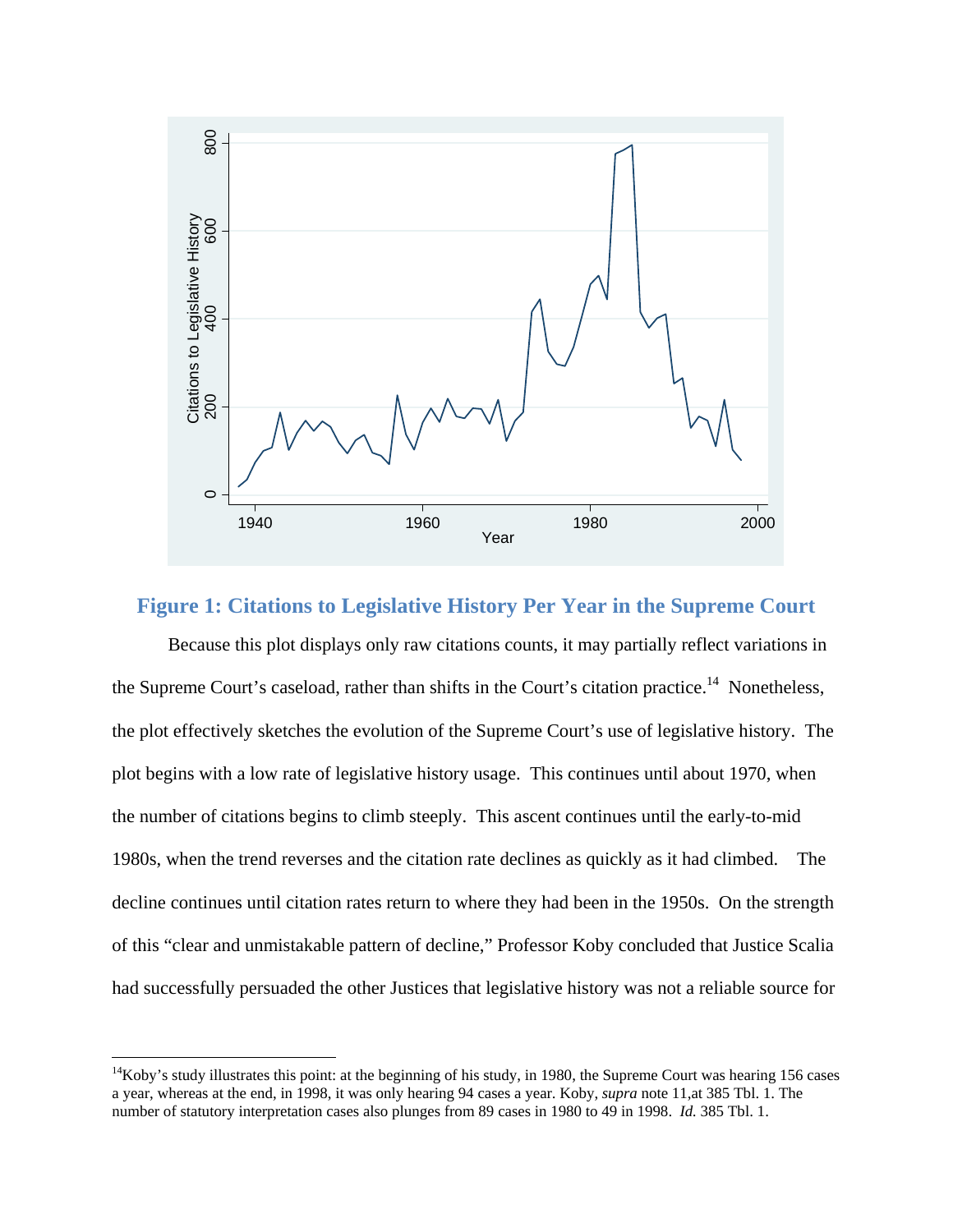

# **Figure 1: Citations to Legislative History Per Year in the Supreme Court**

Because this plot displays only raw citations counts, it may partially reflect variations in the Supreme Court's caseload, rather than shifts in the Court's citation practice.<sup>14</sup> Nonetheless, the plot effectively sketches the evolution of the Supreme Court's use of legislative history. The plot begins with a low rate of legislative history usage. This continues until about 1970, when the number of citations begins to climb steeply. This ascent continues until the early-to-mid 1980s, when the trend reverses and the citation rate declines as quickly as it had climbed. The decline continues until citation rates return to where they had been in the 1950s. On the strength of this "clear and unmistakable pattern of decline," Professor Koby concluded that Justice Scalia had successfully persuaded the other Justices that legislative history was not a reliable source for

1

<sup>&</sup>lt;sup>14</sup>Koby's study illustrates this point: at the beginning of his study, in 1980, the Supreme Court was hearing 156 cases a year, whereas at the end, in 1998, it was only hearing 94 cases a year. Koby, *supra* note 11,at 385 Tbl. 1. The number of statutory interpretation cases also plunges from 89 cases in 1980 to 49 in 1998. *Id.* 385 Tbl. 1.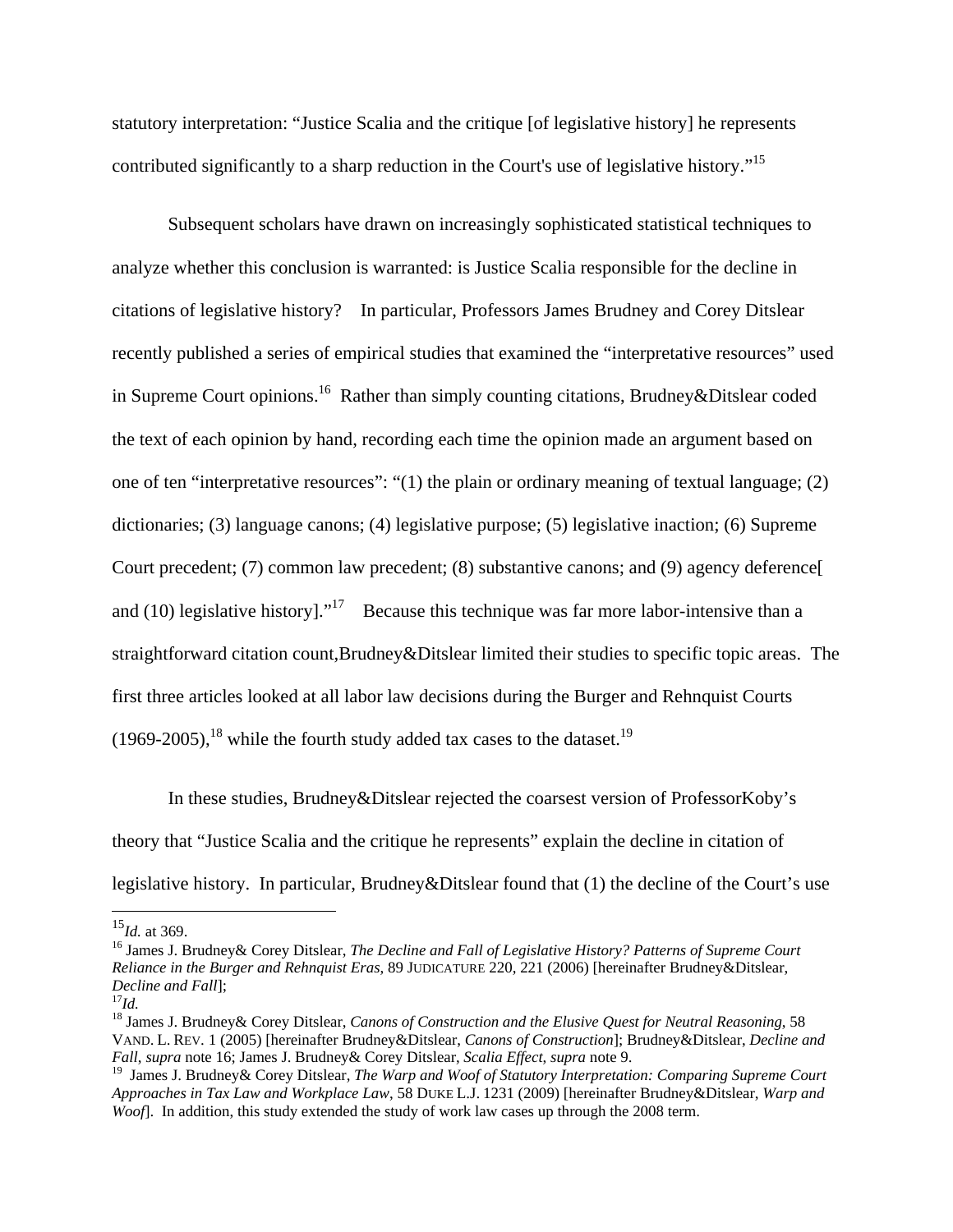statutory interpretation: "Justice Scalia and the critique [of legislative history] he represents contributed significantly to a sharp reduction in the Court's use of legislative history."<sup>15</sup>

Subsequent scholars have drawn on increasingly sophisticated statistical techniques to analyze whether this conclusion is warranted: is Justice Scalia responsible for the decline in citations of legislative history? In particular, Professors James Brudney and Corey Ditslear recently published a series of empirical studies that examined the "interpretative resources" used in Supreme Court opinions.<sup>16</sup> Rather than simply counting citations, Brudney&Ditslear coded the text of each opinion by hand, recording each time the opinion made an argument based on one of ten "interpretative resources": "(1) the plain or ordinary meaning of textual language; (2) dictionaries; (3) language canons; (4) legislative purpose; (5) legislative inaction; (6) Supreme Court precedent; (7) common law precedent; (8) substantive canons; and (9) agency deference[ and (10) legislative history]."<sup>17</sup> Because this technique was far more labor-intensive than a straightforward citation count,Brudney&Ditslear limited their studies to specific topic areas. The first three articles looked at all labor law decisions during the Burger and Rehnquist Courts  $(1969-2005)$ ,<sup>18</sup> while the fourth study added tax cases to the dataset.<sup>19</sup>

In these studies, Brudney&Ditslear rejected the coarsest version of ProfessorKoby's theory that "Justice Scalia and the critique he represents" explain the decline in citation of legislative history. In particular, Brudney&Ditslear found that (1) the decline of the Court's use

<sup>15</sup>*Id.* at 369.

<sup>16</sup> James J. Brudney& Corey Ditslear, *The Decline and Fall of Legislative History? Patterns of Supreme Court Reliance in the Burger and Rehnquist Eras*, 89 JUDICATURE 220, 221 (2006) [hereinafter Brudney&Ditslear, *Decline and Fall*]; 17*Id.*

<sup>18</sup> James J. Brudney& Corey Ditslear, *Canons of Construction and the Elusive Quest for Neutral Reasoning*, 58 VAND. L. REV. 1 (2005) [hereinafter Brudney&Ditslear, *Canons of Construction*]; Brudney&Ditslear, *Decline and Fall*, *supra* note 16; James J. Brudney& Corey Ditslear, *Scalia Effect*, *supra* note 9.

<sup>19</sup> James J. Brudney& Corey Ditslear, *The Warp and Woof of Statutory Interpretation: Comparing Supreme Court Approaches in Tax Law and Workplace Law*, 58 DUKE L.J. 1231 (2009) [hereinafter Brudney&Ditslear, *Warp and Woof*]. In addition, this study extended the study of work law cases up through the 2008 term.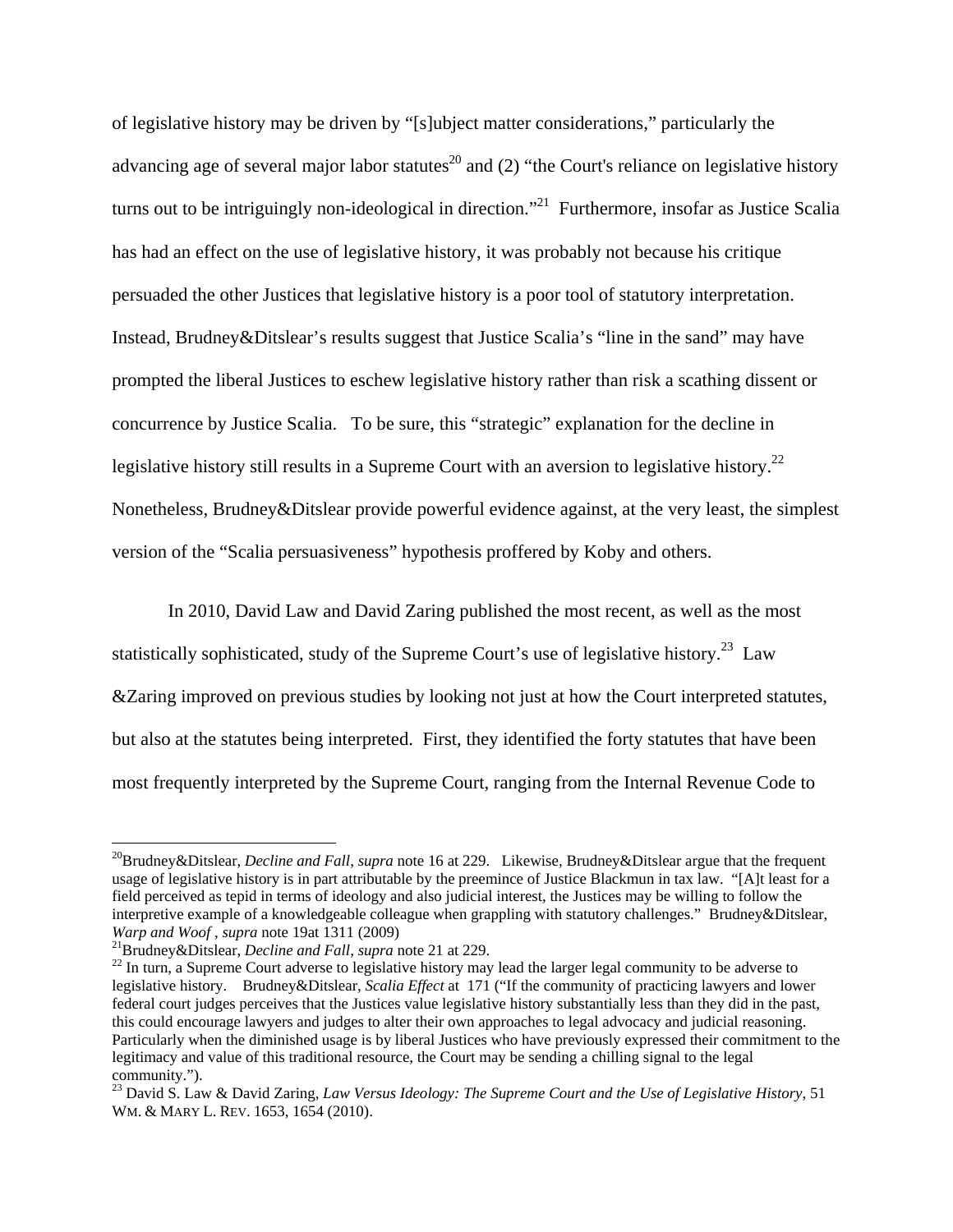of legislative history may be driven by "[s]ubject matter considerations," particularly the advancing age of several major labor statutes<sup>20</sup> and (2) "the Court's reliance on legislative history turns out to be intriguingly non-ideological in direction.<sup>21</sup> Furthermore, insofar as Justice Scalia has had an effect on the use of legislative history, it was probably not because his critique persuaded the other Justices that legislative history is a poor tool of statutory interpretation. Instead, Brudney&Ditslear's results suggest that Justice Scalia's "line in the sand" may have prompted the liberal Justices to eschew legislative history rather than risk a scathing dissent or concurrence by Justice Scalia. To be sure, this "strategic" explanation for the decline in legislative history still results in a Supreme Court with an aversion to legislative history.<sup>22</sup> Nonetheless, Brudney&Ditslear provide powerful evidence against, at the very least, the simplest version of the "Scalia persuasiveness" hypothesis proffered by Koby and others.

In 2010, David Law and David Zaring published the most recent, as well as the most statistically sophisticated, study of the Supreme Court's use of legislative history.<sup>23</sup> Law &Zaring improved on previous studies by looking not just at how the Court interpreted statutes, but also at the statutes being interpreted. First, they identified the forty statutes that have been most frequently interpreted by the Supreme Court, ranging from the Internal Revenue Code to

<sup>20</sup>Brudney&Ditslear, *Decline and Fall*, *supra* note 16 at 229. Likewise, Brudney&Ditslear argue that the frequent usage of legislative history is in part attributable by the preemince of Justice Blackmun in tax law. "[A]t least for a field perceived as tepid in terms of ideology and also judicial interest, the Justices may be willing to follow the interpretive example of a knowledgeable colleague when grappling with statutory challenges." Brudney&Ditslear, Warp and Woof, supra note 19at 1311 (2009)<br><sup>21</sup>Brudney&Ditslear, *Decline and Fall*, supra note 21 at 229.<br><sup>22</sup> In turn, a Supreme Court adverse to legislative history may lead the larger legal community to be adverse to

legislative history. Brudney&Ditslear, *Scalia Effect* at 171 ("If the community of practicing lawyers and lower federal court judges perceives that the Justices value legislative history substantially less than they did in the past, this could encourage lawyers and judges to alter their own approaches to legal advocacy and judicial reasoning. Particularly when the diminished usage is by liberal Justices who have previously expressed their commitment to the legitimacy and value of this traditional resource, the Court may be sending a chilling signal to the legal community.").

<sup>23</sup> David S. Law & David Zaring, *Law Versus Ideology: The Supreme Court and the Use of Legislative History*, 51 WM. & MARY L. REV. 1653, 1654 (2010).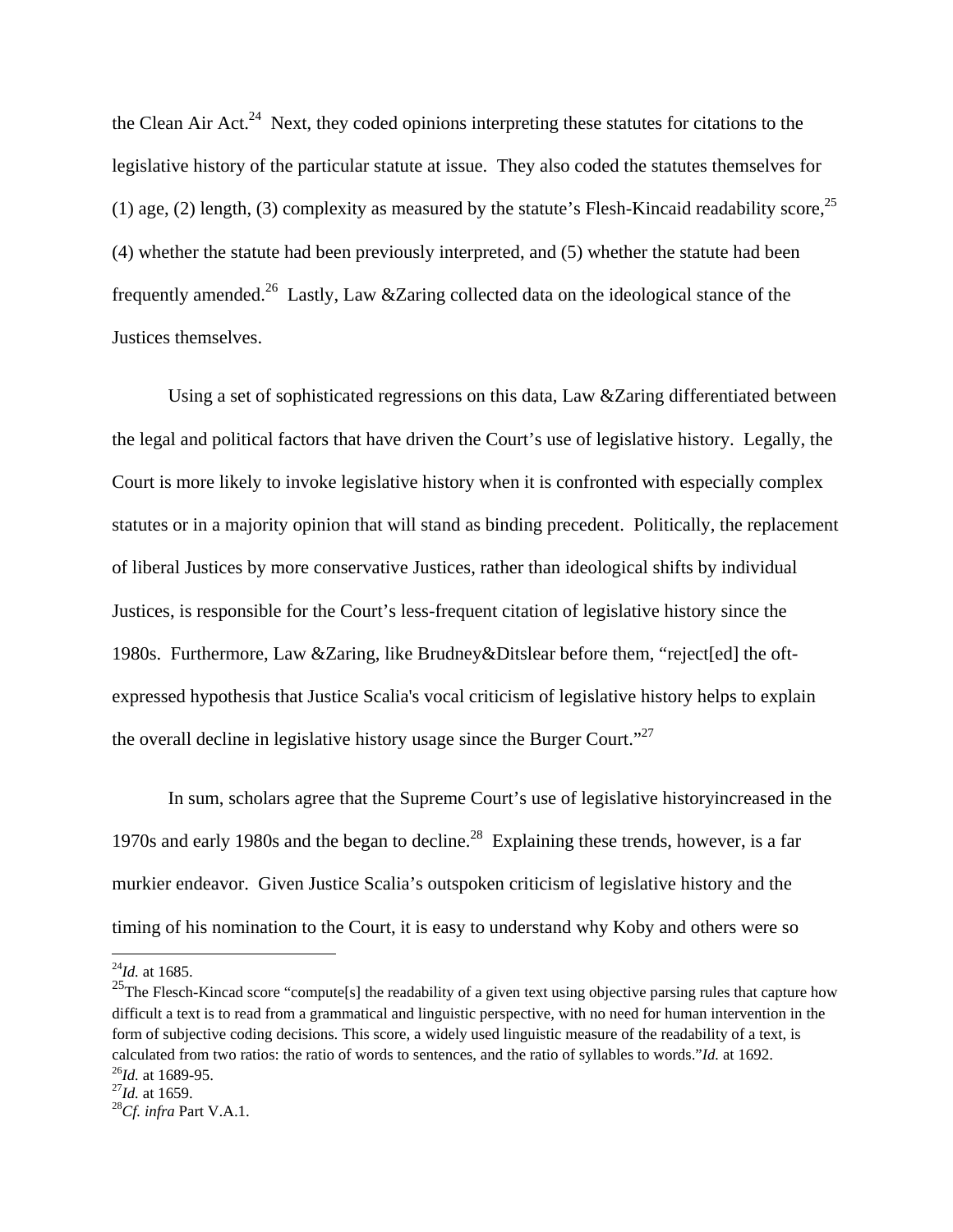the Clean Air Act.<sup>24</sup> Next, they coded opinions interpreting these statutes for citations to the legislative history of the particular statute at issue. They also coded the statutes themselves for (1) age, (2) length, (3) complexity as measured by the statute's Flesh-Kincaid readability score,  $2^5$ (4) whether the statute had been previously interpreted, and (5) whether the statute had been frequently amended.26 Lastly, Law &Zaring collected data on the ideological stance of the Justices themselves.

Using a set of sophisticated regressions on this data, Law &Zaring differentiated between the legal and political factors that have driven the Court's use of legislative history. Legally, the Court is more likely to invoke legislative history when it is confronted with especially complex statutes or in a majority opinion that will stand as binding precedent. Politically, the replacement of liberal Justices by more conservative Justices, rather than ideological shifts by individual Justices, is responsible for the Court's less-frequent citation of legislative history since the 1980s. Furthermore, Law &Zaring, like Brudney&Ditslear before them, "reject[ed] the oftexpressed hypothesis that Justice Scalia's vocal criticism of legislative history helps to explain the overall decline in legislative history usage since the Burger Court."27

 In sum, scholars agree that the Supreme Court's use of legislative historyincreased in the 1970s and early 1980s and the began to decline.<sup>28</sup> Explaining these trends, however, is a far murkier endeavor. Given Justice Scalia's outspoken criticism of legislative history and the timing of his nomination to the Court, it is easy to understand why Koby and others were so

 $^{24}$ *Id.* at 1685.

<sup>&</sup>lt;sup>25</sup>The Flesch-Kincad score "compute[s] the readability of a given text using objective parsing rules that capture how difficult a text is to read from a grammatical and linguistic perspective, with no need for human intervention in the form of subjective coding decisions. This score, a widely used linguistic measure of the readability of a text, is calculated from two ratios: the ratio of words to sentences, and the ratio of syllables to words."*Id.* at 1692.<br><sup>26</sup>*Id.* at 1689-95.<br><sup>27</sup>*Id.* at 1659.<br><sup>28</sup>*Cf. infra* Part V.A.1.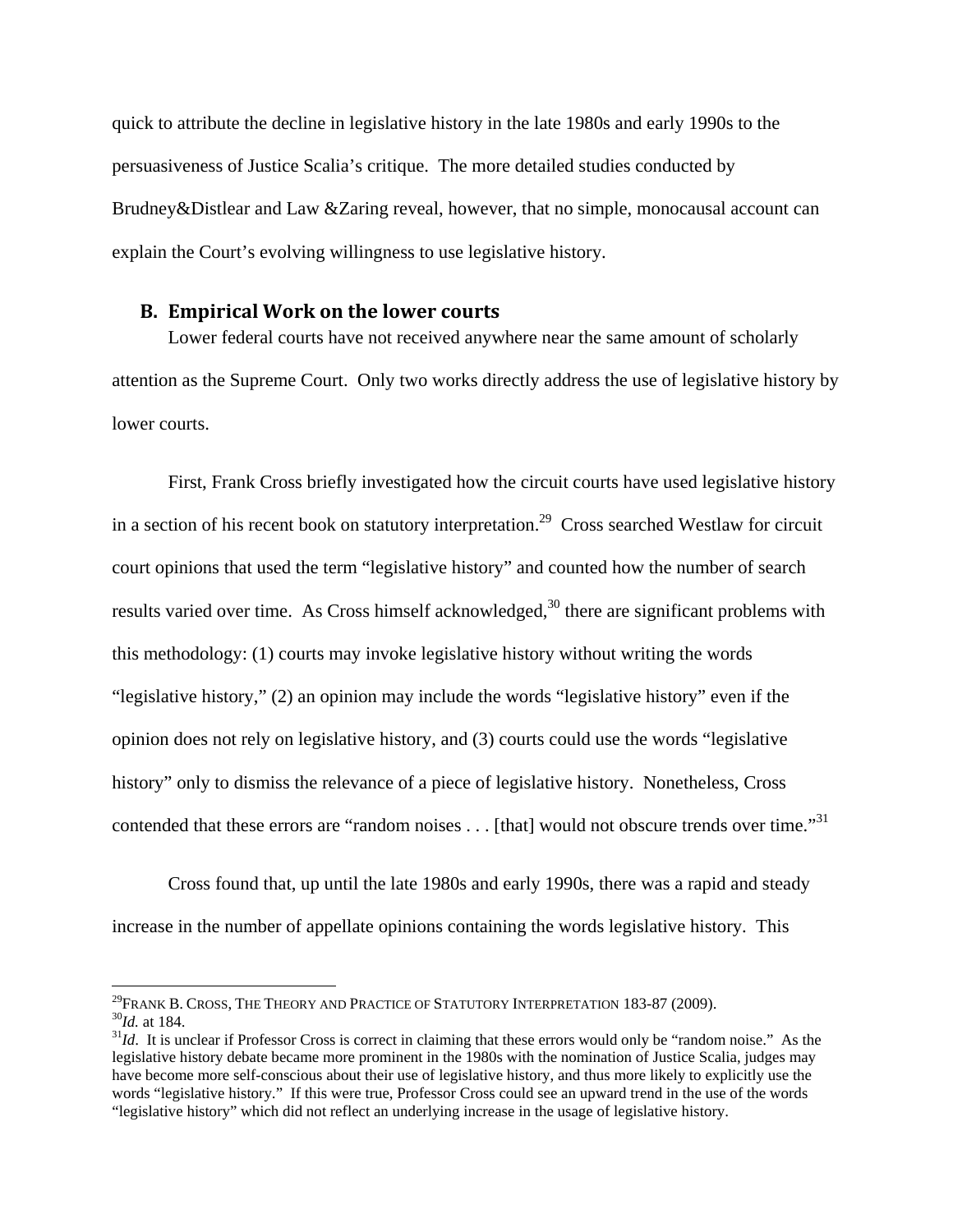quick to attribute the decline in legislative history in the late 1980s and early 1990s to the persuasiveness of Justice Scalia's critique. The more detailed studies conducted by Brudney&Distlear and Law &Zaring reveal, however, that no simple, monocausal account can explain the Court's evolving willingness to use legislative history.

#### **B. Empirical Work on the lower courts**

Lower federal courts have not received anywhere near the same amount of scholarly attention as the Supreme Court. Only two works directly address the use of legislative history by lower courts.

First, Frank Cross briefly investigated how the circuit courts have used legislative history in a section of his recent book on statutory interpretation.<sup>29</sup> Cross searched Westlaw for circuit court opinions that used the term "legislative history" and counted how the number of search results varied over time. As Cross himself acknowledged,<sup>30</sup> there are significant problems with this methodology: (1) courts may invoke legislative history without writing the words "legislative history," (2) an opinion may include the words "legislative history" even if the opinion does not rely on legislative history, and (3) courts could use the words "legislative history" only to dismiss the relevance of a piece of legislative history. Nonetheless, Cross contended that these errors are "random noises . . . [that] would not obscure trends over time."<sup>31</sup>

Cross found that, up until the late 1980s and early 1990s, there was a rapid and steady increase in the number of appellate opinions containing the words legislative history. This

<u>.</u>

<sup>&</sup>lt;sup>29</sup>FRANK B. CROSS, THE THEORY AND PRACTICE OF STATUTORY INTERPRETATION 183-87 (2009).<br><sup>30</sup>Id. at 184.<br><sup>31</sup>Id. It is unclear if Professor Cross is correct in claiming that these errors would only be "random noise." As the

legislative history debate became more prominent in the 1980s with the nomination of Justice Scalia, judges may have become more self-conscious about their use of legislative history, and thus more likely to explicitly use the words "legislative history." If this were true, Professor Cross could see an upward trend in the use of the words "legislative history" which did not reflect an underlying increase in the usage of legislative history.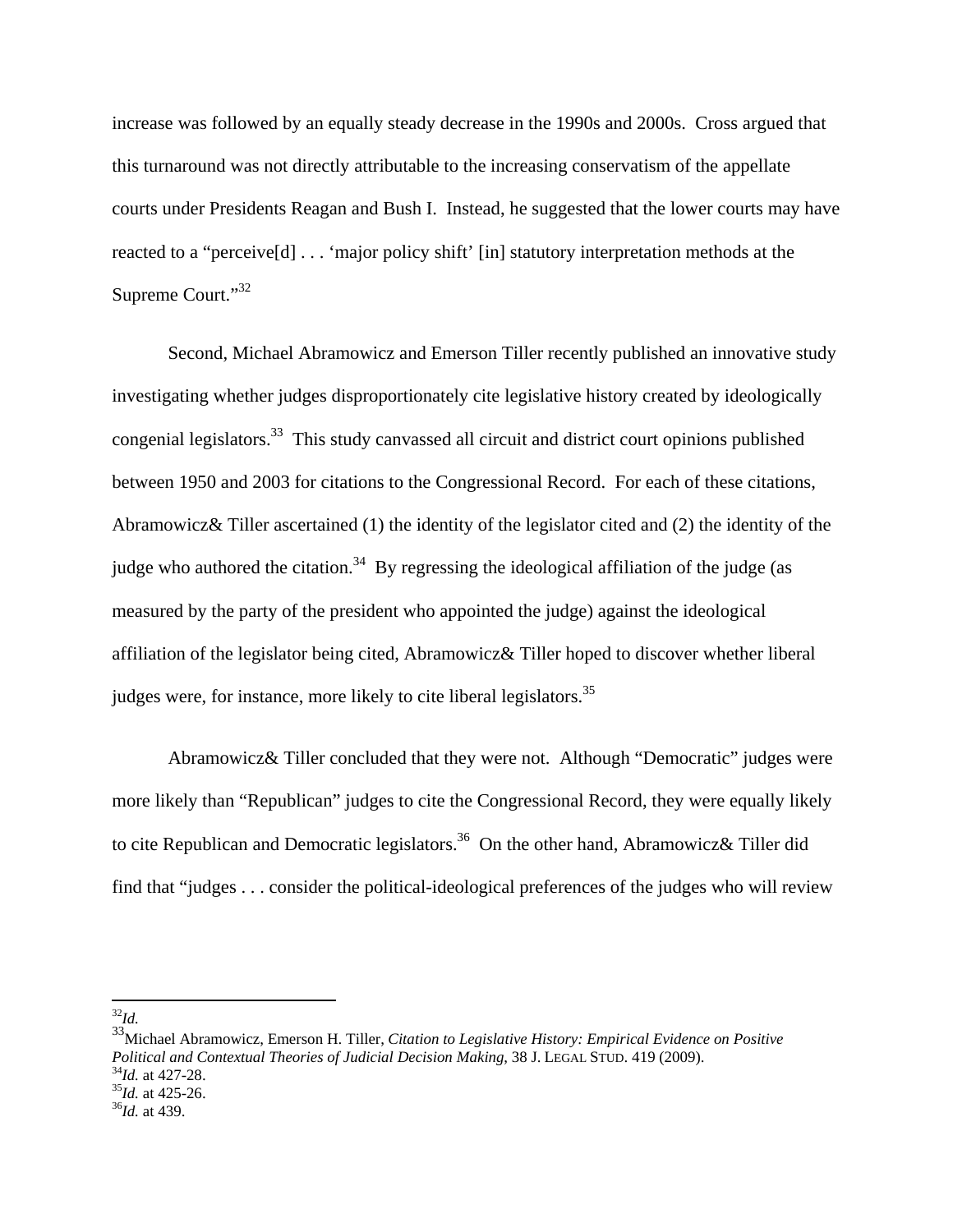increase was followed by an equally steady decrease in the 1990s and 2000s. Cross argued that this turnaround was not directly attributable to the increasing conservatism of the appellate courts under Presidents Reagan and Bush I. Instead, he suggested that the lower courts may have reacted to a "perceive[d] . . . 'major policy shift' [in] statutory interpretation methods at the Supreme Court."<sup>32</sup>

Second, Michael Abramowicz and Emerson Tiller recently published an innovative study investigating whether judges disproportionately cite legislative history created by ideologically congenial legislators.33 This study canvassed all circuit and district court opinions published between 1950 and 2003 for citations to the Congressional Record. For each of these citations, Abramowicz& Tiller ascertained (1) the identity of the legislator cited and (2) the identity of the judge who authored the citation.<sup>34</sup> By regressing the ideological affiliation of the judge (as measured by the party of the president who appointed the judge) against the ideological affiliation of the legislator being cited, Abramowicz& Tiller hoped to discover whether liberal judges were, for instance, more likely to cite liberal legislators.<sup>35</sup>

 Abramowicz& Tiller concluded that they were not. Although "Democratic" judges were more likely than "Republican" judges to cite the Congressional Record, they were equally likely to cite Republican and Democratic legislators.<sup>36</sup> On the other hand, Abramowicz& Tiller did find that "judges . . . consider the political-ideological preferences of the judges who will review

 $\overline{a}$ <sup>32</sup>*Id.*

33Michael Abramowicz, Emerson H. Tiller, *Citation to Legislative History: Empirical Evidence on Positive Political and Contextual Theories of Judicial Decision Making*, 38 J. LEGAL STUD. 419 (2009).<br><sup>34</sup>*Id.* at 427-28.<br><sup>35</sup>*Id.* at 425-26. <sup>36</sup>*Id.* at 439.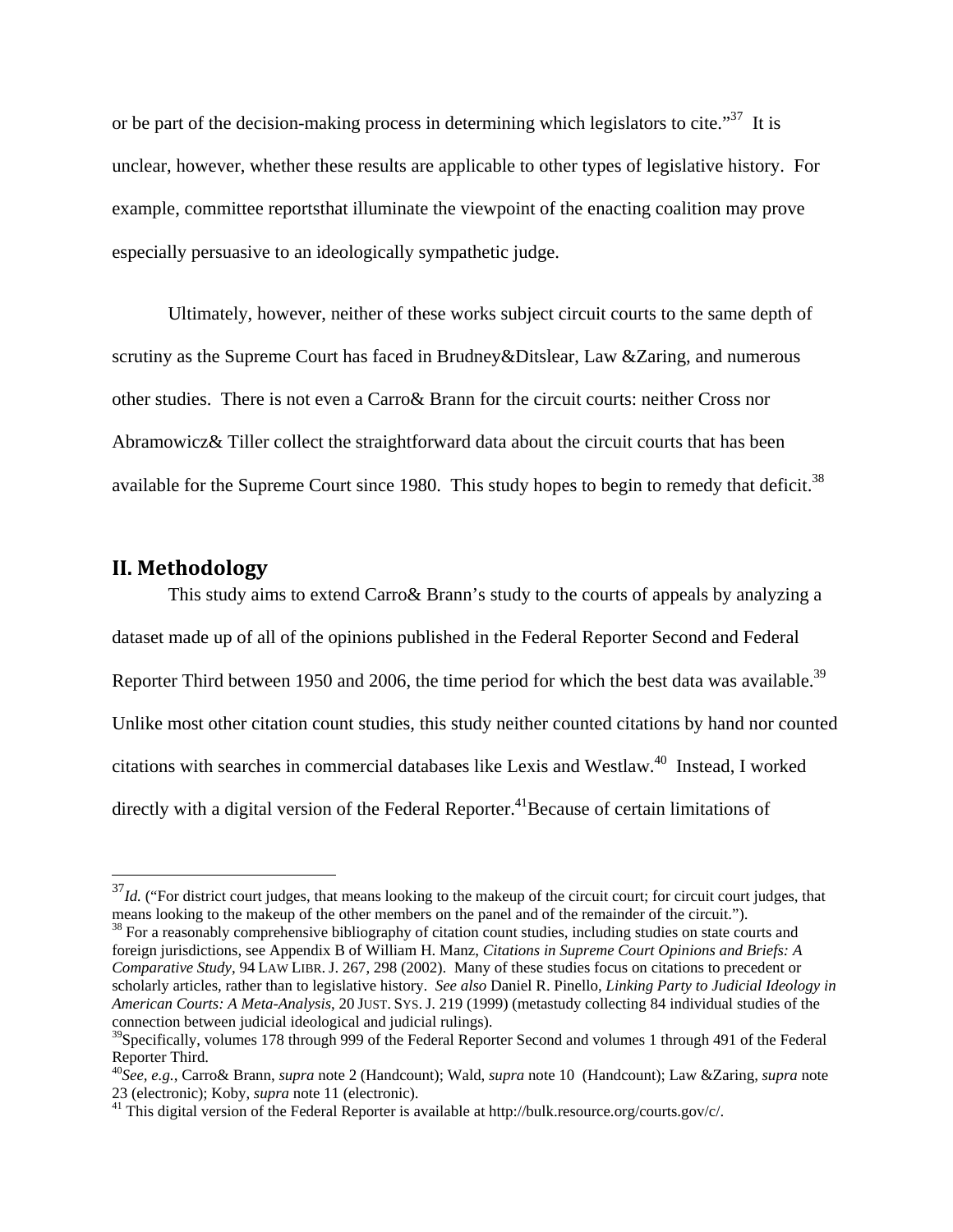or be part of the decision-making process in determining which legislators to cite."<sup>37</sup> It is unclear, however, whether these results are applicable to other types of legislative history. For example, committee reportsthat illuminate the viewpoint of the enacting coalition may prove especially persuasive to an ideologically sympathetic judge.

 Ultimately, however, neither of these works subject circuit courts to the same depth of scrutiny as the Supreme Court has faced in Brudney&Ditslear, Law &Zaring, and numerous other studies. There is not even a Carro& Brann for the circuit courts: neither Cross nor Abramowicz& Tiller collect the straightforward data about the circuit courts that has been available for the Supreme Court since 1980. This study hopes to begin to remedy that deficit.<sup>38</sup>

#### **II. Methodology**

 $\overline{a}$ 

This study aims to extend Carro& Brann's study to the courts of appeals by analyzing a dataset made up of all of the opinions published in the Federal Reporter Second and Federal Reporter Third between 1950 and 2006, the time period for which the best data was available.<sup>39</sup> Unlike most other citation count studies, this study neither counted citations by hand nor counted citations with searches in commercial databases like Lexis and Westlaw.40 Instead, I worked directly with a digital version of the Federal Reporter.<sup>41</sup>Because of certain limitations of

<sup>&</sup>lt;sup>37</sup>*Id.* ("For district court judges, that means looking to the makeup of the circuit court; for circuit court judges, that means looking to the makeup of the other members on the panel and of the remainder of the circuit.").

<sup>&</sup>lt;sup>38</sup> For a reasonably comprehensive bibliography of citation count studies, including studies on state courts and foreign jurisdictions, see Appendix B of William H. Manz, *Citations in Supreme Court Opinions and Briefs: A Comparative Study*, 94 LAW LIBR. J. 267, 298 (2002). Many of these studies focus on citations to precedent or scholarly articles, rather than to legislative history. *See also* Daniel R. Pinello, *Linking Party to Judicial Ideology in American Courts: A Meta-Analysis*, 20 JUST. SYS. J. 219 (1999) (metastudy collecting 84 individual studies of the connection between judicial ideological and judicial rulings).

 $39$ Specifically, volumes 178 through 999 of the Federal Reporter Second and volumes 1 through 491 of the Federal Reporter Third.

<sup>40</sup>*See, e.g.*, Carro& Brann, *supra* note 2 (Handcount); Wald, *supra* note 10 (Handcount); Law &Zaring, *supra* note 23 (electronic); Koby, *supra* note 11 (electronic). 41 This digital version of the Federal Reporter is available at http://bulk.resource.org/courts.gov/c/.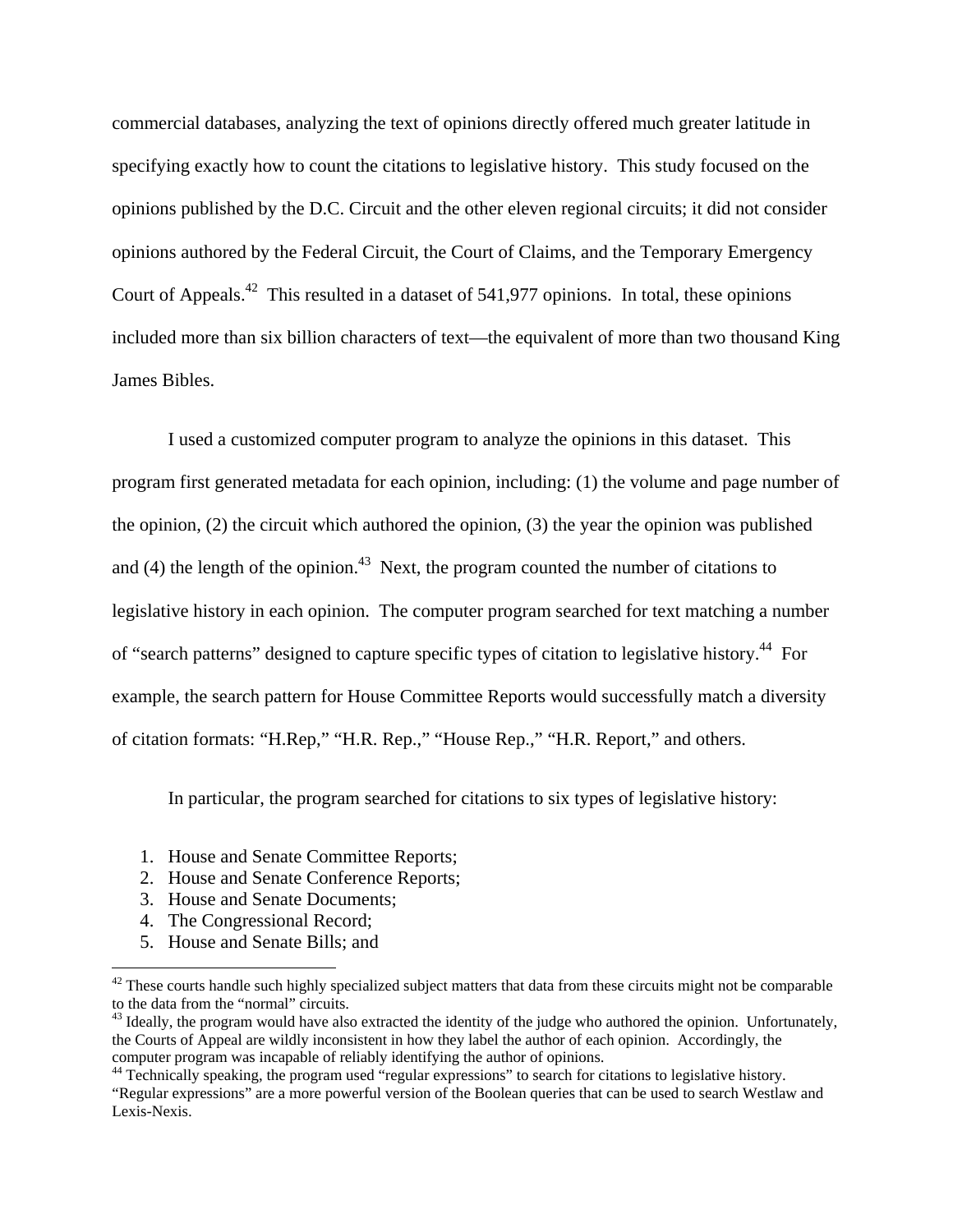commercial databases, analyzing the text of opinions directly offered much greater latitude in specifying exactly how to count the citations to legislative history. This study focused on the opinions published by the D.C. Circuit and the other eleven regional circuits; it did not consider opinions authored by the Federal Circuit, the Court of Claims, and the Temporary Emergency Court of Appeals.<sup>42</sup> This resulted in a dataset of 541,977 opinions. In total, these opinions included more than six billion characters of text—the equivalent of more than two thousand King James Bibles.

 I used a customized computer program to analyze the opinions in this dataset. This program first generated metadata for each opinion, including: (1) the volume and page number of the opinion, (2) the circuit which authored the opinion, (3) the year the opinion was published and (4) the length of the opinion.<sup>43</sup> Next, the program counted the number of citations to legislative history in each opinion. The computer program searched for text matching a number of "search patterns" designed to capture specific types of citation to legislative history.<sup>44</sup> For example, the search pattern for House Committee Reports would successfully match a diversity of citation formats: "H.Rep," "H.R. Rep.," "House Rep.," "H.R. Report," and others.

In particular, the program searched for citations to six types of legislative history:

- 1. House and Senate Committee Reports;
- 2. House and Senate Conference Reports;
- 3. House and Senate Documents;
- 4. The Congressional Record;
- 5. House and Senate Bills; and

<sup>&</sup>lt;sup>42</sup> These courts handle such highly specialized subject matters that data from these circuits might not be comparable to the data from the "normal" circuits.

 $^{43}$  Ideally, the program would have also extracted the identity of the judge who authored the opinion. Unfortunately, the Courts of Appeal are wildly inconsistent in how they label the author of each opinion. Accordingly, the computer program was incapable of reliably identifying the author of opinions. 44 Technically speaking, the program used "regular expressions" to search for citations to legislative history.

<sup>&</sup>quot;Regular expressions" are a more powerful version of the Boolean queries that can be used to search Westlaw and Lexis-Nexis.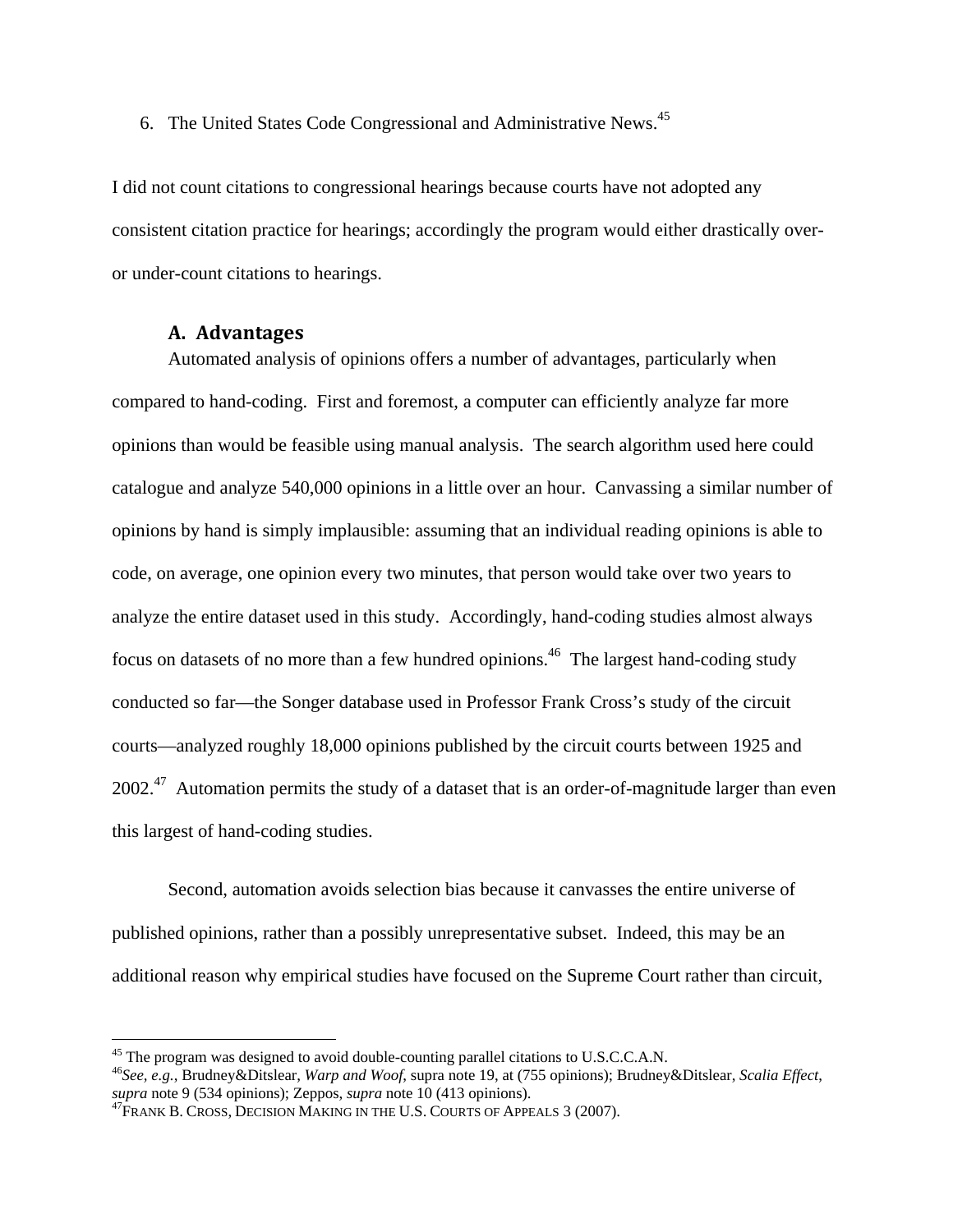6. The United States Code Congressional and Administrative News.45

I did not count citations to congressional hearings because courts have not adopted any consistent citation practice for hearings; accordingly the program would either drastically overor under-count citations to hearings.

#### **A. Advantages**

 $\overline{a}$ 

Automated analysis of opinions offers a number of advantages, particularly when compared to hand-coding. First and foremost, a computer can efficiently analyze far more opinions than would be feasible using manual analysis. The search algorithm used here could catalogue and analyze 540,000 opinions in a little over an hour. Canvassing a similar number of opinions by hand is simply implausible: assuming that an individual reading opinions is able to code, on average, one opinion every two minutes, that person would take over two years to analyze the entire dataset used in this study. Accordingly, hand-coding studies almost always focus on datasets of no more than a few hundred opinions.<sup>46</sup> The largest hand-coding study conducted so far—the Songer database used in Professor Frank Cross's study of the circuit courts—analyzed roughly 18,000 opinions published by the circuit courts between 1925 and  $2002<sup>47</sup>$  Automation permits the study of a dataset that is an order-of-magnitude larger than even this largest of hand-coding studies.

Second, automation avoids selection bias because it canvasses the entire universe of published opinions, rather than a possibly unrepresentative subset. Indeed, this may be an additional reason why empirical studies have focused on the Supreme Court rather than circuit,

<sup>&</sup>lt;sup>45</sup> The program was designed to avoid double-counting parallel citations to U.S.C.C.A.N.

<sup>46</sup>*See, e.g.*, Brudney&Ditslear, *Warp and Woof*, supra note 19, at (755 opinions); Brudney&Ditslear, *Scalia Effect*,

<sup>&</sup>lt;sup>47</sup>FRANK B. CROSS, DECISION MAKING IN THE U.S. COURTS OF APPEALS 3 (2007).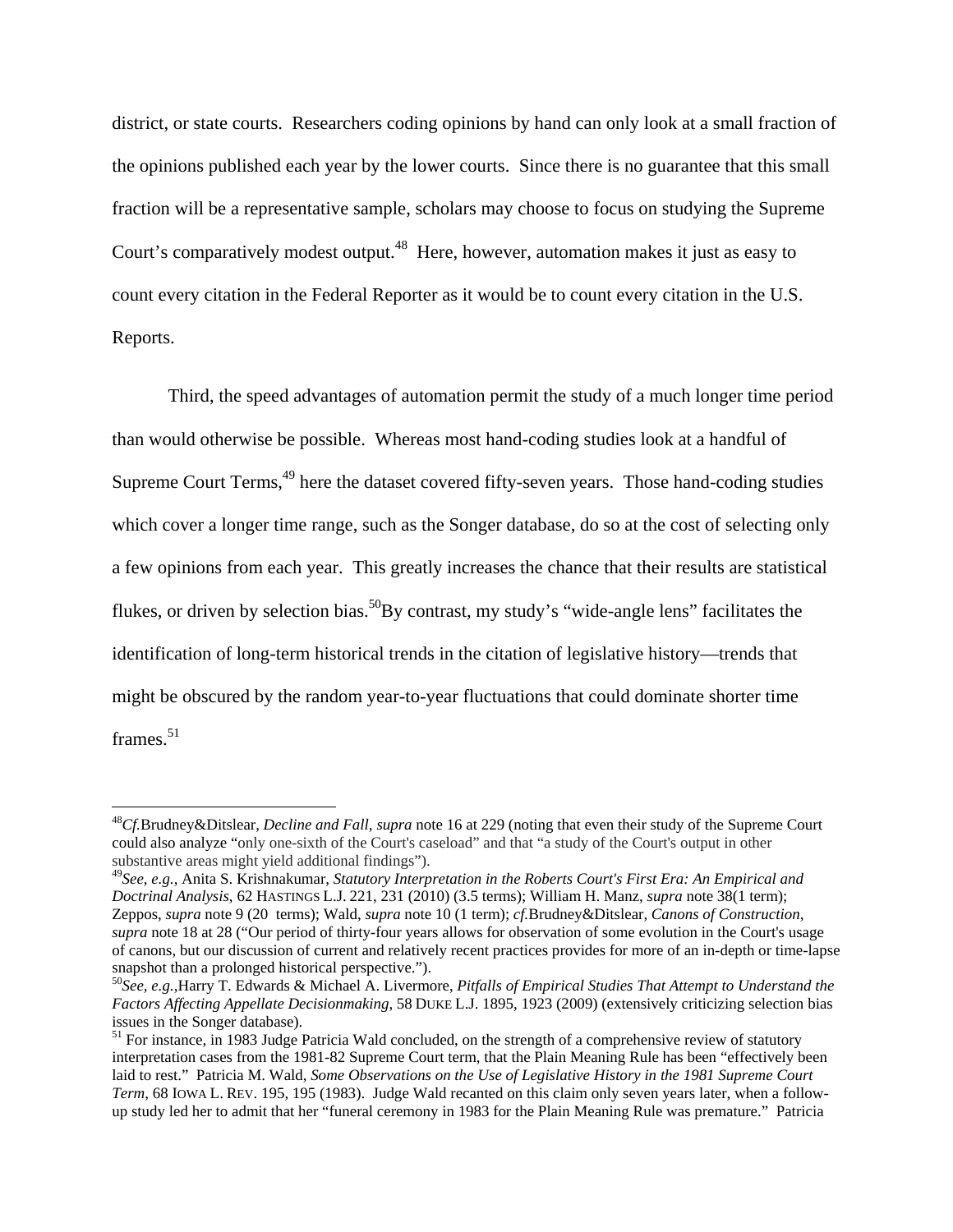district, or state courts. Researchers coding opinions by hand can only look at a small fraction of the opinions published each year by the lower courts. Since there is no guarantee that this small fraction will be a representative sample, scholars may choose to focus on studying the Supreme Court's comparatively modest output.<sup>48</sup> Here, however, automation makes it just as easy to count every citation in the Federal Reporter as it would be to count every citation in the U.S. Reports.

Third, the speed advantages of automation permit the study of a much longer time period than would otherwise be possible. Whereas most hand-coding studies look at a handful of Supreme Court Terms,<sup>49</sup> here the dataset covered fifty-seven years. Those hand-coding studies which cover a longer time range, such as the Songer database, do so at the cost of selecting only a few opinions from each year. This greatly increases the chance that their results are statistical flukes, or driven by selection bias.<sup>50</sup>By contrast, my study's "wide-angle lens" facilitates the identification of long-term historical trends in the citation of legislative history—trends that might be obscured by the random year-to-year fluctuations that could dominate shorter time frames. $51$ 

<sup>48</sup>*Cf.*Brudney&Ditslear, *Decline and Fall*, *supra* note 16 at 229 (noting that even their study of the Supreme Court could also analyze "only one-sixth of the Court's caseload" and that "a study of the Court's output in other substantive areas might yield additional findings").

<sup>49</sup>*See, e.g.*, Anita S. Krishnakumar, *Statutory Interpretation in the Roberts Court's First Era: An Empirical and Doctrinal Analysis*, 62 HASTINGS L.J. 221, 231 (2010) (3.5 terms); William H. Manz, *supra* note 38(1 term); Zeppos, *supra* note 9 (20 terms); Wald, *supra* note 10 (1 term); *cf.*Brudney&Ditslear, *Canons of Construction*, *supra* note 18 at 28 ("Our period of thirty-four years allows for observation of some evolution in the Court's usage of canons, but our discussion of current and relatively recent practices provides for more of an in-depth or time-lapse snapshot than a prolonged historical perspective.").

<sup>50</sup>*See, e.g.*,Harry T. Edwards & Michael A. Livermore, *Pitfalls of Empirical Studies That Attempt to Understand the Factors Affecting Appellate Decisionmaking*, 58 DUKE L.J. 1895, 1923 (2009) (extensively criticizing selection bias issues in the Songer database).

<sup>&</sup>lt;sup>51</sup> For instance, in 1983 Judge Patricia Wald concluded, on the strength of a comprehensive review of statutory interpretation cases from the 1981-82 Supreme Court term, that the Plain Meaning Rule has been "effectively been laid to rest." Patricia M. Wald, *Some Observations on the Use of Legislative History in the 1981 Supreme Court Term*, 68 IOWA L. REV. 195, 195 (1983). Judge Wald recanted on this claim only seven years later, when a followup study led her to admit that her "funeral ceremony in 1983 for the Plain Meaning Rule was premature." Patricia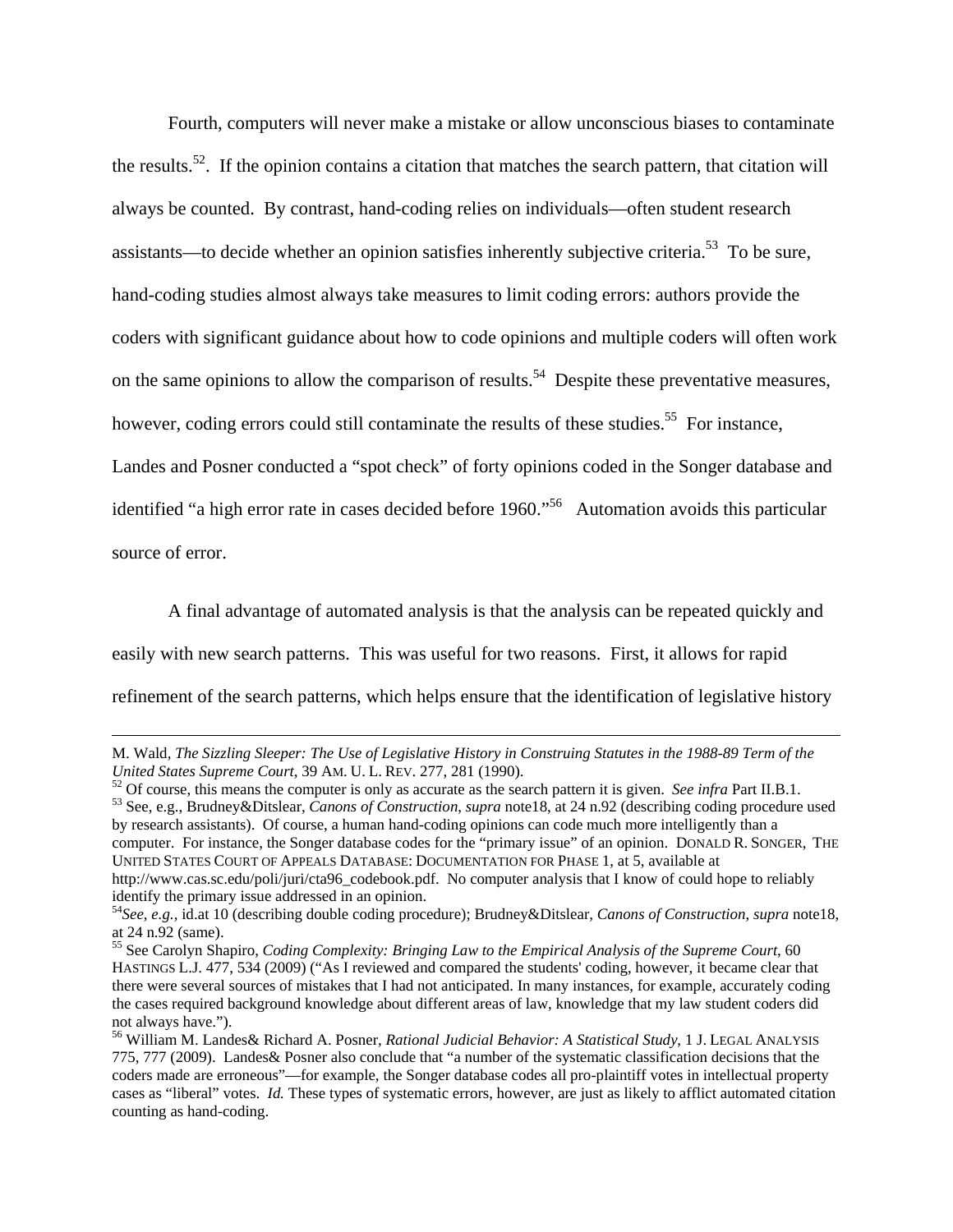Fourth, computers will never make a mistake or allow unconscious biases to contaminate the results.52. If the opinion contains a citation that matches the search pattern, that citation will always be counted. By contrast, hand-coding relies on individuals—often student research assistants—to decide whether an opinion satisfies inherently subjective criteria.53 To be sure, hand-coding studies almost always take measures to limit coding errors: authors provide the coders with significant guidance about how to code opinions and multiple coders will often work on the same opinions to allow the comparison of results.<sup>54</sup> Despite these preventative measures, however, coding errors could still contaminate the results of these studies.<sup>55</sup> For instance, Landes and Posner conducted a "spot check" of forty opinions coded in the Songer database and identified "a high error rate in cases decided before 1960."<sup>56</sup> Automation avoids this particular source of error.

A final advantage of automated analysis is that the analysis can be repeated quickly and easily with new search patterns. This was useful for two reasons. First, it allows for rapid refinement of the search patterns, which helps ensure that the identification of legislative history

United States Supreme Court, 39 AM. U. L. REV. 277, 281 (1990).<br><sup>52</sup> Of course, this means the computer is only as accurate as the search pattern it is given. *See infra* Part II.B.1.<br><sup>53</sup> See, e.g., Brudney&Ditslear, *Ca* by research assistants). Of course, a human hand-coding opinions can code much more intelligently than a computer. For instance, the Songer database codes for the "primary issue" of an opinion. DONALD R. SONGER, THE UNITED STATES COURT OF APPEALS DATABASE: DOCUMENTATION FOR PHASE 1, at 5, available at http://www.cas.sc.edu/poli/juri/cta96\_codebook.pdf. No computer analysis that I know of could hope to reliably identify the primary issue addressed in an opinion.

M. Wald, *The Sizzling Sleeper: The Use of Legislative History in Construing Statutes in the 1988-89 Term of the* 

<sup>54</sup>*See, e.g.*, id.at 10 (describing double coding procedure); Brudney&Ditslear, *Canons of Construction*, *supra* note18, at 24 n.92 (same).

<sup>55</sup> See Carolyn Shapiro, *Coding Complexity: Bringing Law to the Empirical Analysis of the Supreme Court*, 60 HASTINGS L.J. 477, 534 (2009) ("As I reviewed and compared the students' coding, however, it became clear that there were several sources of mistakes that I had not anticipated. In many instances, for example, accurately coding the cases required background knowledge about different areas of law, knowledge that my law student coders did not always have.").

<sup>56</sup> William M. Landes& Richard A. Posner, *Rational Judicial Behavior: A Statistical Study*, 1 J. LEGAL ANALYSIS 775, 777 (2009). Landes& Posner also conclude that "a number of the systematic classification decisions that the coders made are erroneous"—for example, the Songer database codes all pro-plaintiff votes in intellectual property cases as "liberal" votes. *Id.* These types of systematic errors, however, are just as likely to afflict automated citation counting as hand-coding.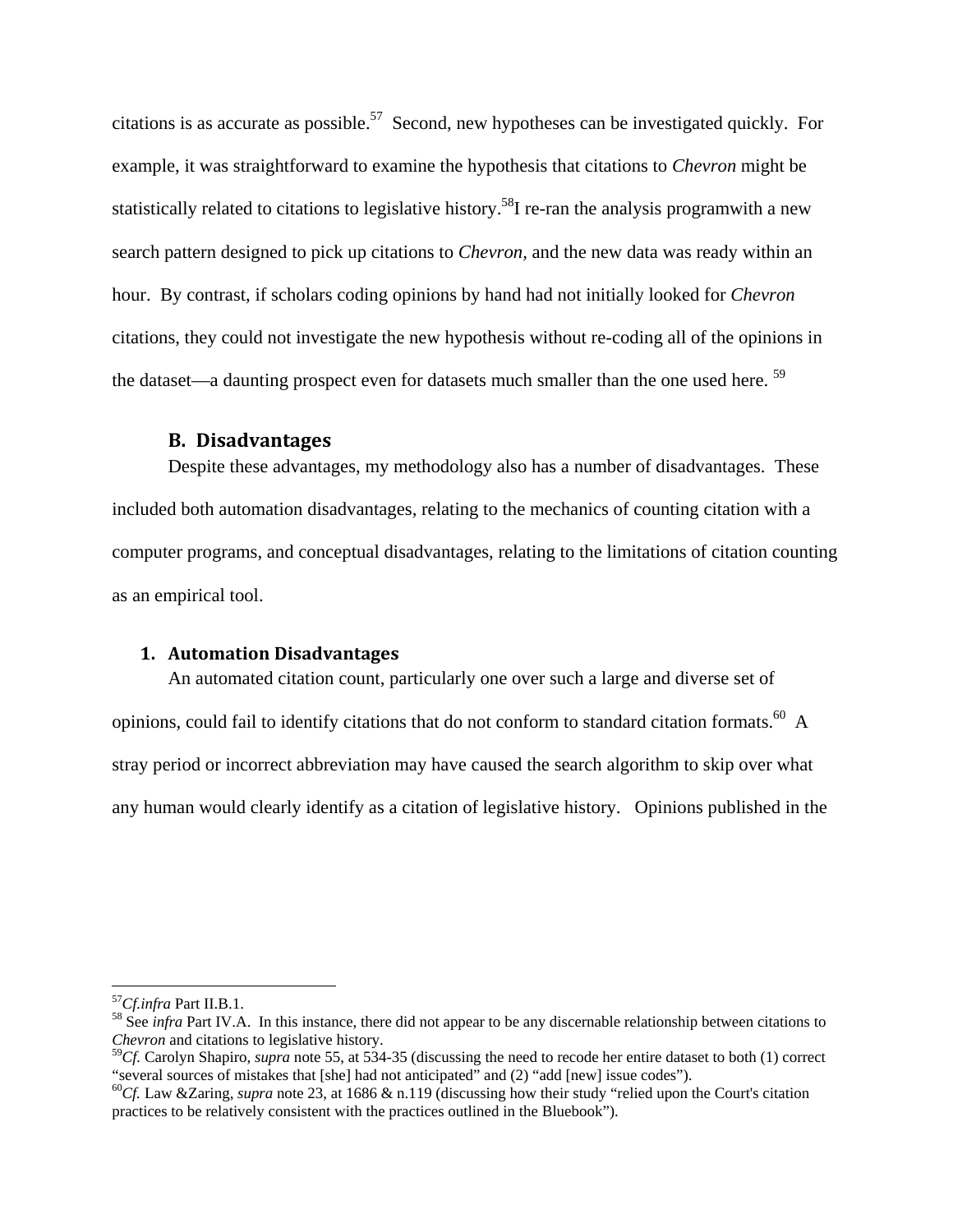citations is as accurate as possible.<sup>57</sup> Second, new hypotheses can be investigated quickly. For example, it was straightforward to examine the hypothesis that citations to *Chevron* might be statistically related to citations to legislative history.<sup>58</sup>I re-ran the analysis programwith a new search pattern designed to pick up citations to *Chevron,* and the new data was ready within an hour. By contrast, if scholars coding opinions by hand had not initially looked for *Chevron* citations, they could not investigate the new hypothesis without re-coding all of the opinions in the dataset—a daunting prospect even for datasets much smaller than the one used here. 59

#### **B. Disadvantages**

Despite these advantages, my methodology also has a number of disadvantages. These included both automation disadvantages, relating to the mechanics of counting citation with a computer programs, and conceptual disadvantages, relating to the limitations of citation counting as an empirical tool.

#### **1. Automation Disadvantages**

 An automated citation count, particularly one over such a large and diverse set of opinions, could fail to identify citations that do not conform to standard citation formats.<sup>60</sup> A stray period or incorrect abbreviation may have caused the search algorithm to skip over what any human would clearly identify as a citation of legislative history. Opinions published in the

<u>.</u>

<sup>&</sup>lt;sup>57</sup>*Cf.infra* Part II.B.1.<br><sup>58</sup> See *infra* Part IV.A. In this instance, there did not appear to be any discernable relationship between citations to *Chevron* and citations to legislative history.

<sup>&</sup>lt;sup>59</sup>Cf. Carolyn Shapiro, *supra* note 55, at 534-35 (discussing the need to recode her entire dataset to both (1) correct "several sources of mistakes that [she] had not anticipated" and (2) "add [new] issue codes").

<sup>&</sup>lt;sup>60</sup>Cf. Law &Zaring, *supra* note 23, at 1686 & n.119 (discussing how their study "relied upon the Court's citation practices to be relatively consistent with the practices outlined in the Bluebook").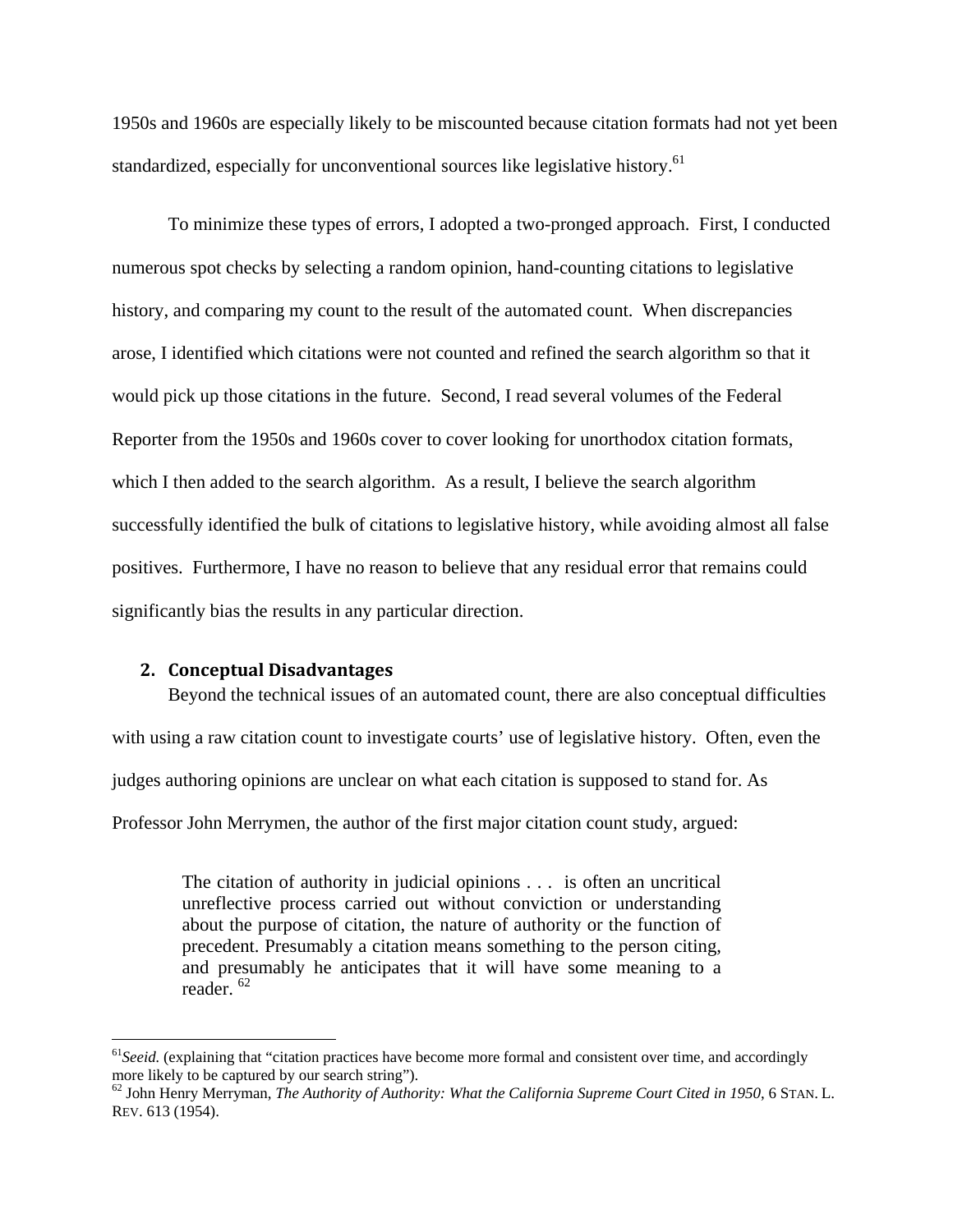1950s and 1960s are especially likely to be miscounted because citation formats had not yet been standardized, especially for unconventional sources like legislative history.<sup>61</sup>

 To minimize these types of errors, I adopted a two-pronged approach. First, I conducted numerous spot checks by selecting a random opinion, hand-counting citations to legislative history, and comparing my count to the result of the automated count. When discrepancies arose, I identified which citations were not counted and refined the search algorithm so that it would pick up those citations in the future. Second, I read several volumes of the Federal Reporter from the 1950s and 1960s cover to cover looking for unorthodox citation formats, which I then added to the search algorithm. As a result, I believe the search algorithm successfully identified the bulk of citations to legislative history, while avoiding almost all false positives. Furthermore, I have no reason to believe that any residual error that remains could significantly bias the results in any particular direction.

#### **2. Conceptual Disadvantages**

<u>.</u>

Beyond the technical issues of an automated count, there are also conceptual difficulties with using a raw citation count to investigate courts' use of legislative history. Often, even the judges authoring opinions are unclear on what each citation is supposed to stand for. As Professor John Merrymen, the author of the first major citation count study, argued:

The citation of authority in judicial opinions . . . is often an uncritical unreflective process carried out without conviction or understanding about the purpose of citation, the nature of authority or the function of precedent. Presumably a citation means something to the person citing, and presumably he anticipates that it will have some meaning to a reader. 62

<sup>&</sup>lt;sup>61</sup> Seeid. (explaining that "citation practices have become more formal and consistent over time, and accordingly more likely to be captured by our search string").

<sup>62</sup> John Henry Merryman, *The Authority of Authority: What the California Supreme Court Cited in 1950*, 6 STAN. L. REV. 613 (1954).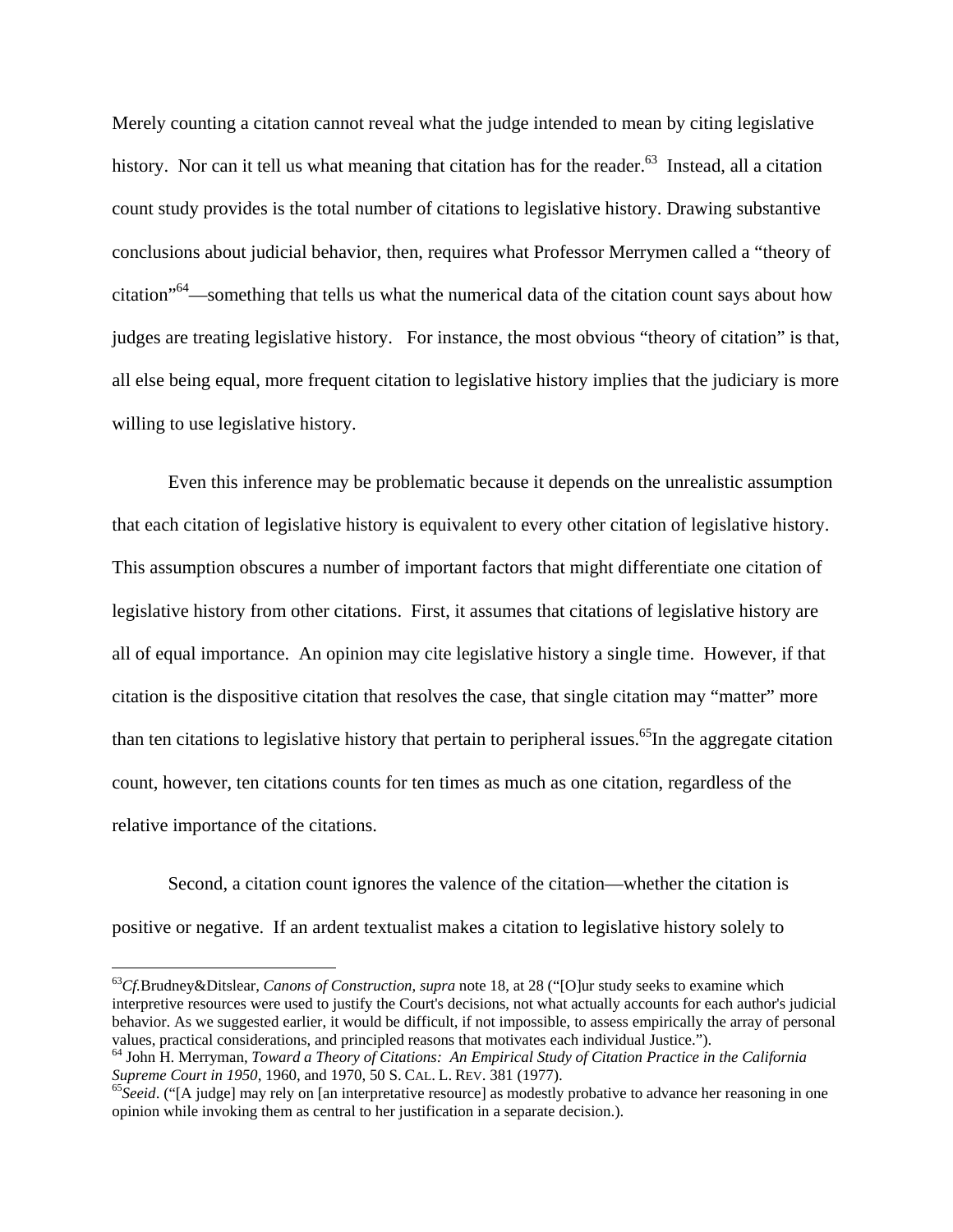Merely counting a citation cannot reveal what the judge intended to mean by citing legislative history. Nor can it tell us what meaning that citation has for the reader.<sup>63</sup> Instead, all a citation count study provides is the total number of citations to legislative history. Drawing substantive conclusions about judicial behavior, then, requires what Professor Merrymen called a "theory of citation"64—something that tells us what the numerical data of the citation count says about how judges are treating legislative history. For instance, the most obvious "theory of citation" is that, all else being equal, more frequent citation to legislative history implies that the judiciary is more willing to use legislative history.

Even this inference may be problematic because it depends on the unrealistic assumption that each citation of legislative history is equivalent to every other citation of legislative history. This assumption obscures a number of important factors that might differentiate one citation of legislative history from other citations. First, it assumes that citations of legislative history are all of equal importance. An opinion may cite legislative history a single time. However, if that citation is the dispositive citation that resolves the case, that single citation may "matter" more than ten citations to legislative history that pertain to peripheral issues.<sup>65</sup>In the aggregate citation count, however, ten citations counts for ten times as much as one citation, regardless of the relative importance of the citations.

Second, a citation count ignores the valence of the citation—whether the citation is positive or negative. If an ardent textualist makes a citation to legislative history solely to

<sup>63</sup>*Cf.*Brudney&Ditslear, *Canons of Construction*, *supra* note 18, at 28 ("[O]ur study seeks to examine which interpretive resources were used to justify the Court's decisions, not what actually accounts for each author's judicial behavior. As we suggested earlier, it would be difficult, if not impossible, to assess empirically the array of personal

values, practical considerations, and principled reasons that motivates each individual Justice.").<br><sup>64</sup> John H. Merryman, *Toward a Theory of Citations: An Empirical Study of Citation Practice in the California <i>Supreme C* 

<sup>&</sup>lt;sup>65</sup>Seeid. ("[A judge] may rely on [an interpretative resource] as modestly probative to advance her reasoning in one opinion while invoking them as central to her justification in a separate decision.).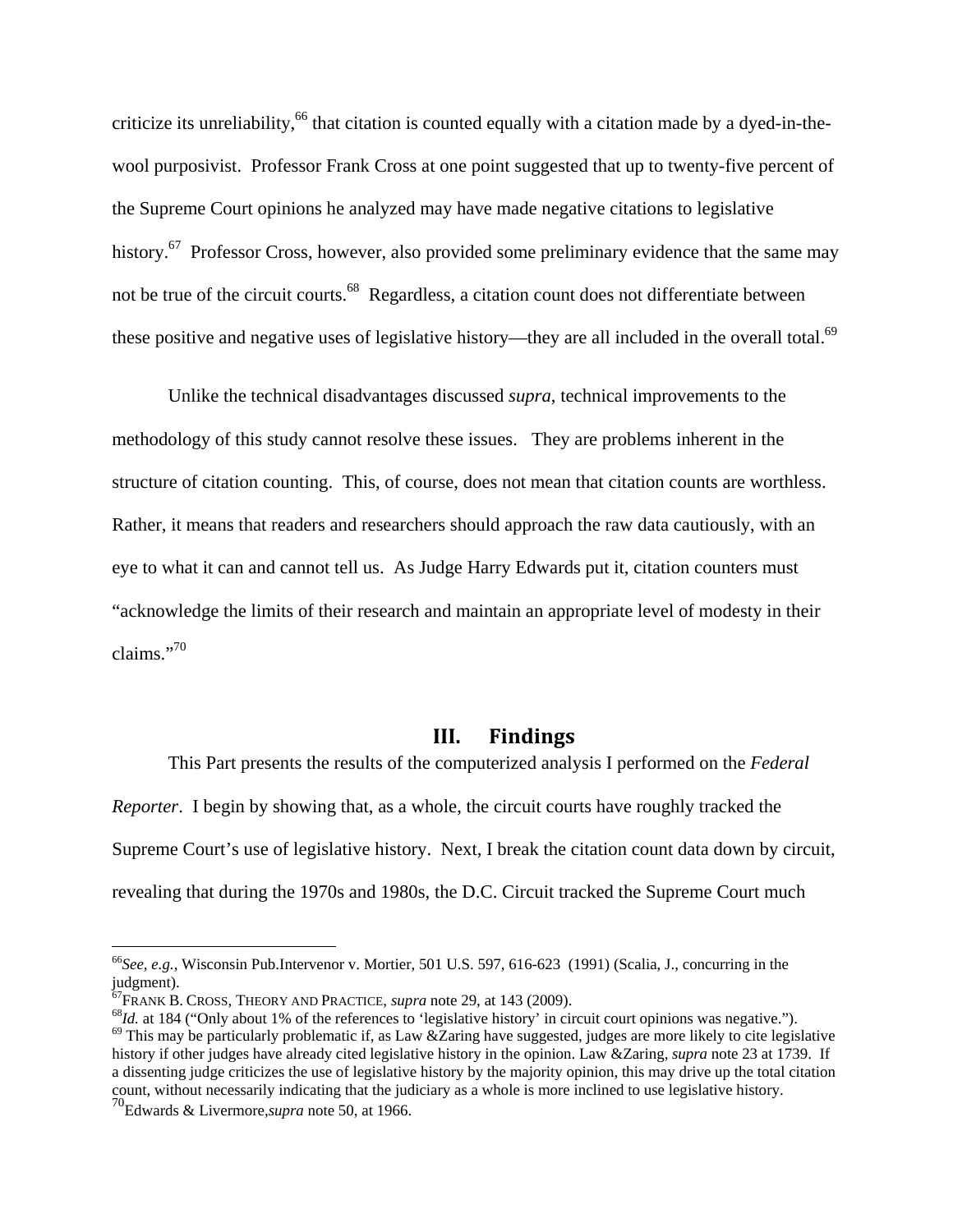criticize its unreliability,<sup>66</sup> that citation is counted equally with a citation made by a dyed-in-thewool purposivist. Professor Frank Cross at one point suggested that up to twenty-five percent of the Supreme Court opinions he analyzed may have made negative citations to legislative history.<sup>67</sup> Professor Cross, however, also provided some preliminary evidence that the same may not be true of the circuit courts.<sup>68</sup> Regardless, a citation count does not differentiate between these positive and negative uses of legislative history—they are all included in the overall total.<sup>69</sup>

 Unlike the technical disadvantages discussed *supra*, technical improvements to the methodology of this study cannot resolve these issues. They are problems inherent in the structure of citation counting. This, of course, does not mean that citation counts are worthless. Rather, it means that readers and researchers should approach the raw data cautiously, with an eye to what it can and cannot tell us. As Judge Harry Edwards put it, citation counters must "acknowledge the limits of their research and maintain an appropriate level of modesty in their claims."<sup>70</sup>

#### **III. Findings**

 This Part presents the results of the computerized analysis I performed on the *Federal Reporter*. I begin by showing that, as a whole, the circuit courts have roughly tracked the Supreme Court's use of legislative history. Next, I break the citation count data down by circuit, revealing that during the 1970s and 1980s, the D.C. Circuit tracked the Supreme Court much

1

<sup>66</sup>*See, e.g.*, Wisconsin Pub.Intervenor v. Mortier, 501 U.S. 597, 616-623 (1991) (Scalia, J., concurring in the judgment).<br><sup>67</sup>FRANK B. CROSS, THEORY AND PRACTICE, *supra* note 29, at 143 (2009).

<sup>&</sup>lt;sup>68</sup>*Id.* at 184 ("Only about 1% of the references to 'legislative history' in circuit court opinions was negative.").<br><sup>69</sup> This may be particularly problematic if, as Law &Zaring have suggested, judges are more likely to history if other judges have already cited legislative history in the opinion. Law &Zaring, *supra* note 23 at 1739. If a dissenting judge criticizes the use of legislative history by the majority opinion, this may drive up the total citation count, without necessarily indicating that the judiciary as a whole is more inclined to use legislative history.

<sup>70</sup>Edwards & Livermore,*supra* note 50, at 1966.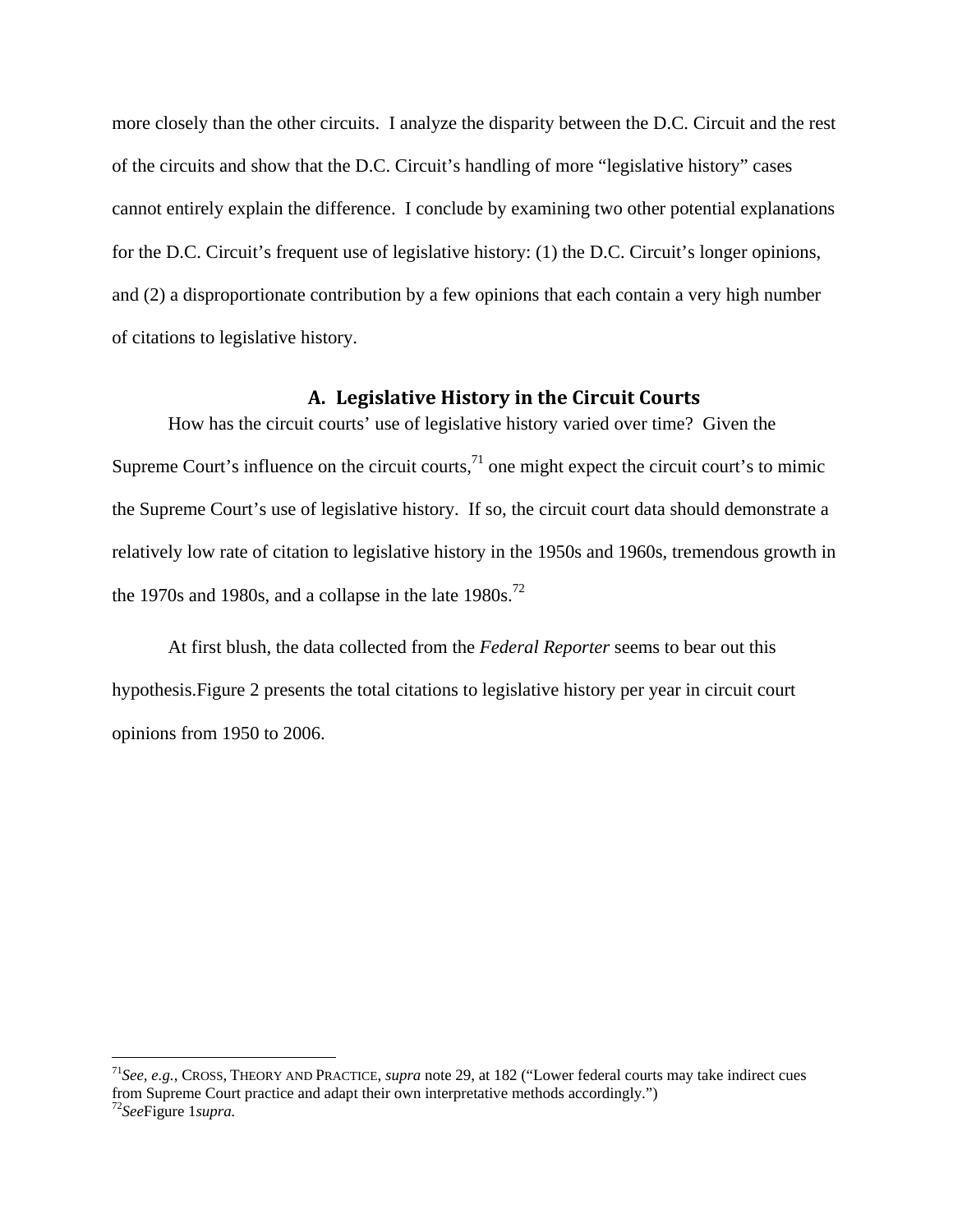more closely than the other circuits. I analyze the disparity between the D.C. Circuit and the rest of the circuits and show that the D.C. Circuit's handling of more "legislative history" cases cannot entirely explain the difference. I conclude by examining two other potential explanations for the D.C. Circuit's frequent use of legislative history: (1) the D.C. Circuit's longer opinions, and (2) a disproportionate contribution by a few opinions that each contain a very high number of citations to legislative history.

#### **A. Legislative History in the Circuit Courts**

How has the circuit courts' use of legislative history varied over time? Given the Supreme Court's influence on the circuit courts, $^{71}$  one might expect the circuit court's to mimic the Supreme Court's use of legislative history. If so, the circuit court data should demonstrate a relatively low rate of citation to legislative history in the 1950s and 1960s, tremendous growth in the 1970s and 1980s, and a collapse in the late  $1980s$ .<sup>72</sup>

At first blush, the data collected from the *Federal Reporter* seems to bear out this hypothesis.Figure 2 presents the total citations to legislative history per year in circuit court opinions from 1950 to 2006.

<sup>71</sup>*See, e.g.*, CROSS, THEORY AND PRACTICE, *supra* note 29, at 182 ("Lower federal courts may take indirect cues from Supreme Court practice and adapt their own interpretative methods accordingly.")

<sup>72</sup>*See*Figure 1*supra.*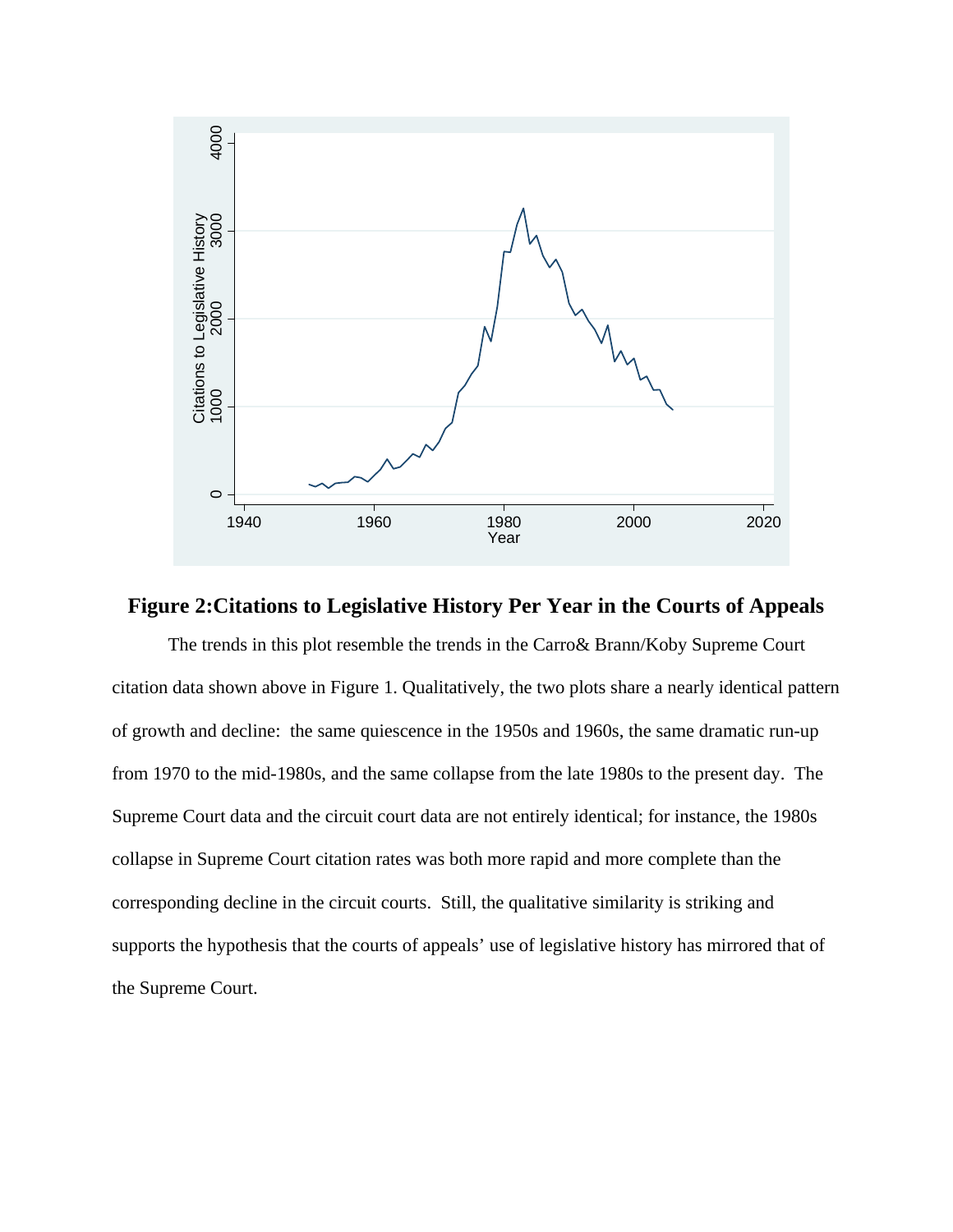

# **Figure 2:Citations to Legislative History Per Year in the Courts of Appeals**

The trends in this plot resemble the trends in the Carro& Brann/Koby Supreme Court citation data shown above in Figure 1. Qualitatively, the two plots share a nearly identical pattern of growth and decline: the same quiescence in the 1950s and 1960s, the same dramatic run-up from 1970 to the mid-1980s, and the same collapse from the late 1980s to the present day. The Supreme Court data and the circuit court data are not entirely identical; for instance, the 1980s collapse in Supreme Court citation rates was both more rapid and more complete than the corresponding decline in the circuit courts. Still, the qualitative similarity is striking and supports the hypothesis that the courts of appeals' use of legislative history has mirrored that of the Supreme Court.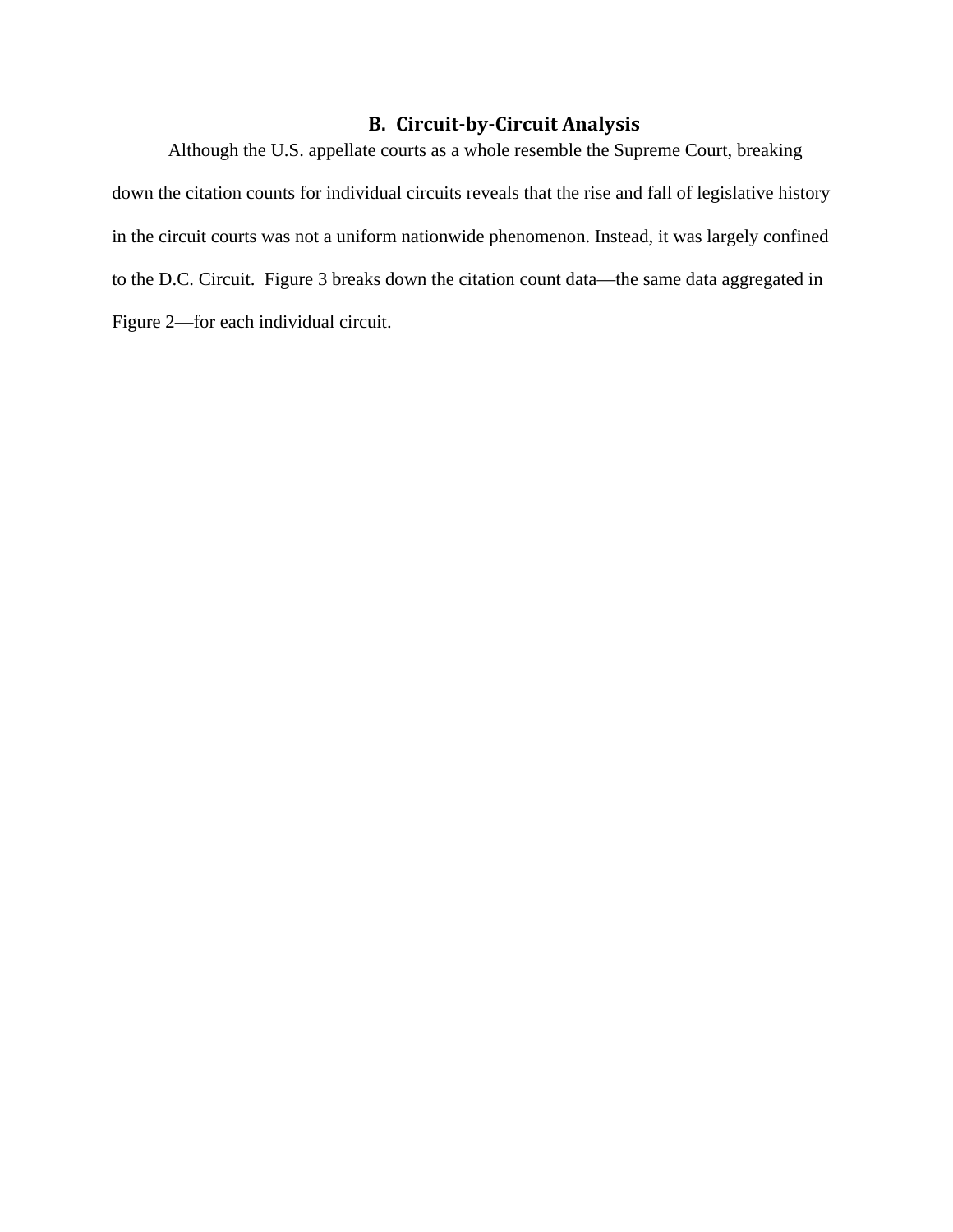# **B. Circuit‐by‐Circuit Analysis**

Although the U.S. appellate courts as a whole resemble the Supreme Court, breaking down the citation counts for individual circuits reveals that the rise and fall of legislative history in the circuit courts was not a uniform nationwide phenomenon. Instead, it was largely confined to the D.C. Circuit. Figure 3 breaks down the citation count data—the same data aggregated in Figure 2—for each individual circuit.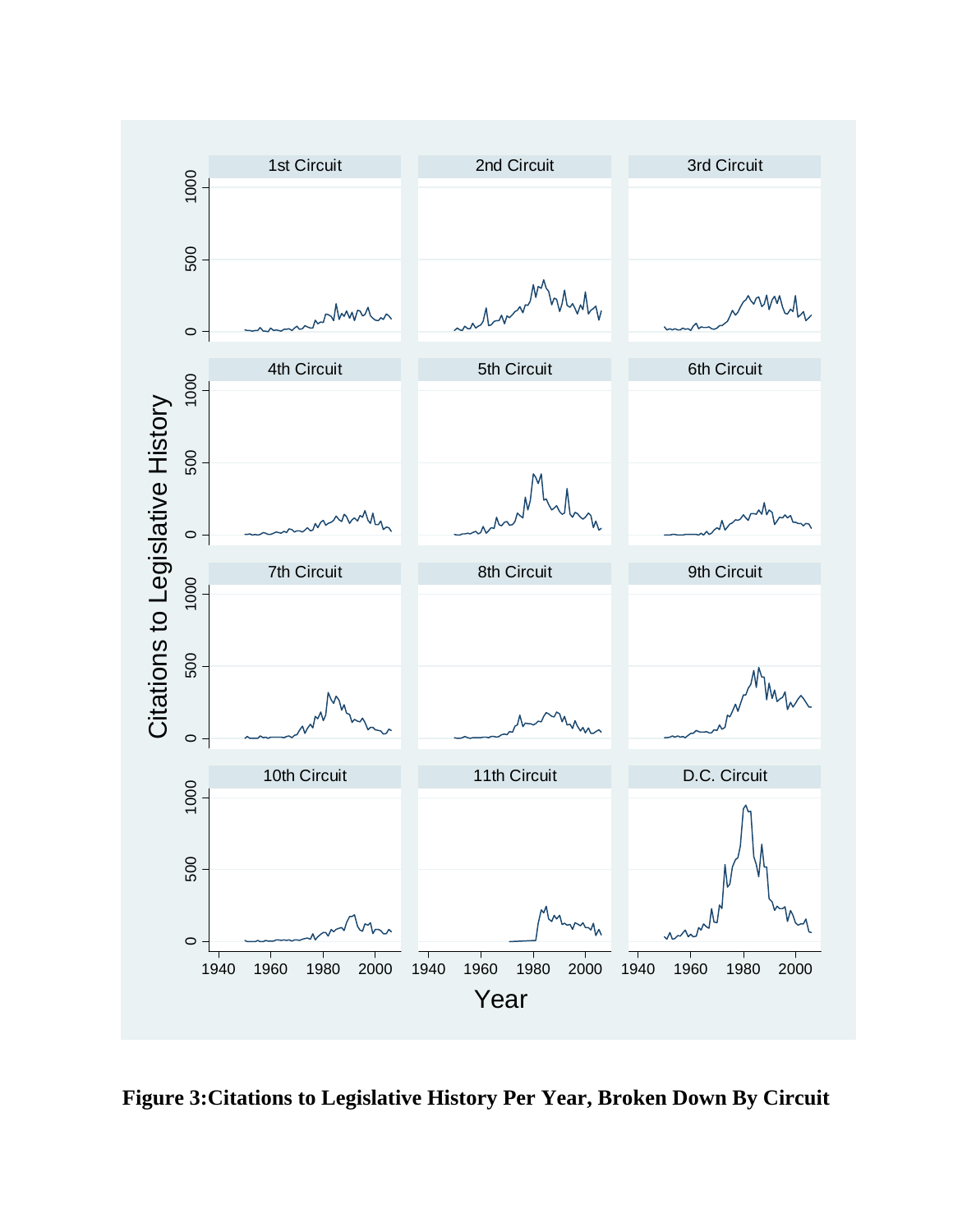

**Figure 3:Citations to Legislative History Per Year, Broken Down By Circuit**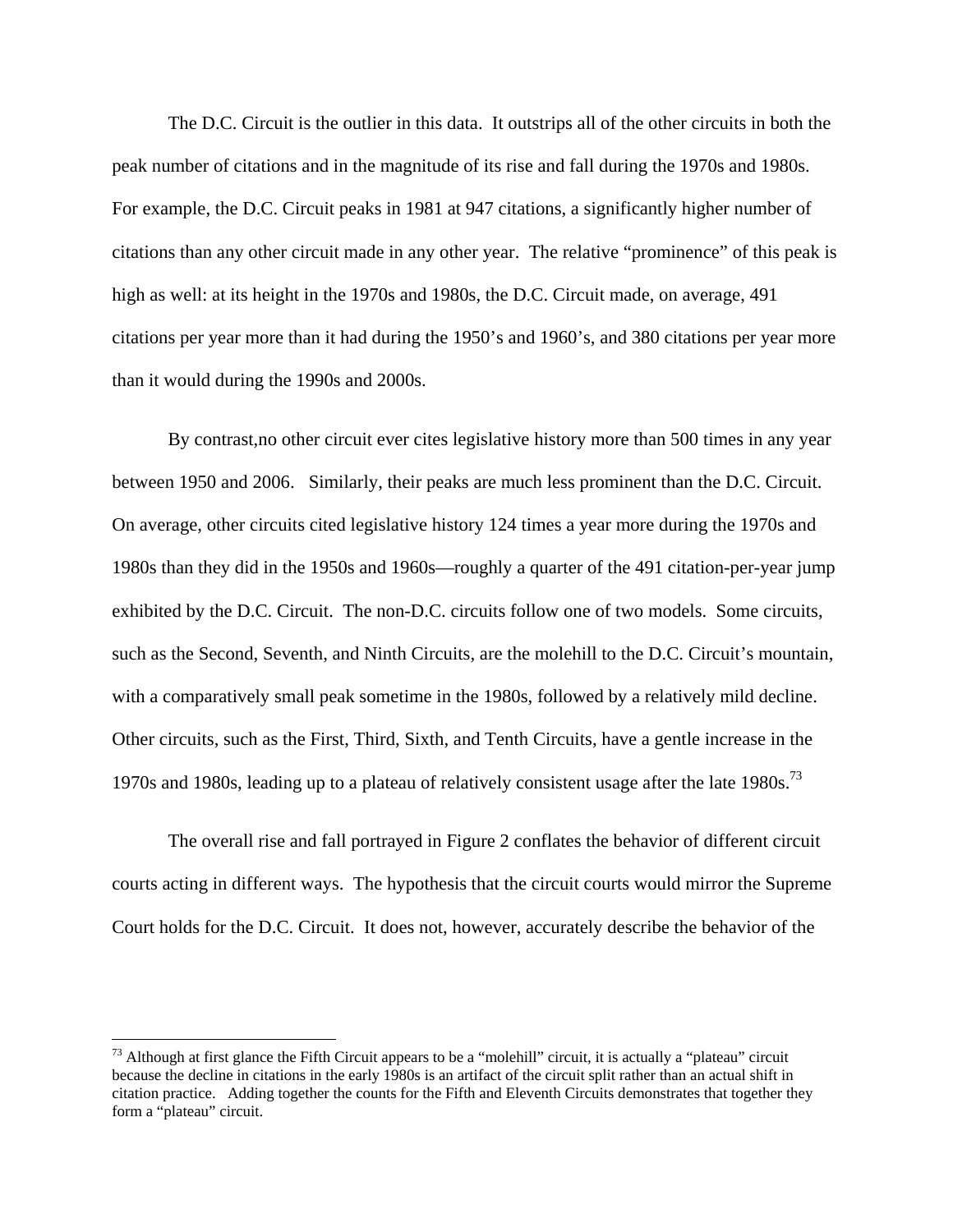The D.C. Circuit is the outlier in this data. It outstrips all of the other circuits in both the peak number of citations and in the magnitude of its rise and fall during the 1970s and 1980s. For example, the D.C. Circuit peaks in 1981 at 947 citations, a significantly higher number of citations than any other circuit made in any other year. The relative "prominence" of this peak is high as well: at its height in the 1970s and 1980s, the D.C. Circuit made, on average, 491 citations per year more than it had during the 1950's and 1960's, and 380 citations per year more than it would during the 1990s and 2000s.

By contrast,no other circuit ever cites legislative history more than 500 times in any year between 1950 and 2006. Similarly, their peaks are much less prominent than the D.C. Circuit. On average, other circuits cited legislative history 124 times a year more during the 1970s and 1980s than they did in the 1950s and 1960s—roughly a quarter of the 491 citation-per-year jump exhibited by the D.C. Circuit. The non-D.C. circuits follow one of two models. Some circuits, such as the Second, Seventh, and Ninth Circuits, are the molehill to the D.C. Circuit's mountain, with a comparatively small peak sometime in the 1980s, followed by a relatively mild decline. Other circuits, such as the First, Third, Sixth, and Tenth Circuits, have a gentle increase in the 1970s and 1980s, leading up to a plateau of relatively consistent usage after the late 1980s.<sup>73</sup>

 The overall rise and fall portrayed in Figure 2 conflates the behavior of different circuit courts acting in different ways. The hypothesis that the circuit courts would mirror the Supreme Court holds for the D.C. Circuit. It does not, however, accurately describe the behavior of the

 $73$  Although at first glance the Fifth Circuit appears to be a "molehill" circuit, it is actually a "plateau" circuit because the decline in citations in the early 1980s is an artifact of the circuit split rather than an actual shift in citation practice. Adding together the counts for the Fifth and Eleventh Circuits demonstrates that together they form a "plateau" circuit.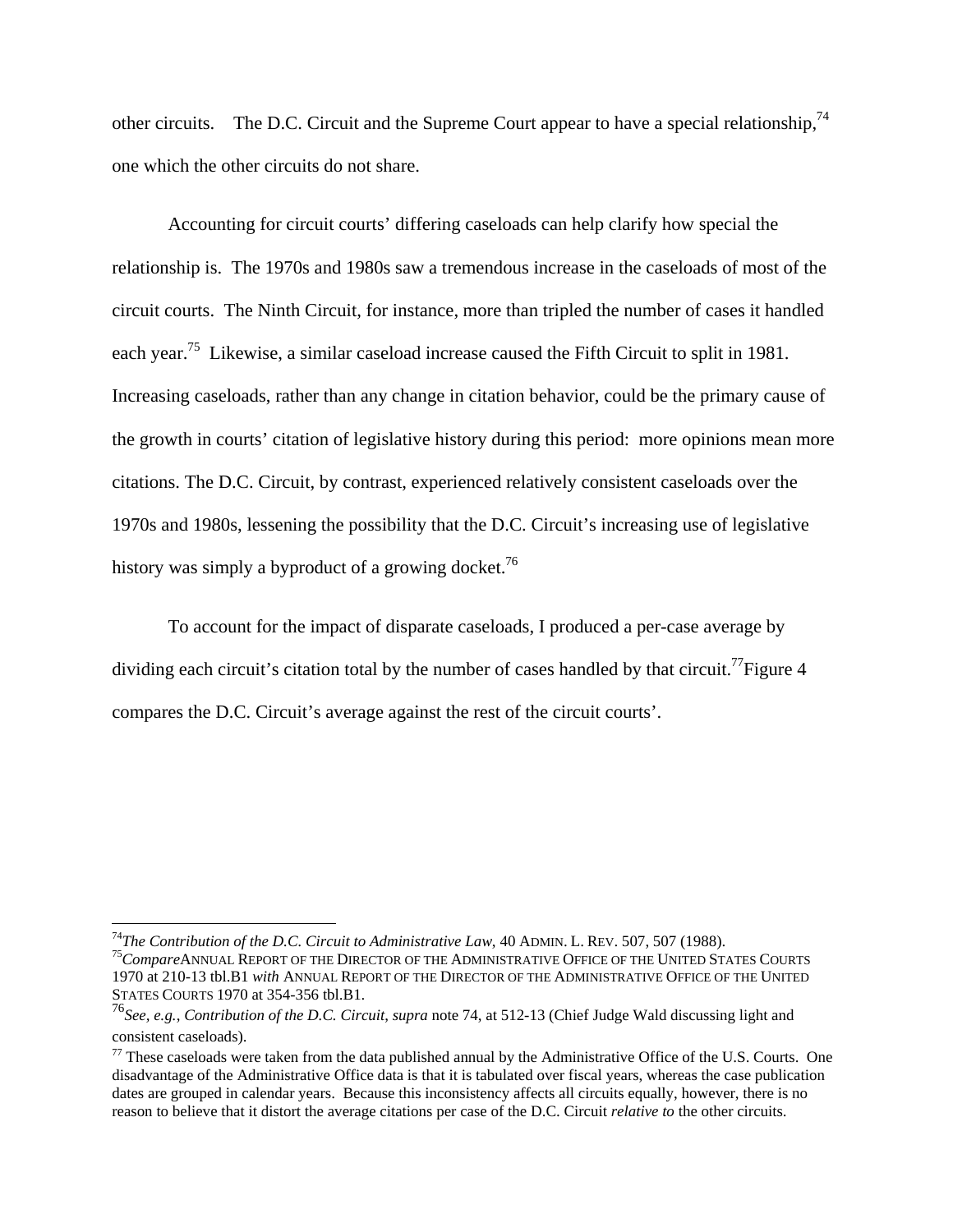other circuits. The D.C. Circuit and the Supreme Court appear to have a special relationship,<sup>74</sup> one which the other circuits do not share.

 Accounting for circuit courts' differing caseloads can help clarify how special the relationship is. The 1970s and 1980s saw a tremendous increase in the caseloads of most of the circuit courts. The Ninth Circuit, for instance, more than tripled the number of cases it handled each year.<sup>75</sup> Likewise, a similar caseload increase caused the Fifth Circuit to split in 1981. Increasing caseloads, rather than any change in citation behavior, could be the primary cause of the growth in courts' citation of legislative history during this period: more opinions mean more citations. The D.C. Circuit, by contrast, experienced relatively consistent caseloads over the 1970s and 1980s, lessening the possibility that the D.C. Circuit's increasing use of legislative history was simply a byproduct of a growing docket.<sup>76</sup>

To account for the impact of disparate caseloads, I produced a per-case average by dividing each circuit's citation total by the number of cases handled by that circuit.<sup>77</sup>Figure 4 compares the D.C. Circuit's average against the rest of the circuit courts'.

<sup>&</sup>lt;sup>74</sup>The Contribution of the D.C. Circuit to Administrative Law, 40 ADMIN. L. REV. 507, 507 (1988).<br><sup>75</sup>CompareANNUAL REPORT OF THE DIRECTOR OF THE ADMINISTRATIVE OFFICE OF THE UNITED STATES COURTS 1970 at 210-13 tbl.B1 *with* ANNUAL REPORT OF THE DIRECTOR OF THE ADMINISTRATIVE OFFICE OF THE UNITED STATES COURTS 1970 at 354-356 tbl.B1.

<sup>76</sup>*See, e.g.*, *Contribution of the D.C. Circuit*, *supra* note 74, at 512-13 (Chief Judge Wald discussing light and consistent caseloads).

 $77$  These caseloads were taken from the data published annual by the Administrative Office of the U.S. Courts. One disadvantage of the Administrative Office data is that it is tabulated over fiscal years, whereas the case publication dates are grouped in calendar years. Because this inconsistency affects all circuits equally, however, there is no reason to believe that it distort the average citations per case of the D.C. Circuit *relative to* the other circuits.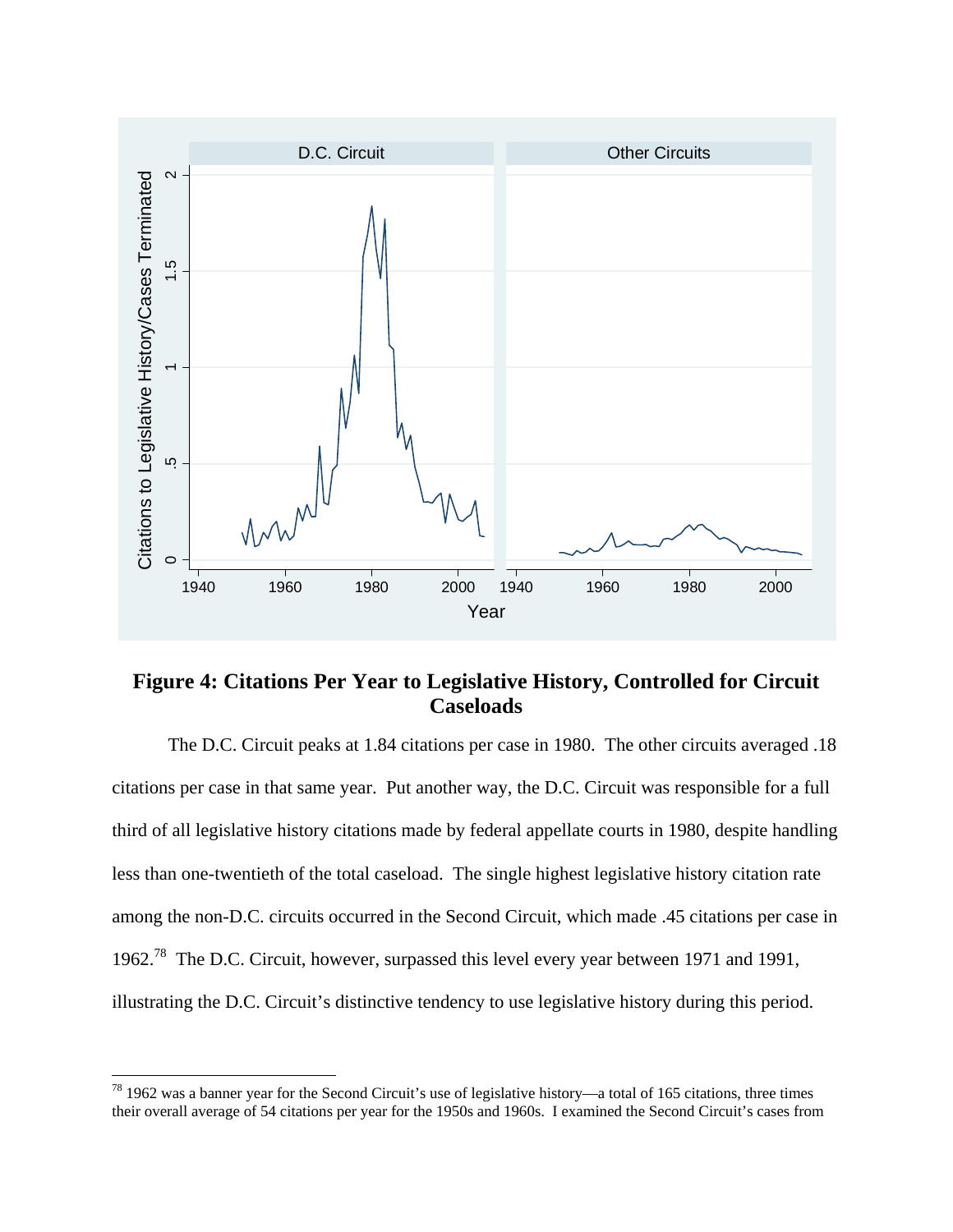

# **Figure 4: Citations Per Year to Legislative History, Controlled for Circuit Caseloads**

The D.C. Circuit peaks at 1.84 citations per case in 1980. The other circuits averaged .18 citations per case in that same year. Put another way, the D.C. Circuit was responsible for a full third of all legislative history citations made by federal appellate courts in 1980, despite handling less than one-twentieth of the total caseload. The single highest legislative history citation rate among the non-D.C. circuits occurred in the Second Circuit, which made .45 citations per case in 1962.<sup>78</sup> The D.C. Circuit, however, surpassed this level every year between 1971 and 1991, illustrating the D.C. Circuit's distinctive tendency to use legislative history during this period.

 $78$  1962 was a banner year for the Second Circuit's use of legislative history—a total of 165 citations, three times their overall average of 54 citations per year for the 1950s and 1960s. I examined the Second Circuit's cases from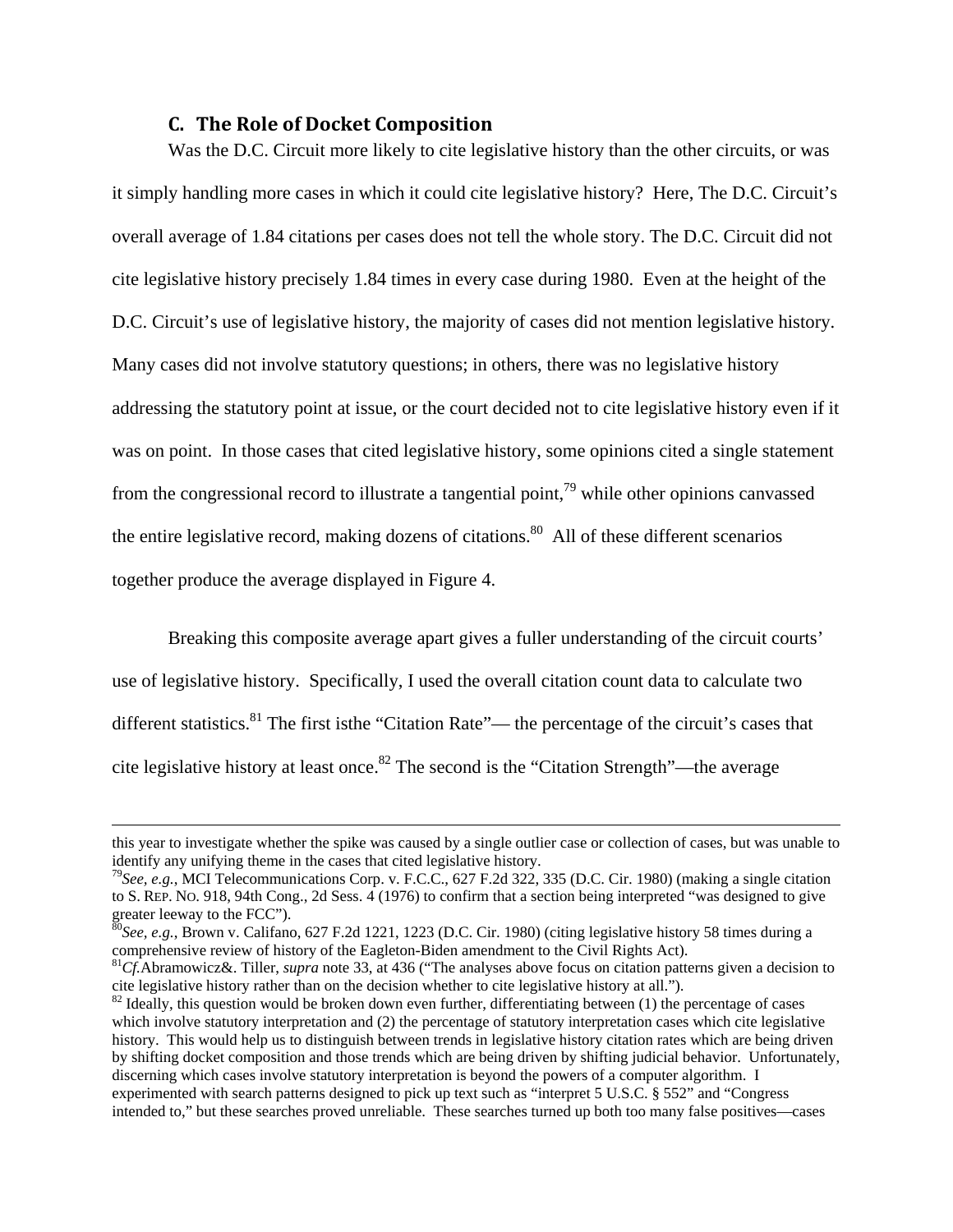#### **C. The Role of Docket Composition**

Was the D.C. Circuit more likely to cite legislative history than the other circuits, or was it simply handling more cases in which it could cite legislative history? Here, The D.C. Circuit's overall average of 1.84 citations per cases does not tell the whole story. The D.C. Circuit did not cite legislative history precisely 1.84 times in every case during 1980. Even at the height of the D.C. Circuit's use of legislative history, the majority of cases did not mention legislative history. Many cases did not involve statutory questions; in others, there was no legislative history addressing the statutory point at issue, or the court decided not to cite legislative history even if it was on point. In those cases that cited legislative history, some opinions cited a single statement from the congressional record to illustrate a tangential point,<sup>79</sup> while other opinions canvassed the entire legislative record, making dozens of citations.<sup>80</sup> All of these different scenarios together produce the average displayed in Figure 4.

Breaking this composite average apart gives a fuller understanding of the circuit courts' use of legislative history. Specifically, I used the overall citation count data to calculate two different statistics.<sup>81</sup> The first isthe "Citation Rate"— the percentage of the circuit's cases that cite legislative history at least once.<sup>82</sup> The second is the "Citation Strength"—the average

this year to investigate whether the spike was caused by a single outlier case or collection of cases, but was unable to identify any unifying theme in the cases that cited legislative history.

<sup>79</sup>*See, e.g.*, MCI Telecommunications Corp. v. F.C.C., 627 F.2d 322, 335 (D.C. Cir. 1980) (making a single citation to S. REP. NO. 918, 94th Cong., 2d Sess. 4 (1976) to confirm that a section being interpreted "was designed to give greater leeway to the FCC").

<sup>80</sup>*See, e.g.*, Brown v. Califano, 627 F.2d 1221, 1223 (D.C. Cir. 1980) (citing legislative history 58 times during a comprehensive review of history of the Eagleton-Biden amendment to the Civil Rights Act).

<sup>81</sup>*Cf.*Abramowicz&. Tiller, *supra* note 33, at 436 ("The analyses above focus on citation patterns given a decision to cite legislative history rather than on the decision whether to cite legislative history at all.").<br><sup>82</sup> Ideally, this question would be broken down even further, differentiating between (1) the percentage of cases

which involve statutory interpretation and (2) the percentage of statutory interpretation cases which cite legislative history. This would help us to distinguish between trends in legislative history citation rates which are being driven by shifting docket composition and those trends which are being driven by shifting judicial behavior. Unfortunately, discerning which cases involve statutory interpretation is beyond the powers of a computer algorithm. I experimented with search patterns designed to pick up text such as "interpret 5 U.S.C. § 552" and "Congress intended to," but these searches proved unreliable. These searches turned up both too many false positives—cases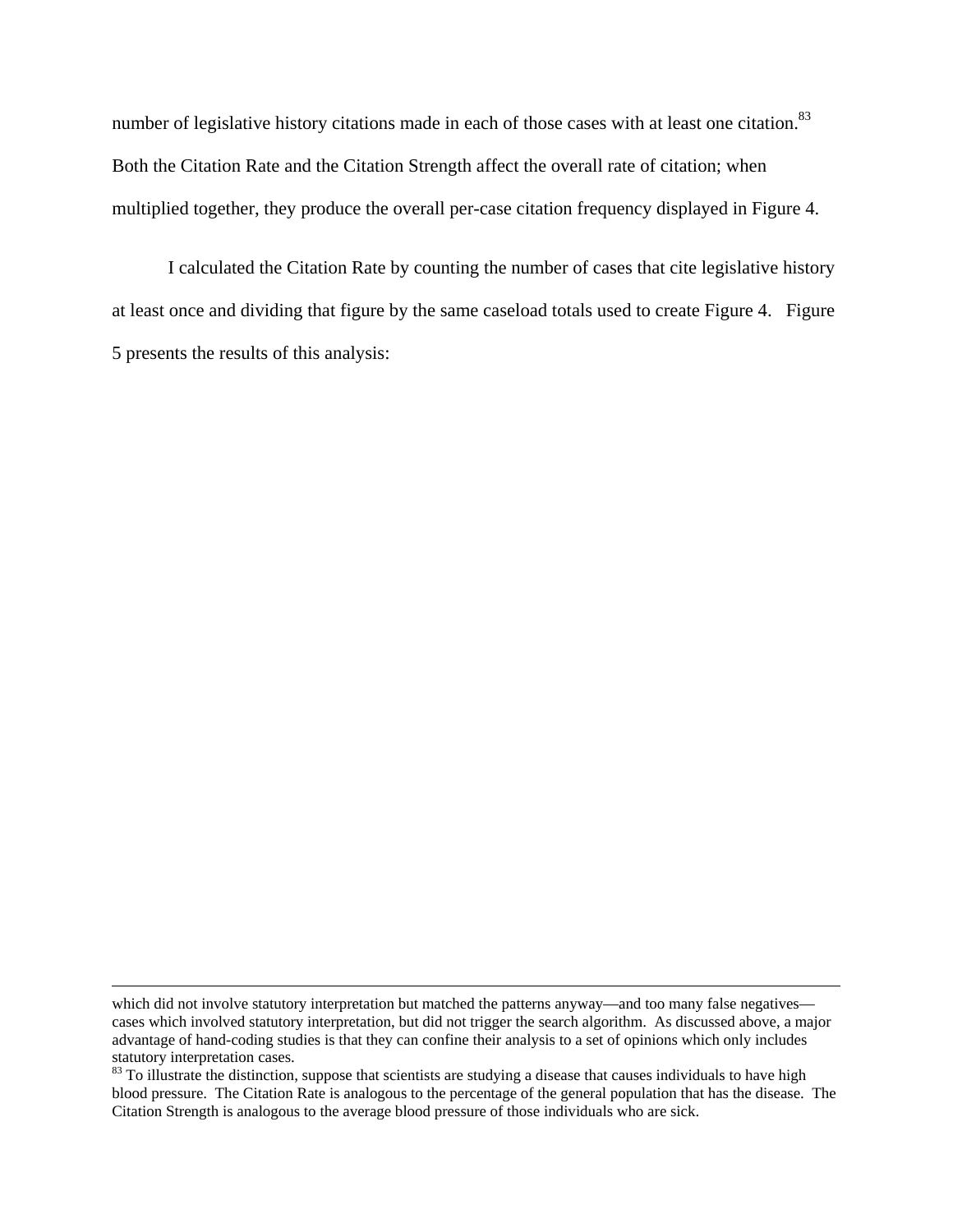number of legislative history citations made in each of those cases with at least one citation.<sup>83</sup> Both the Citation Rate and the Citation Strength affect the overall rate of citation; when multiplied together, they produce the overall per-case citation frequency displayed in Figure 4.

I calculated the Citation Rate by counting the number of cases that cite legislative history at least once and dividing that figure by the same caseload totals used to create Figure 4. Figure 5 presents the results of this analysis:

which did not involve statutory interpretation but matched the patterns anyway—and too many false negatives cases which involved statutory interpretation, but did not trigger the search algorithm. As discussed above, a major advantage of hand-coding studies is that they can confine their analysis to a set of opinions which only includes statutory interpretation cases.

<sup>&</sup>lt;sup>83</sup> To illustrate the distinction, suppose that scientists are studying a disease that causes individuals to have high blood pressure. The Citation Rate is analogous to the percentage of the general population that has the disease. The Citation Strength is analogous to the average blood pressure of those individuals who are sick.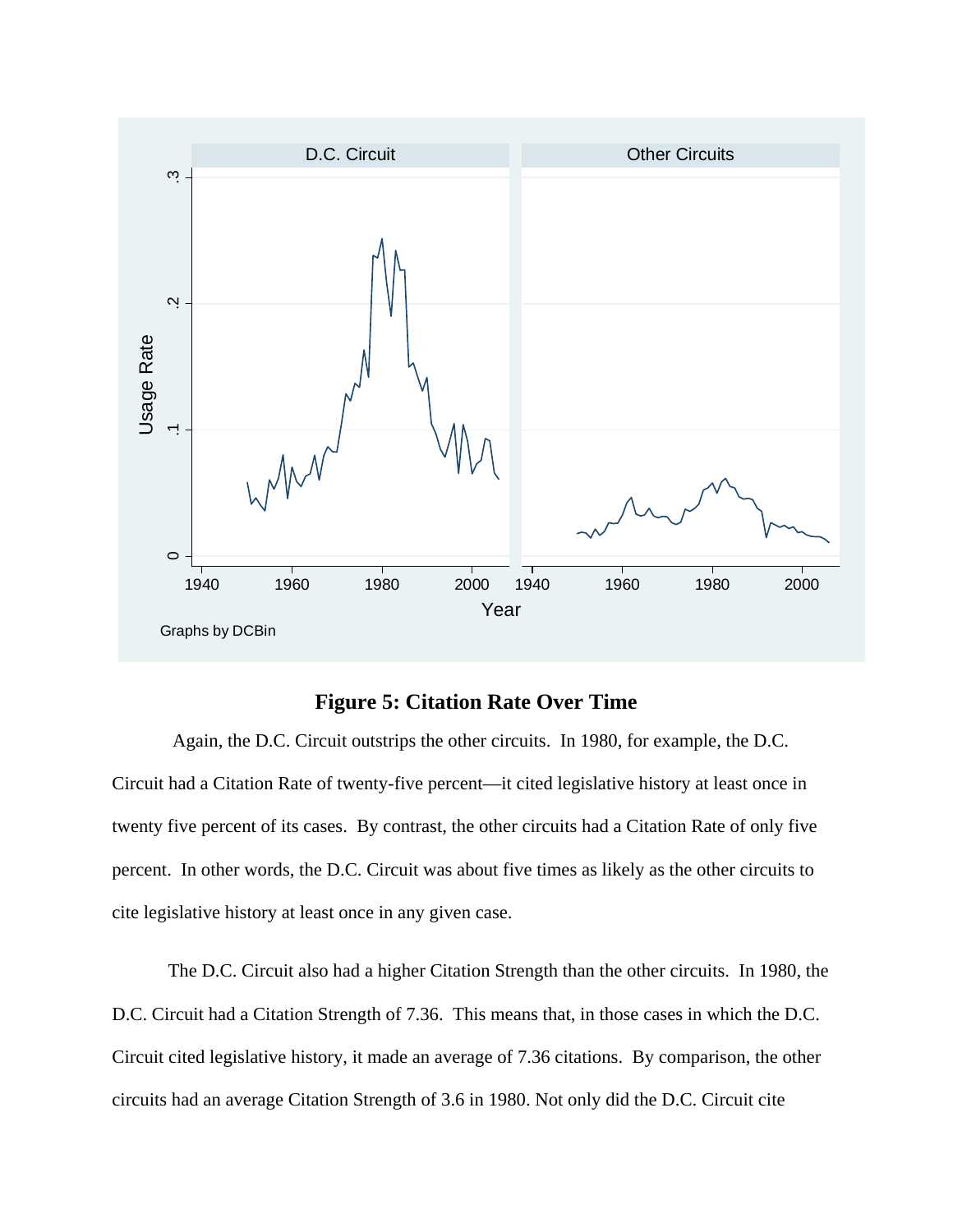

# **Figure 5: Citation Rate Over Time**

 Again, the D.C. Circuit outstrips the other circuits. In 1980, for example, the D.C. Circuit had a Citation Rate of twenty-five percent—it cited legislative history at least once in twenty five percent of its cases. By contrast, the other circuits had a Citation Rate of only five percent. In other words, the D.C. Circuit was about five times as likely as the other circuits to cite legislative history at least once in any given case.

The D.C. Circuit also had a higher Citation Strength than the other circuits. In 1980, the D.C. Circuit had a Citation Strength of 7.36. This means that, in those cases in which the D.C. Circuit cited legislative history, it made an average of 7.36 citations. By comparison, the other circuits had an average Citation Strength of 3.6 in 1980. Not only did the D.C. Circuit cite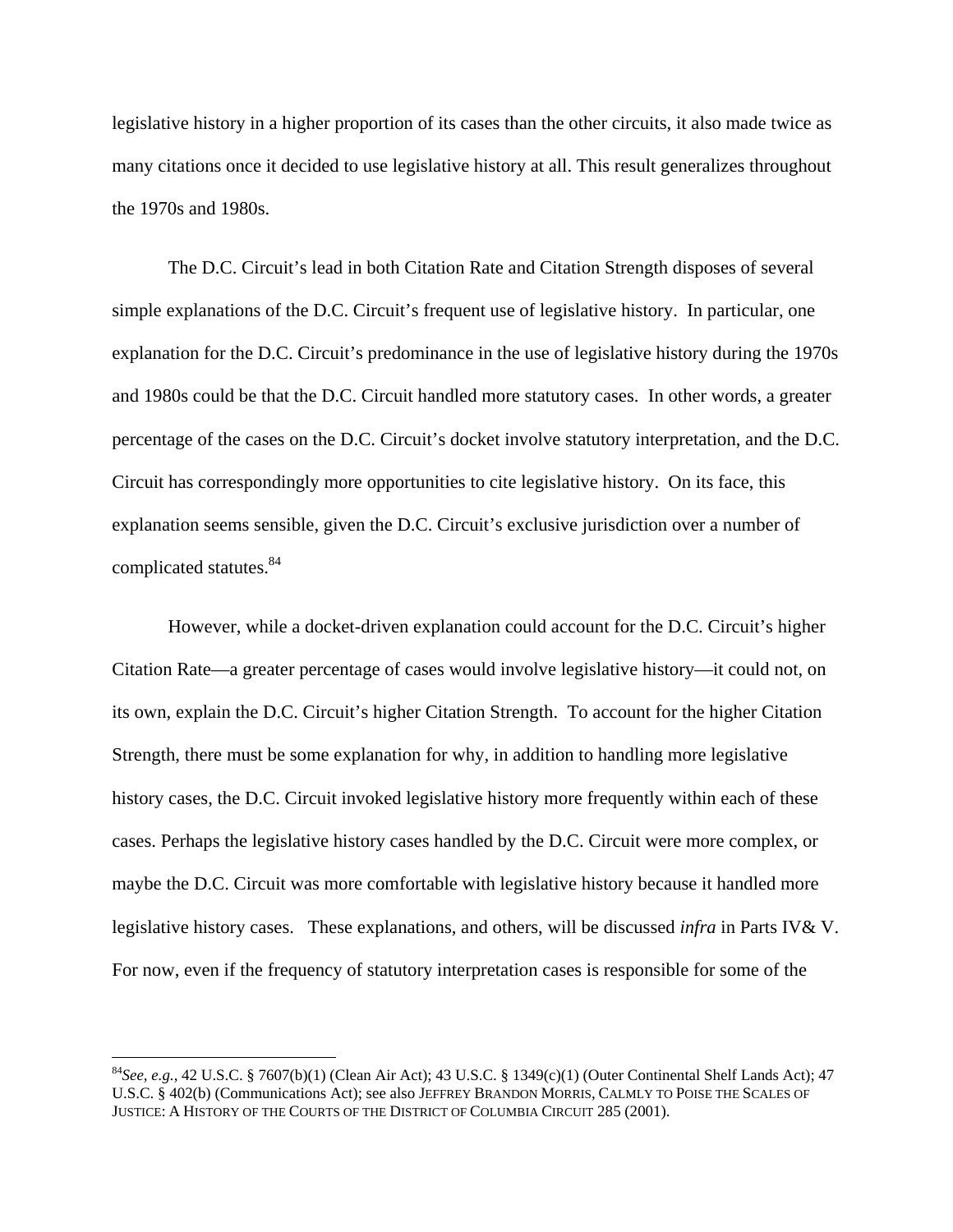legislative history in a higher proportion of its cases than the other circuits, it also made twice as many citations once it decided to use legislative history at all. This result generalizes throughout the 1970s and 1980s.

 The D.C. Circuit's lead in both Citation Rate and Citation Strength disposes of several simple explanations of the D.C. Circuit's frequent use of legislative history. In particular, one explanation for the D.C. Circuit's predominance in the use of legislative history during the 1970s and 1980s could be that the D.C. Circuit handled more statutory cases. In other words, a greater percentage of the cases on the D.C. Circuit's docket involve statutory interpretation, and the D.C. Circuit has correspondingly more opportunities to cite legislative history. On its face, this explanation seems sensible, given the D.C. Circuit's exclusive jurisdiction over a number of complicated statutes.84

 However, while a docket-driven explanation could account for the D.C. Circuit's higher Citation Rate—a greater percentage of cases would involve legislative history—it could not, on its own, explain the D.C. Circuit's higher Citation Strength. To account for the higher Citation Strength, there must be some explanation for why, in addition to handling more legislative history cases, the D.C. Circuit invoked legislative history more frequently within each of these cases. Perhaps the legislative history cases handled by the D.C. Circuit were more complex, or maybe the D.C. Circuit was more comfortable with legislative history because it handled more legislative history cases. These explanations, and others, will be discussed *infra* in Parts IV& V. For now, even if the frequency of statutory interpretation cases is responsible for some of the

 $^{84}$ See, e.g., 42 U.S.C. § 7607(b)(1) (Clean Air Act); 43 U.S.C. § 1349(c)(1) (Outer Continental Shelf Lands Act); 47 U.S.C. § 402(b) (Communications Act); see also JEFFREY BRANDON MORRIS, CALMLY TO POISE THE SCALES OF JUSTICE: A HISTORY OF THE COURTS OF THE DISTRICT OF COLUMBIA CIRCUIT 285 (2001).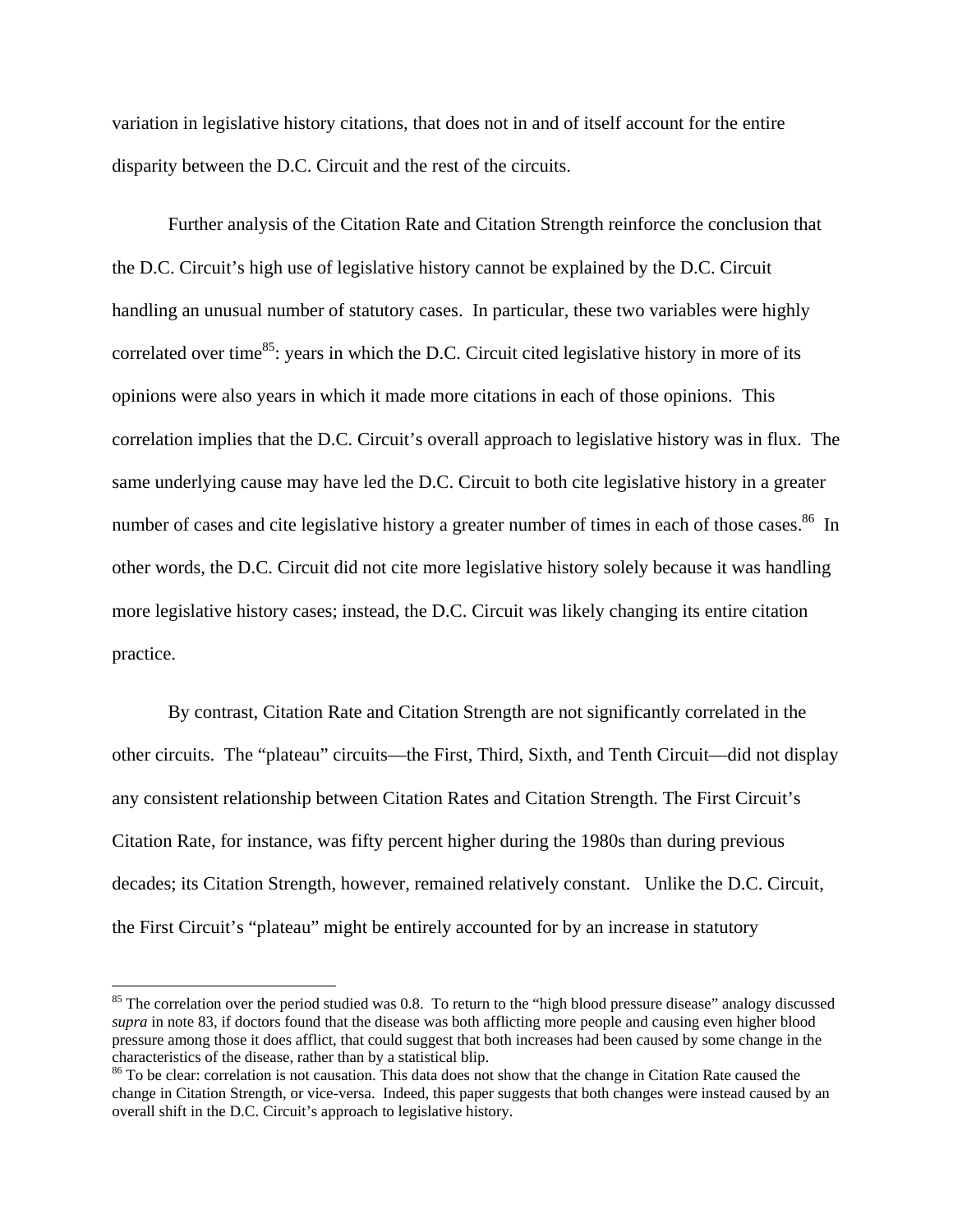variation in legislative history citations, that does not in and of itself account for the entire disparity between the D.C. Circuit and the rest of the circuits.

 Further analysis of the Citation Rate and Citation Strength reinforce the conclusion that the D.C. Circuit's high use of legislative history cannot be explained by the D.C. Circuit handling an unusual number of statutory cases. In particular, these two variables were highly correlated over time<sup>85</sup>: years in which the D.C. Circuit cited legislative history in more of its opinions were also years in which it made more citations in each of those opinions. This correlation implies that the D.C. Circuit's overall approach to legislative history was in flux. The same underlying cause may have led the D.C. Circuit to both cite legislative history in a greater number of cases and cite legislative history a greater number of times in each of those cases.<sup>86</sup> In other words, the D.C. Circuit did not cite more legislative history solely because it was handling more legislative history cases; instead, the D.C. Circuit was likely changing its entire citation practice.

 By contrast, Citation Rate and Citation Strength are not significantly correlated in the other circuits. The "plateau" circuits—the First, Third, Sixth, and Tenth Circuit—did not display any consistent relationship between Citation Rates and Citation Strength. The First Circuit's Citation Rate, for instance, was fifty percent higher during the 1980s than during previous decades; its Citation Strength, however, remained relatively constant. Unlike the D.C. Circuit, the First Circuit's "plateau" might be entirely accounted for by an increase in statutory

<sup>&</sup>lt;sup>85</sup> The correlation over the period studied was 0.8. To return to the "high blood pressure disease" analogy discussed *supra* in note 83, if doctors found that the disease was both afflicting more people and causing even higher blood pressure among those it does afflict, that could suggest that both increases had been caused by some change in the

<sup>&</sup>lt;sup>86</sup> To be clear: correlation is not causation. This data does not show that the change in Citation Rate caused the change in Citation Strength, or vice-versa. Indeed, this paper suggests that both changes were instead caused by an overall shift in the D.C. Circuit's approach to legislative history.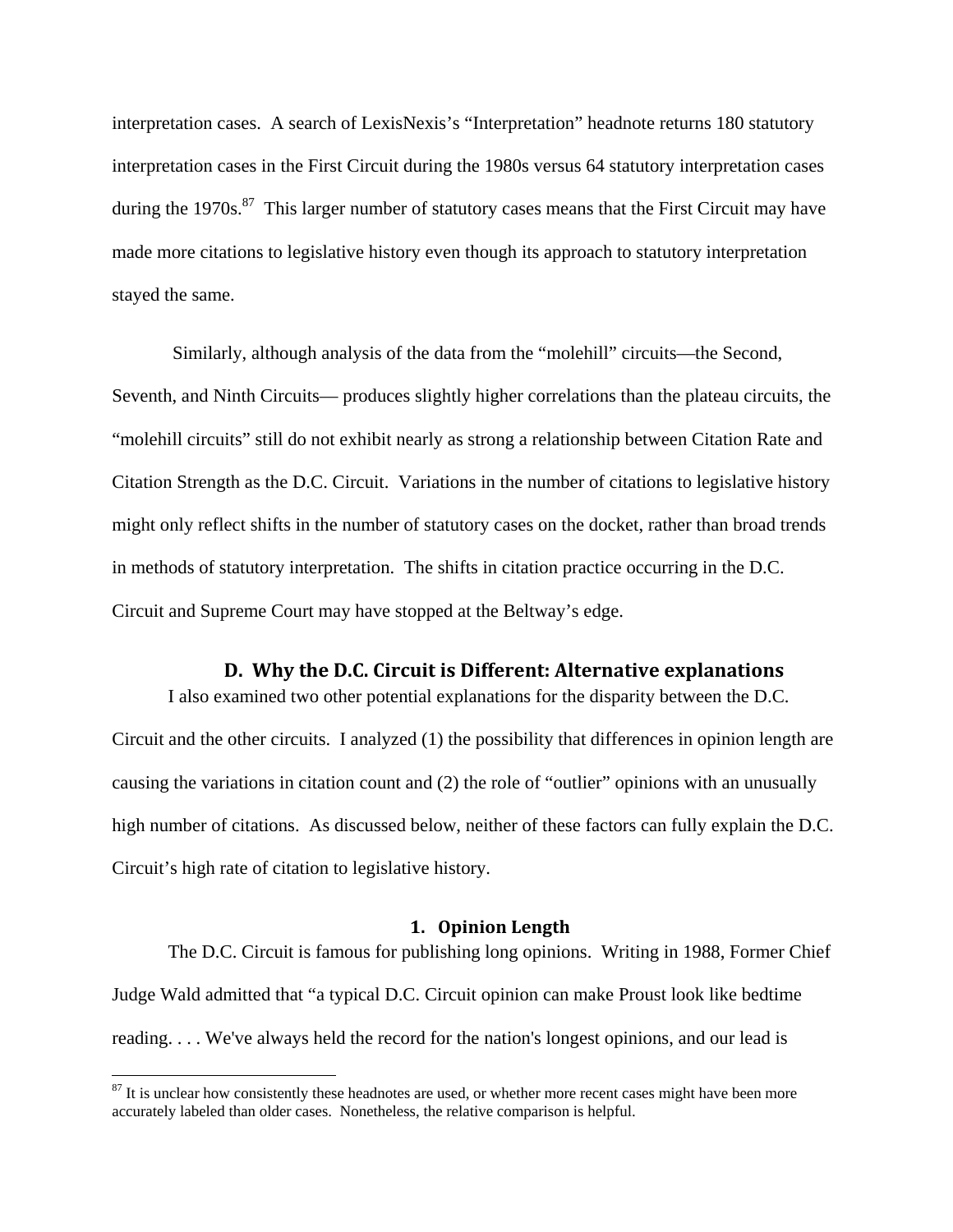interpretation cases. A search of LexisNexis's "Interpretation" headnote returns 180 statutory interpretation cases in the First Circuit during the 1980s versus 64 statutory interpretation cases during the 1970s. $87$  This larger number of statutory cases means that the First Circuit may have made more citations to legislative history even though its approach to statutory interpretation stayed the same.

 Similarly, although analysis of the data from the "molehill" circuits—the Second, Seventh, and Ninth Circuits— produces slightly higher correlations than the plateau circuits, the "molehill circuits" still do not exhibit nearly as strong a relationship between Citation Rate and Citation Strength as the D.C. Circuit. Variations in the number of citations to legislative history might only reflect shifts in the number of statutory cases on the docket, rather than broad trends in methods of statutory interpretation. The shifts in citation practice occurring in the D.C. Circuit and Supreme Court may have stopped at the Beltway's edge.

#### **D. Why the D.C. Circuit is Different: Alternative explanations**

I also examined two other potential explanations for the disparity between the D.C. Circuit and the other circuits. I analyzed (1) the possibility that differences in opinion length are causing the variations in citation count and (2) the role of "outlier" opinions with an unusually high number of citations. As discussed below, neither of these factors can fully explain the D.C. Circuit's high rate of citation to legislative history.

#### **1. Opinion Length**

The D.C. Circuit is famous for publishing long opinions. Writing in 1988, Former Chief Judge Wald admitted that "a typical D.C. Circuit opinion can make Proust look like bedtime reading. . . . We've always held the record for the nation's longest opinions, and our lead is

 $87$  It is unclear how consistently these headnotes are used, or whether more recent cases might have been more accurately labeled than older cases. Nonetheless, the relative comparison is helpful.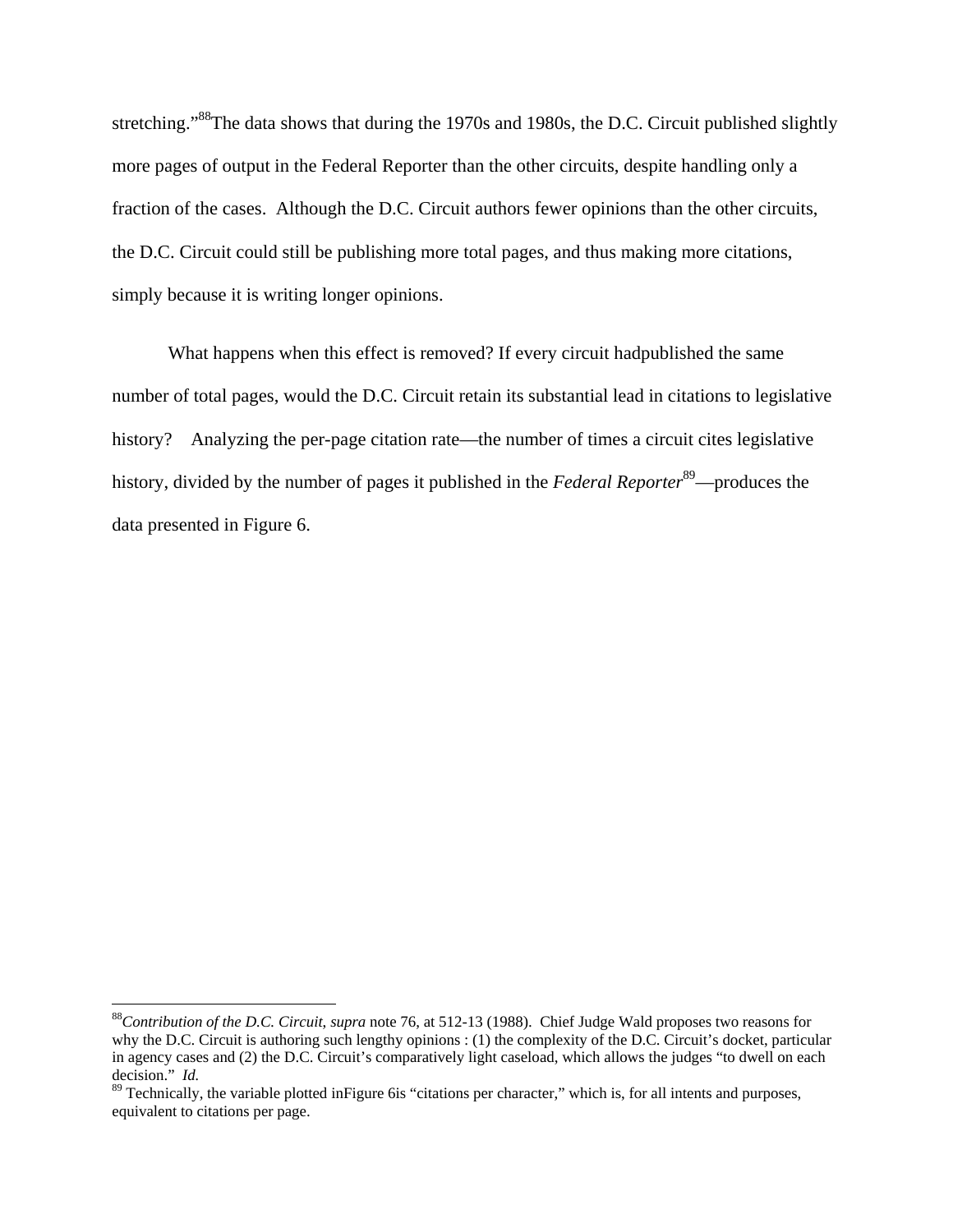stretching."<sup>88</sup>The data shows that during the 1970s and 1980s, the D.C. Circuit published slightly more pages of output in the Federal Reporter than the other circuits, despite handling only a fraction of the cases. Although the D.C. Circuit authors fewer opinions than the other circuits, the D.C. Circuit could still be publishing more total pages, and thus making more citations, simply because it is writing longer opinions.

What happens when this effect is removed? If every circuit hadpublished the same number of total pages, would the D.C. Circuit retain its substantial lead in citations to legislative history? Analyzing the per-page citation rate—the number of times a circuit cites legislative history, divided by the number of pages it published in the *Federal Reporter*<sup>89</sup>—produces the data presented in Figure 6.

<sup>88</sup>*Contribution of the D.C. Circuit*, *supra* note 76, at 512-13 (1988). Chief Judge Wald proposes two reasons for why the D.C. Circuit is authoring such lengthy opinions : (1) the complexity of the D.C. Circuit's docket, particular in agency cases and (2) the D.C. Circuit's comparatively light caseload, which allows the judges "to dwell on each decision." *Id.*

<sup>&</sup>lt;sup>89</sup> Technically, the variable plotted inFigure 6is "citations per character," which is, for all intents and purposes, equivalent to citations per page.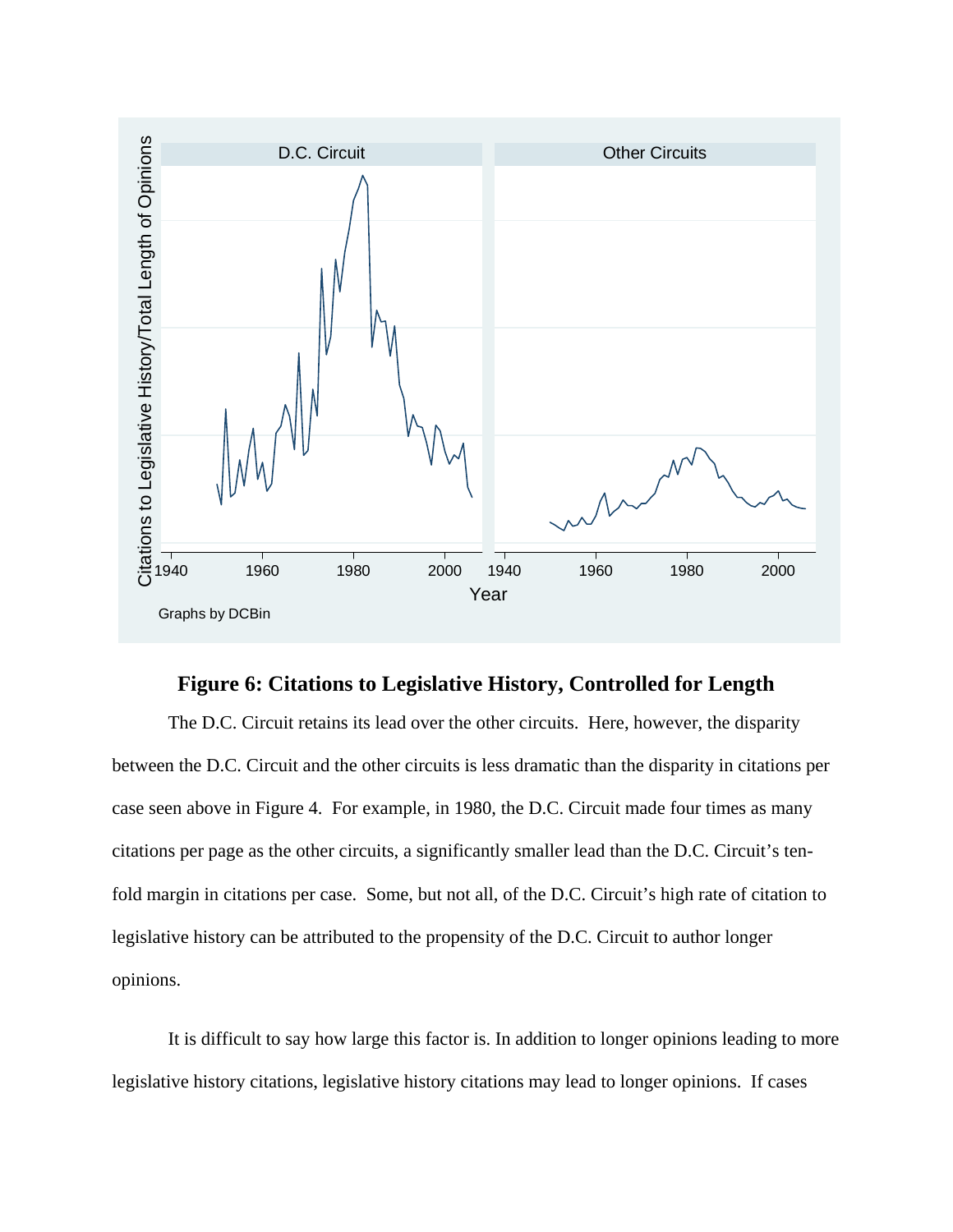

# **Figure 6: Citations to Legislative History, Controlled for Length**

The D.C. Circuit retains its lead over the other circuits. Here, however, the disparity between the D.C. Circuit and the other circuits is less dramatic than the disparity in citations per case seen above in Figure 4. For example, in 1980, the D.C. Circuit made four times as many citations per page as the other circuits, a significantly smaller lead than the D.C. Circuit's tenfold margin in citations per case. Some, but not all, of the D.C. Circuit's high rate of citation to legislative history can be attributed to the propensity of the D.C. Circuit to author longer opinions.

It is difficult to say how large this factor is. In addition to longer opinions leading to more legislative history citations, legislative history citations may lead to longer opinions. If cases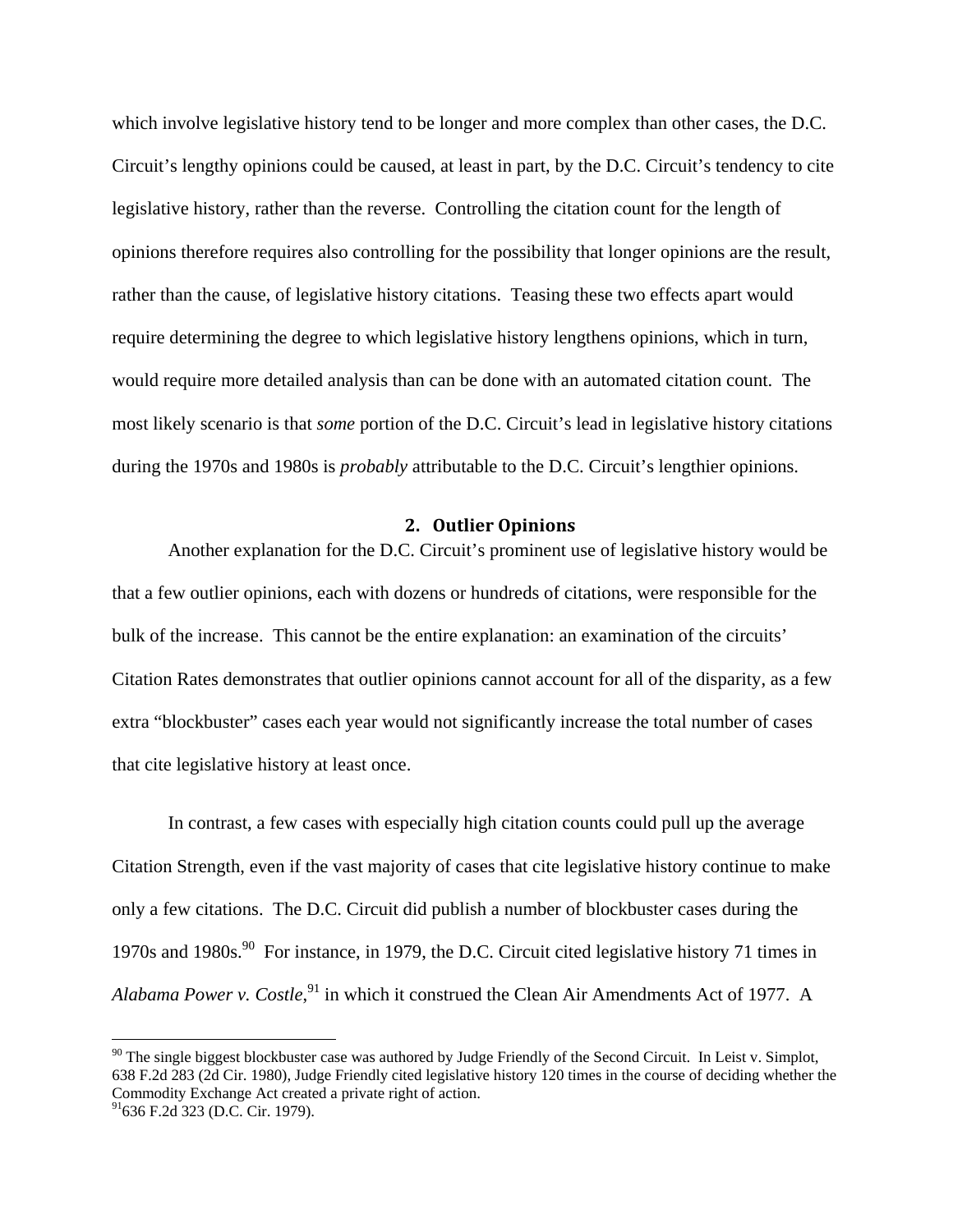which involve legislative history tend to be longer and more complex than other cases, the D.C. Circuit's lengthy opinions could be caused, at least in part, by the D.C. Circuit's tendency to cite legislative history, rather than the reverse. Controlling the citation count for the length of opinions therefore requires also controlling for the possibility that longer opinions are the result, rather than the cause, of legislative history citations. Teasing these two effects apart would require determining the degree to which legislative history lengthens opinions, which in turn, would require more detailed analysis than can be done with an automated citation count. The most likely scenario is that *some* portion of the D.C. Circuit's lead in legislative history citations during the 1970s and 1980s is *probably* attributable to the D.C. Circuit's lengthier opinions.

#### **2. Outlier Opinions**

Another explanation for the D.C. Circuit's prominent use of legislative history would be that a few outlier opinions, each with dozens or hundreds of citations, were responsible for the bulk of the increase. This cannot be the entire explanation: an examination of the circuits' Citation Rates demonstrates that outlier opinions cannot account for all of the disparity, as a few extra "blockbuster" cases each year would not significantly increase the total number of cases that cite legislative history at least once.

In contrast, a few cases with especially high citation counts could pull up the average Citation Strength, even if the vast majority of cases that cite legislative history continue to make only a few citations. The D.C. Circuit did publish a number of blockbuster cases during the 1970s and 1980s.<sup>90</sup> For instance, in 1979, the D.C. Circuit cited legislative history 71 times in Alabama Power v. Costle,<sup>91</sup> in which it construed the Clean Air Amendments Act of 1977. A

 $90$  The single biggest blockbuster case was authored by Judge Friendly of the Second Circuit. In Leist v. Simplot, 638 F.2d 283 (2d Cir. 1980), Judge Friendly cited legislative history 120 times in the course of deciding whether the Commodity Exchange Act created a private right of action.

 $91$ 636 F.2d 323 (D.C. Cir. 1979).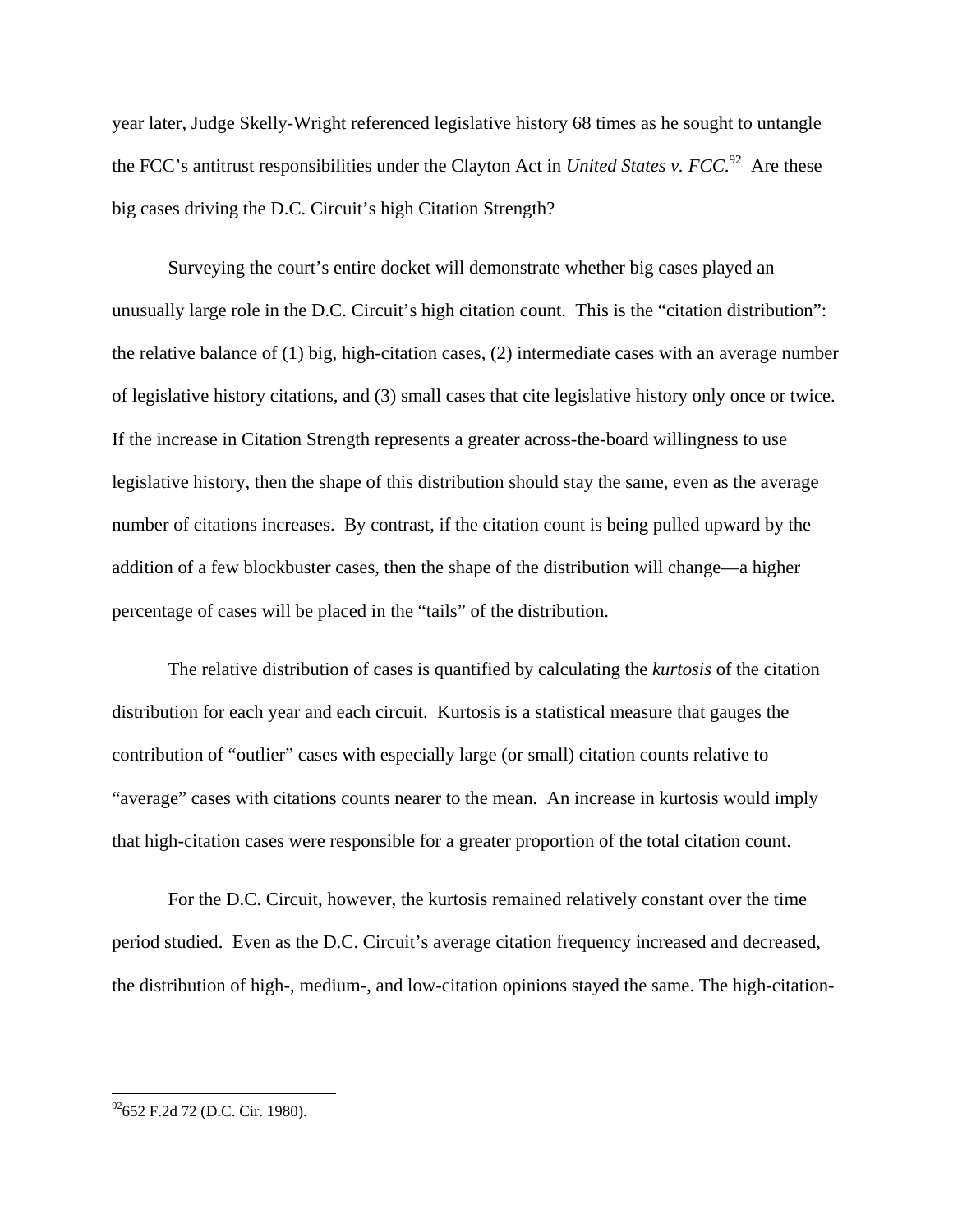year later, Judge Skelly-Wright referenced legislative history 68 times as he sought to untangle the FCC's antitrust responsibilities under the Clayton Act in *United States v. FCC*. 92 Are these big cases driving the D.C. Circuit's high Citation Strength?

Surveying the court's entire docket will demonstrate whether big cases played an unusually large role in the D.C. Circuit's high citation count. This is the "citation distribution": the relative balance of (1) big, high-citation cases, (2) intermediate cases with an average number of legislative history citations, and (3) small cases that cite legislative history only once or twice. If the increase in Citation Strength represents a greater across-the-board willingness to use legislative history, then the shape of this distribution should stay the same, even as the average number of citations increases. By contrast, if the citation count is being pulled upward by the addition of a few blockbuster cases, then the shape of the distribution will change—a higher percentage of cases will be placed in the "tails" of the distribution.

The relative distribution of cases is quantified by calculating the *kurtosis* of the citation distribution for each year and each circuit. Kurtosis is a statistical measure that gauges the contribution of "outlier" cases with especially large (or small) citation counts relative to "average" cases with citations counts nearer to the mean. An increase in kurtosis would imply that high-citation cases were responsible for a greater proportion of the total citation count.

For the D.C. Circuit, however, the kurtosis remained relatively constant over the time period studied. Even as the D.C. Circuit's average citation frequency increased and decreased, the distribution of high-, medium-, and low-citation opinions stayed the same. The high-citation-

 $^{92}$ 652 F.2d 72 (D.C. Cir. 1980).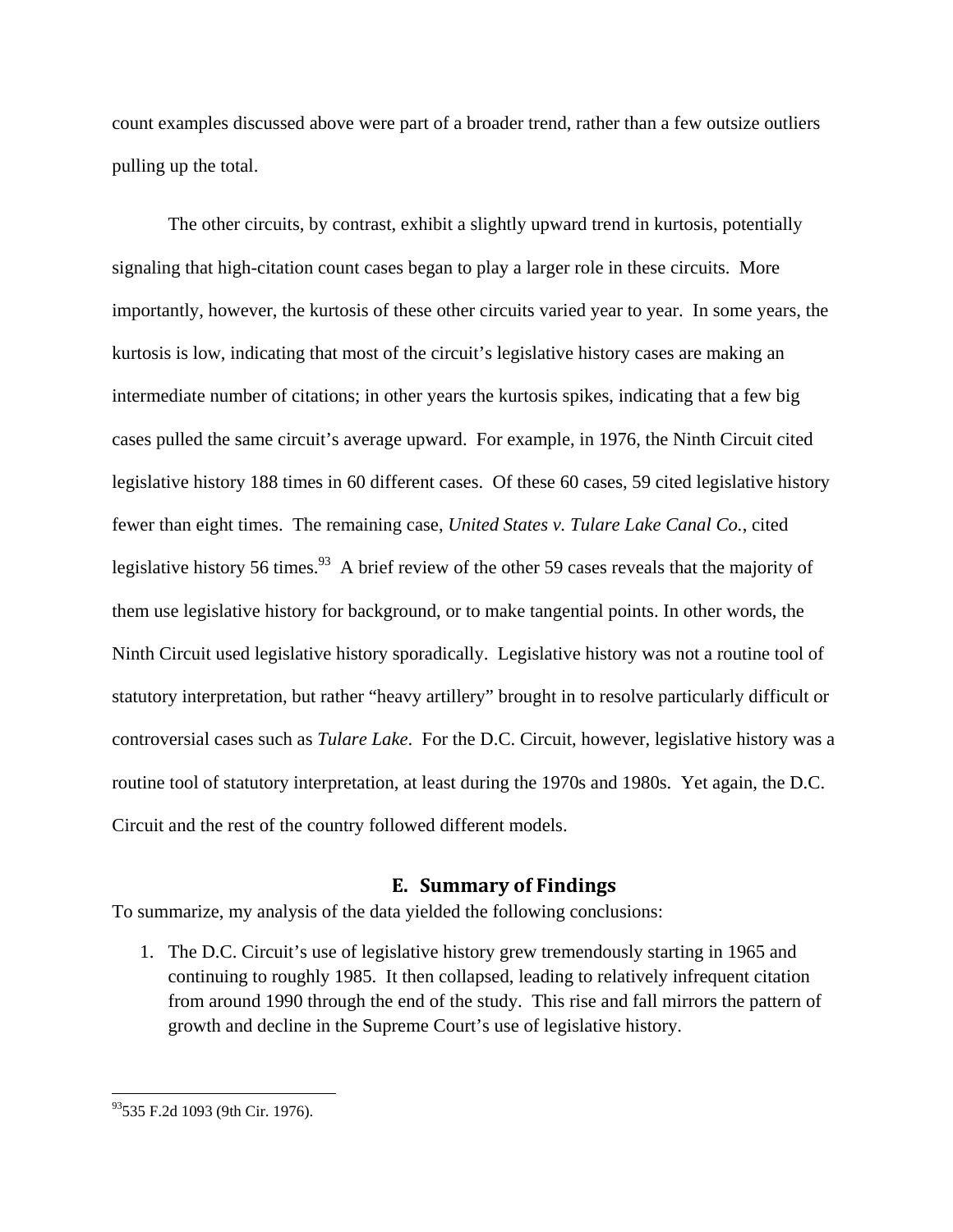count examples discussed above were part of a broader trend, rather than a few outsize outliers pulling up the total.

The other circuits, by contrast, exhibit a slightly upward trend in kurtosis, potentially signaling that high-citation count cases began to play a larger role in these circuits. More importantly, however, the kurtosis of these other circuits varied year to year. In some years, the kurtosis is low, indicating that most of the circuit's legislative history cases are making an intermediate number of citations; in other years the kurtosis spikes, indicating that a few big cases pulled the same circuit's average upward. For example, in 1976, the Ninth Circuit cited legislative history 188 times in 60 different cases. Of these 60 cases, 59 cited legislative history fewer than eight times. The remaining case, *United States v. Tulare Lake Canal Co.*, cited legislative history 56 times.<sup>93</sup> A brief review of the other 59 cases reveals that the majority of them use legislative history for background, or to make tangential points. In other words, the Ninth Circuit used legislative history sporadically. Legislative history was not a routine tool of statutory interpretation, but rather "heavy artillery" brought in to resolve particularly difficult or controversial cases such as *Tulare Lake*. For the D.C. Circuit, however, legislative history was a routine tool of statutory interpretation, at least during the 1970s and 1980s. Yet again, the D.C. Circuit and the rest of the country followed different models.

#### **E. Summary of Findings**

To summarize, my analysis of the data yielded the following conclusions:

1. The D.C. Circuit's use of legislative history grew tremendously starting in 1965 and continuing to roughly 1985. It then collapsed, leading to relatively infrequent citation from around 1990 through the end of the study. This rise and fall mirrors the pattern of growth and decline in the Supreme Court's use of legislative history.

<sup>93535</sup> F.2d 1093 (9th Cir. 1976).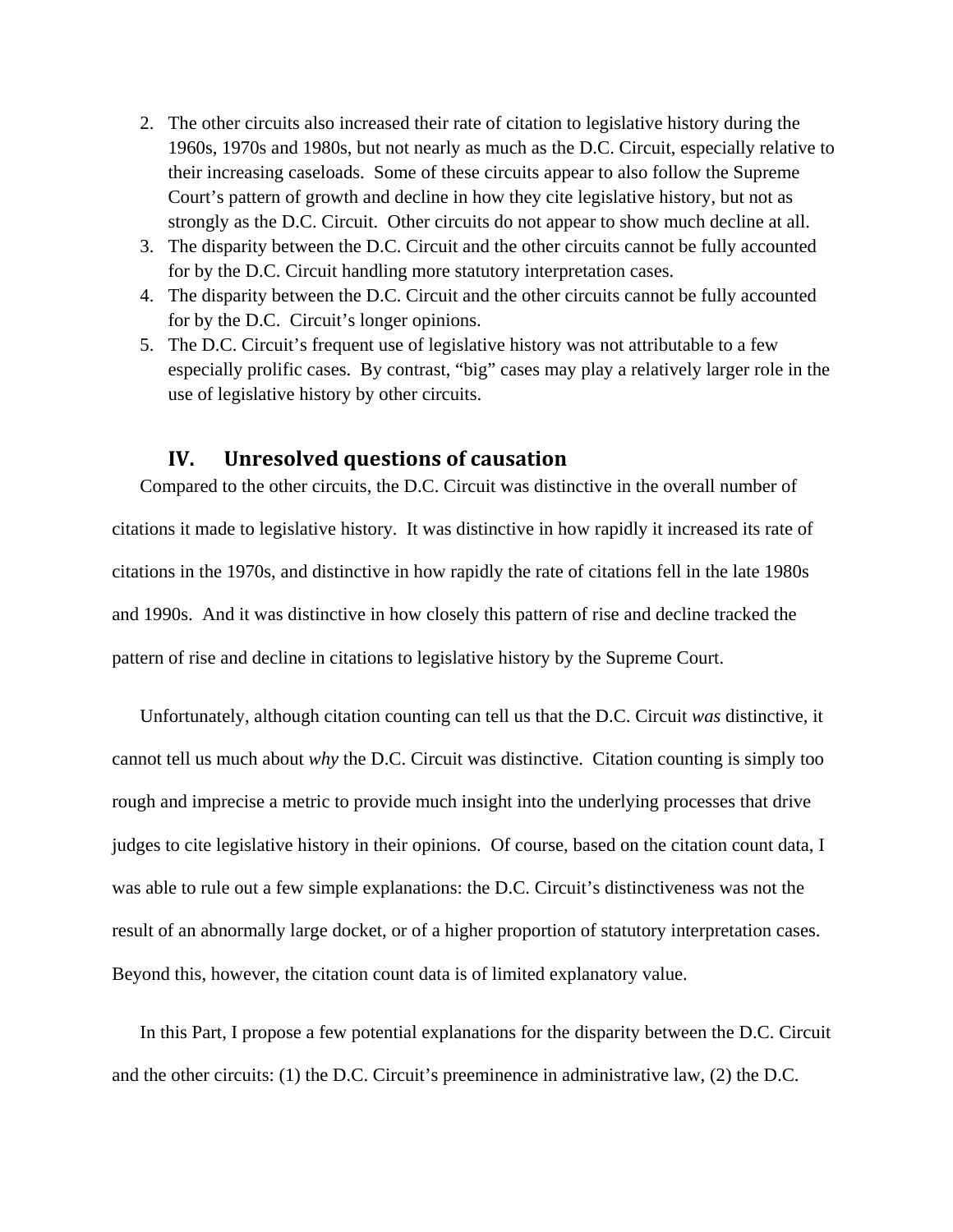- 2. The other circuits also increased their rate of citation to legislative history during the 1960s, 1970s and 1980s, but not nearly as much as the D.C. Circuit, especially relative to their increasing caseloads. Some of these circuits appear to also follow the Supreme Court's pattern of growth and decline in how they cite legislative history, but not as strongly as the D.C. Circuit. Other circuits do not appear to show much decline at all.
- 3. The disparity between the D.C. Circuit and the other circuits cannot be fully accounted for by the D.C. Circuit handling more statutory interpretation cases.
- 4. The disparity between the D.C. Circuit and the other circuits cannot be fully accounted for by the D.C. Circuit's longer opinions.
- 5. The D.C. Circuit's frequent use of legislative history was not attributable to a few especially prolific cases. By contrast, "big" cases may play a relatively larger role in the use of legislative history by other circuits.

#### **IV. Unresolved questions of causation**

Compared to the other circuits, the D.C. Circuit was distinctive in the overall number of citations it made to legislative history. It was distinctive in how rapidly it increased its rate of citations in the 1970s, and distinctive in how rapidly the rate of citations fell in the late 1980s and 1990s. And it was distinctive in how closely this pattern of rise and decline tracked the pattern of rise and decline in citations to legislative history by the Supreme Court.

Unfortunately, although citation counting can tell us that the D.C. Circuit *was* distinctive, it cannot tell us much about *why* the D.C. Circuit was distinctive. Citation counting is simply too rough and imprecise a metric to provide much insight into the underlying processes that drive judges to cite legislative history in their opinions. Of course, based on the citation count data, I was able to rule out a few simple explanations: the D.C. Circuit's distinctiveness was not the result of an abnormally large docket, or of a higher proportion of statutory interpretation cases. Beyond this, however, the citation count data is of limited explanatory value.

In this Part, I propose a few potential explanations for the disparity between the D.C. Circuit and the other circuits: (1) the D.C. Circuit's preeminence in administrative law, (2) the D.C.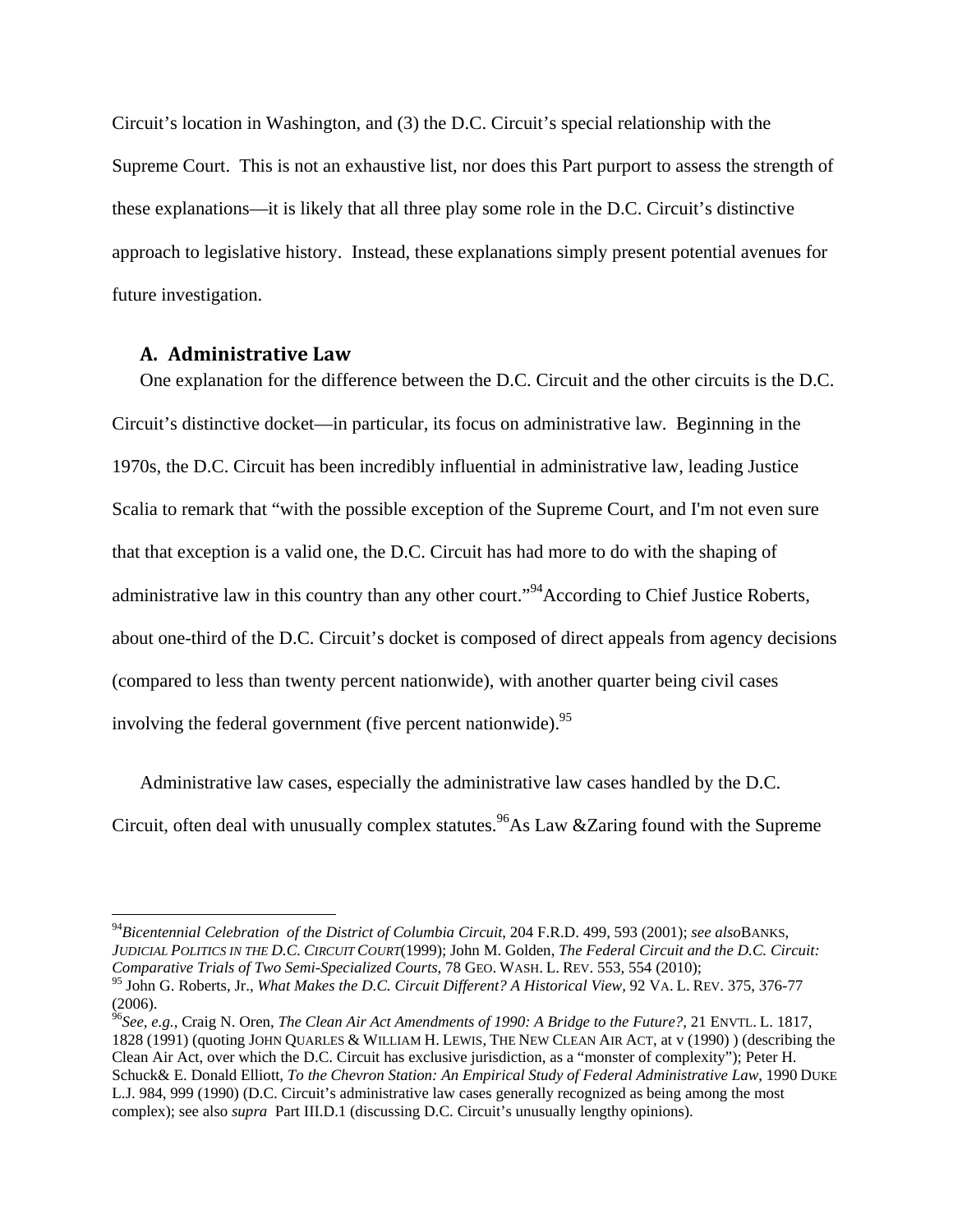Circuit's location in Washington, and (3) the D.C. Circuit's special relationship with the Supreme Court. This is not an exhaustive list, nor does this Part purport to assess the strength of these explanations—it is likely that all three play some role in the D.C. Circuit's distinctive approach to legislative history. Instead, these explanations simply present potential avenues for future investigation.

#### **A. Administrative Law**

 $\overline{a}$ 

One explanation for the difference between the D.C. Circuit and the other circuits is the D.C. Circuit's distinctive docket—in particular, its focus on administrative law. Beginning in the 1970s, the D.C. Circuit has been incredibly influential in administrative law, leading Justice Scalia to remark that "with the possible exception of the Supreme Court, and I'm not even sure that that exception is a valid one, the D.C. Circuit has had more to do with the shaping of administrative law in this country than any other court."<sup>94</sup>According to Chief Justice Roberts, about one-third of the D.C. Circuit's docket is composed of direct appeals from agency decisions (compared to less than twenty percent nationwide), with another quarter being civil cases involving the federal government (five percent nationwide).  $95$ 

Administrative law cases, especially the administrative law cases handled by the D.C. Circuit, often deal with unusually complex statutes.  $96\text{As}$  Law &Zaring found with the Supreme

<sup>94</sup>*Bicentennial Celebration of the District of Columbia Circuit*, 204 F.R.D. 499, 593 (2001); *see also*BANKS, *JUDICIAL POLITICS IN THE D.C. CIRCUIT COURT*(1999); John M. Golden, *The Federal Circuit and the D.C. Circuit: Comparative Trials of Two Semi-Specialized Courts*, 78 GEO. WASH. L. REV. 553, 554 (2010); 95 John G. Roberts, Jr., *What Makes the D.C. Circuit Different? A Historical View*, 92 VA. L. REV. 375, 376-77

<sup>(2006).</sup>  <sup>96</sup>*See, e.g.*, Craig N. Oren, *The Clean Air Act Amendments of 1990: A Bridge to the Future?*, 21 ENVTL. L. 1817, 1828 (1991) (quoting JOHN QUARLES & WILLIAM H. LEWIS, THE NEW CLEAN AIR ACT, at v (1990) ) (describing the Clean Air Act, over which the D.C. Circuit has exclusive jurisdiction, as a "monster of complexity"); Peter H. Schuck& E. Donald Elliott*, To the Chevron Station: An Empirical Study of Federal Administrative Law*, 1990 DUKE L.J. 984, 999 (1990) (D.C. Circuit's administrative law cases generally recognized as being among the most complex); see also *supra* Part III.D.1 (discussing D.C. Circuit's unusually lengthy opinions).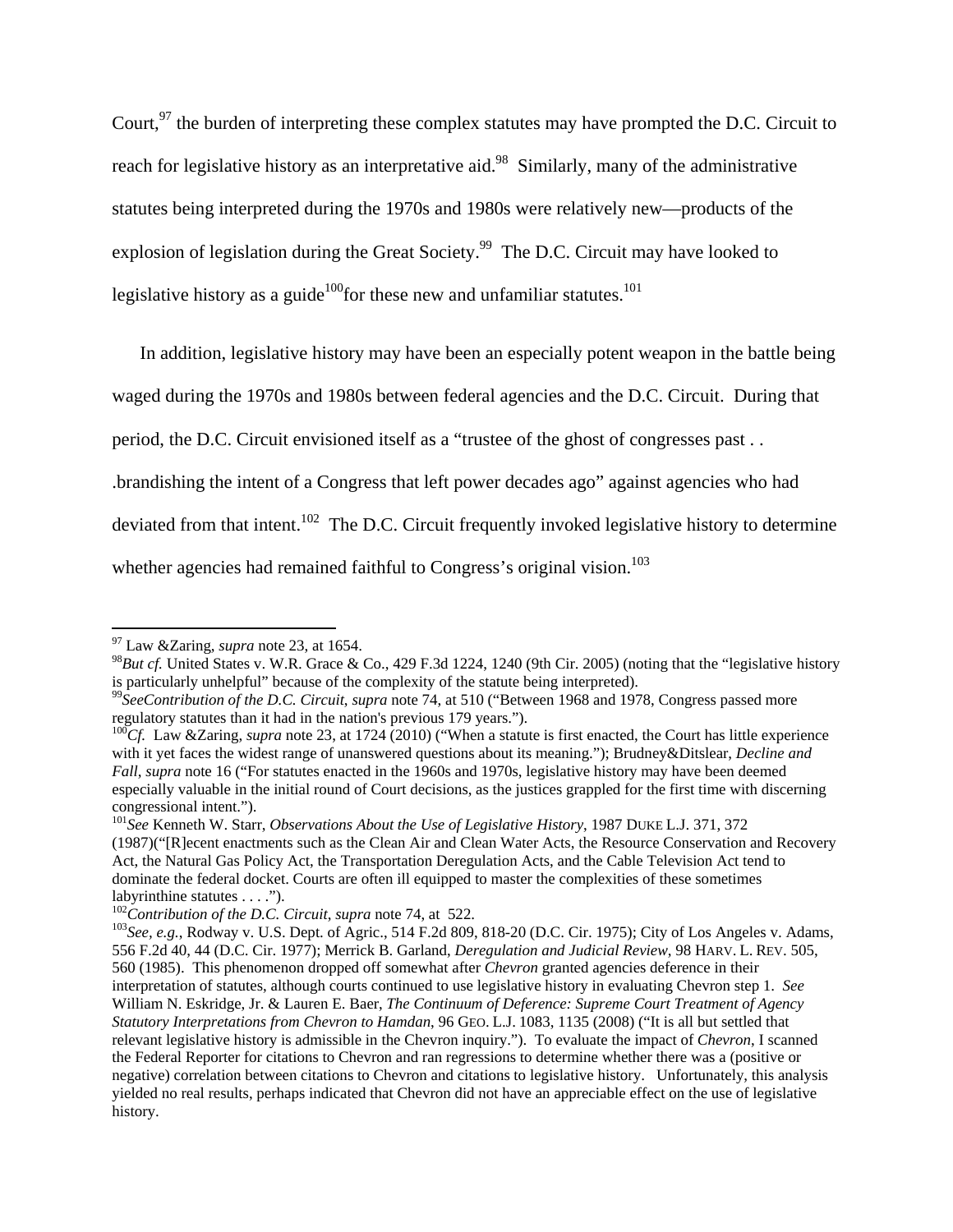Court,  $97$  the burden of interpreting these complex statutes may have prompted the D.C. Circuit to reach for legislative history as an interpretative aid.<sup>98</sup> Similarly, many of the administrative statutes being interpreted during the 1970s and 1980s were relatively new—products of the explosion of legislation during the Great Society.<sup>99</sup> The D.C. Circuit may have looked to legislative history as a guide<sup>100</sup> for these new and unfamiliar statutes.<sup>101</sup>

In addition, legislative history may have been an especially potent weapon in the battle being

waged during the 1970s and 1980s between federal agencies and the D.C. Circuit. During that

period, the D.C. Circuit envisioned itself as a "trustee of the ghost of congresses past . .

.brandishing the intent of a Congress that left power decades ago" against agencies who had

deviated from that intent.<sup>102</sup> The D.C. Circuit frequently invoked legislative history to determine

whether agencies had remained faithful to Congress's original vision.<sup>103</sup>

<sup>97</sup> Law &Zaring, *supra* note 23, at 1654.

<sup>98</sup>*But cf.* United States v. W.R. Grace & Co., 429 F.3d 1224, 1240 (9th Cir. 2005) (noting that the "legislative history is particularly unhelpful" because of the complexity of the statute being interpreted).

<sup>99</sup>*SeeContribution of the D.C. Circuit*, *supra* note 74, at 510 ("Between 1968 and 1978, Congress passed more regulatory statutes than it had in the nation's previous 179 years.").

<sup>&</sup>lt;sup>100</sup>Cf. Law &Zaring, *supra* note 23, at 1724 (2010) ("When a statute is first enacted, the Court has little experience with it yet faces the widest range of unanswered questions about its meaning."); Brudney&Ditslear, *Decline and Fall*, *supra* note 16 ("For statutes enacted in the 1960s and 1970s, legislative history may have been deemed especially valuable in the initial round of Court decisions, as the justices grappled for the first time with discerning congressional intent.").

<sup>101</sup>*See* Kenneth W. Starr, *Observations About the Use of Legislative History*, 1987 DUKE L.J. 371, 372 (1987)("[R]ecent enactments such as the Clean Air and Clean Water Acts, the Resource Conservation and Recovery Act, the Natural Gas Policy Act, the Transportation Deregulation Acts, and the Cable Television Act tend to dominate the federal docket. Courts are often ill equipped to master the complexities of these sometimes labyrinthine statutes . . . .").<br> $^{102}$ Contribution of the D.C. Circuit, supra note 74, at 522.

<sup>&</sup>lt;sup>103</sup>*See, e.g.*, Rodway v. U.S. Dept. of Agric., 514 F.2d 809, 818-20 (D.C. Cir. 1975); City of Los Angeles v. Adams, 556 F.2d 40, 44 (D.C. Cir. 1977); Merrick B. Garland, *Deregulation and Judicial Review*, 98 HARV. L. REV. 505, 560 (1985). This phenomenon dropped off somewhat after *Chevron* granted agencies deference in their interpretation of statutes, although courts continued to use legislative history in evaluating Chevron step 1. *See* William N. Eskridge, Jr. & Lauren E. Baer, *The Continuum of Deference: Supreme Court Treatment of Agency Statutory Interpretations from Chevron to Hamdan*, 96 GEO. L.J. 1083, 1135 (2008) ("It is all but settled that relevant legislative history is admissible in the Chevron inquiry."). To evaluate the impact of *Chevron*, I scanned the Federal Reporter for citations to Chevron and ran regressions to determine whether there was a (positive or negative) correlation between citations to Chevron and citations to legislative history. Unfortunately, this analysis yielded no real results, perhaps indicated that Chevron did not have an appreciable effect on the use of legislative history.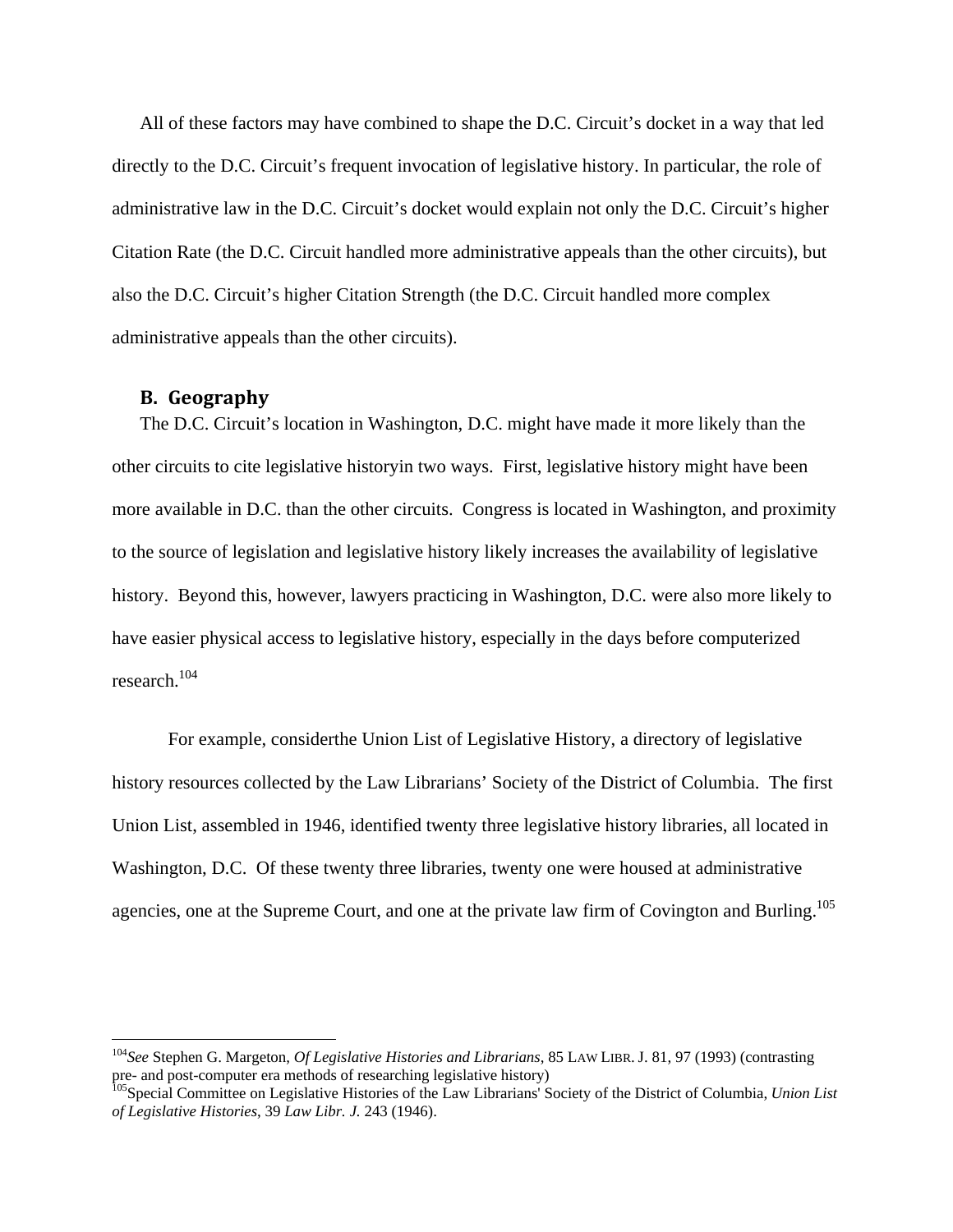All of these factors may have combined to shape the D.C. Circuit's docket in a way that led directly to the D.C. Circuit's frequent invocation of legislative history. In particular, the role of administrative law in the D.C. Circuit's docket would explain not only the D.C. Circuit's higher Citation Rate (the D.C. Circuit handled more administrative appeals than the other circuits), but also the D.C. Circuit's higher Citation Strength (the D.C. Circuit handled more complex administrative appeals than the other circuits).

## **B. Geography**

<u>.</u>

The D.C. Circuit's location in Washington, D.C. might have made it more likely than the other circuits to cite legislative historyin two ways. First, legislative history might have been more available in D.C. than the other circuits. Congress is located in Washington, and proximity to the source of legislation and legislative history likely increases the availability of legislative history. Beyond this, however, lawyers practicing in Washington, D.C. were also more likely to have easier physical access to legislative history, especially in the days before computerized research.104

For example, considerthe Union List of Legislative History, a directory of legislative history resources collected by the Law Librarians' Society of the District of Columbia. The first Union List, assembled in 1946, identified twenty three legislative history libraries, all located in Washington, D.C. Of these twenty three libraries, twenty one were housed at administrative agencies, one at the Supreme Court, and one at the private law firm of Covington and Burling.<sup>105</sup>

<sup>104</sup>*See* Stephen G. Margeton, *Of Legislative Histories and Librarians*, 85 LAW LIBR. J. 81, 97 (1993) (contrasting pre- and post-computer era methods of researching legislative history)

<sup>105</sup>Special Committee on Legislative Histories of the Law Librarians' Society of the District of Columbia, *Union List of Legislative Histories*, 39 *Law Libr. J.* 243 (1946).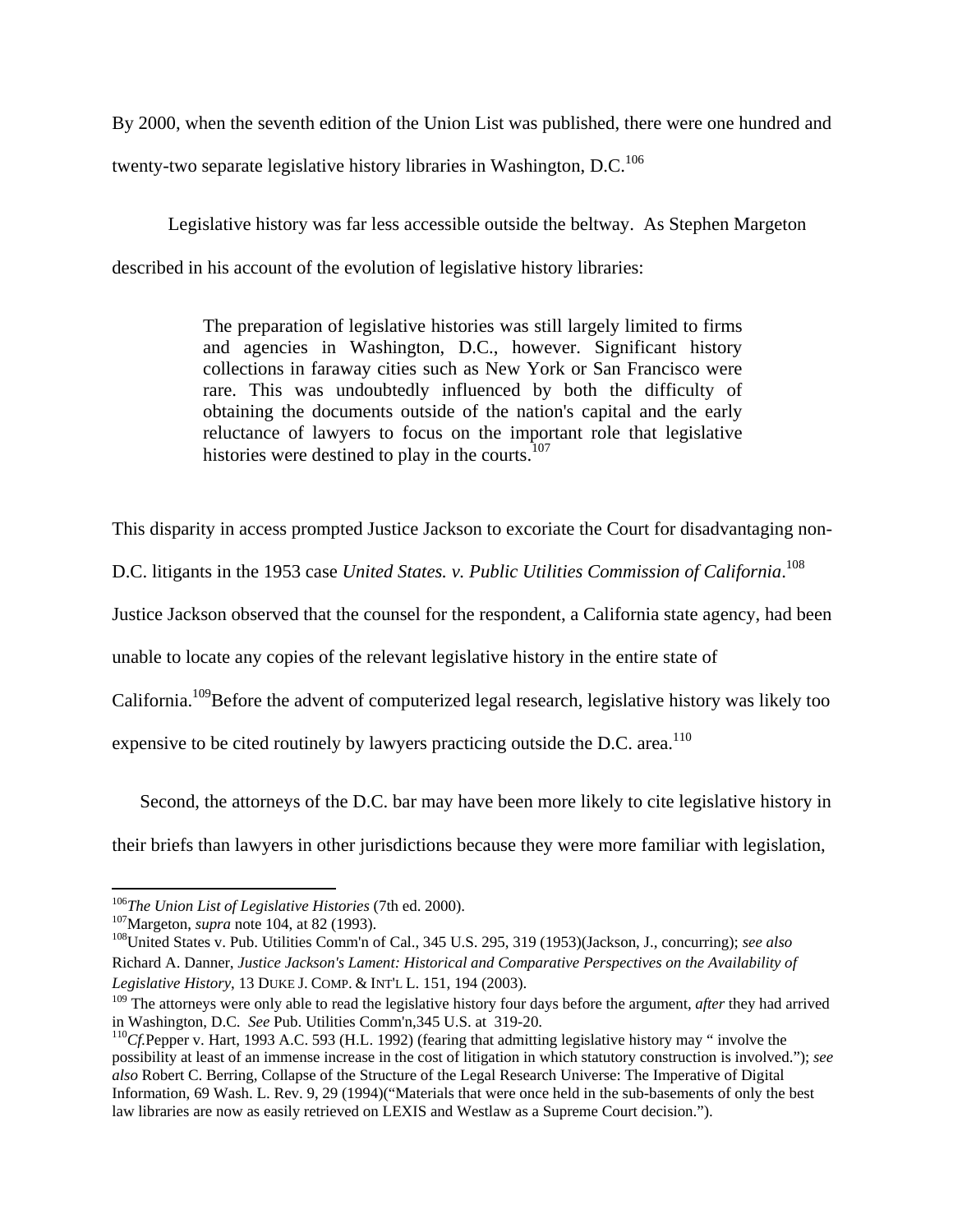By 2000, when the seventh edition of the Union List was published, there were one hundred and twenty-two separate legislative history libraries in Washington, D.C.<sup>106</sup>

Legislative history was far less accessible outside the beltway. As Stephen Margeton described in his account of the evolution of legislative history libraries:

> The preparation of legislative histories was still largely limited to firms and agencies in Washington, D.C., however. Significant history collections in faraway cities such as New York or San Francisco were rare. This was undoubtedly influenced by both the difficulty of obtaining the documents outside of the nation's capital and the early reluctance of lawyers to focus on the important role that legislative histories were destined to play in the courts.<sup>107</sup>

This disparity in access prompted Justice Jackson to excoriate the Court for disadvantaging non-

D.C. litigants in the 1953 case *United States. v. Public Utilities Commission of California*. 108

Justice Jackson observed that the counsel for the respondent, a California state agency, had been

unable to locate any copies of the relevant legislative history in the entire state of

California.<sup>109</sup>Before the advent of computerized legal research, legislative history was likely too

expensive to be cited routinely by lawyers practicing outside the D.C. area.<sup>110</sup>

Second, the attorneys of the D.C. bar may have been more likely to cite legislative history in

their briefs than lawyers in other jurisdictions because they were more familiar with legislation,

 $106$ The Union List of Legislative Histories (7th ed. 2000).

 $^{107}$ Margeton, *supra* note 104, at 82 (1993).<br><sup>108</sup>United States v. Pub. Utilities Comm'n of Cal., 345 U.S. 295, 319 (1953)(Jackson, J., concurring); *see also* Richard A. Danner, *Justice Jackson's Lament: Historical and Comparative Perspectives on the Availability of Legislative History*, 13 DUKE J. COMP. & INT'L L. 151, 194 (2003).

<sup>&</sup>lt;sup>109</sup> The attorneys were only able to read the legislative history four days before the argument, *after* they had arrived in Washington, D.C. *See* Pub. Utilities Comm'n, 345 U.S. at 319-20.

<sup>&</sup>lt;sup>110</sup>Cf. Pepper v. Hart, 1993 A.C. 593 (H.L. 1992) (fearing that admitting legislative history may " involve the possibility at least of an immense increase in the cost of litigation in which statutory construction is involved."); *see also* Robert C. Berring, Collapse of the Structure of the Legal Research Universe: The Imperative of Digital Information, 69 Wash. L. Rev. 9, 29 (1994)("Materials that were once held in the sub-basements of only the best law libraries are now as easily retrieved on LEXIS and Westlaw as a Supreme Court decision.").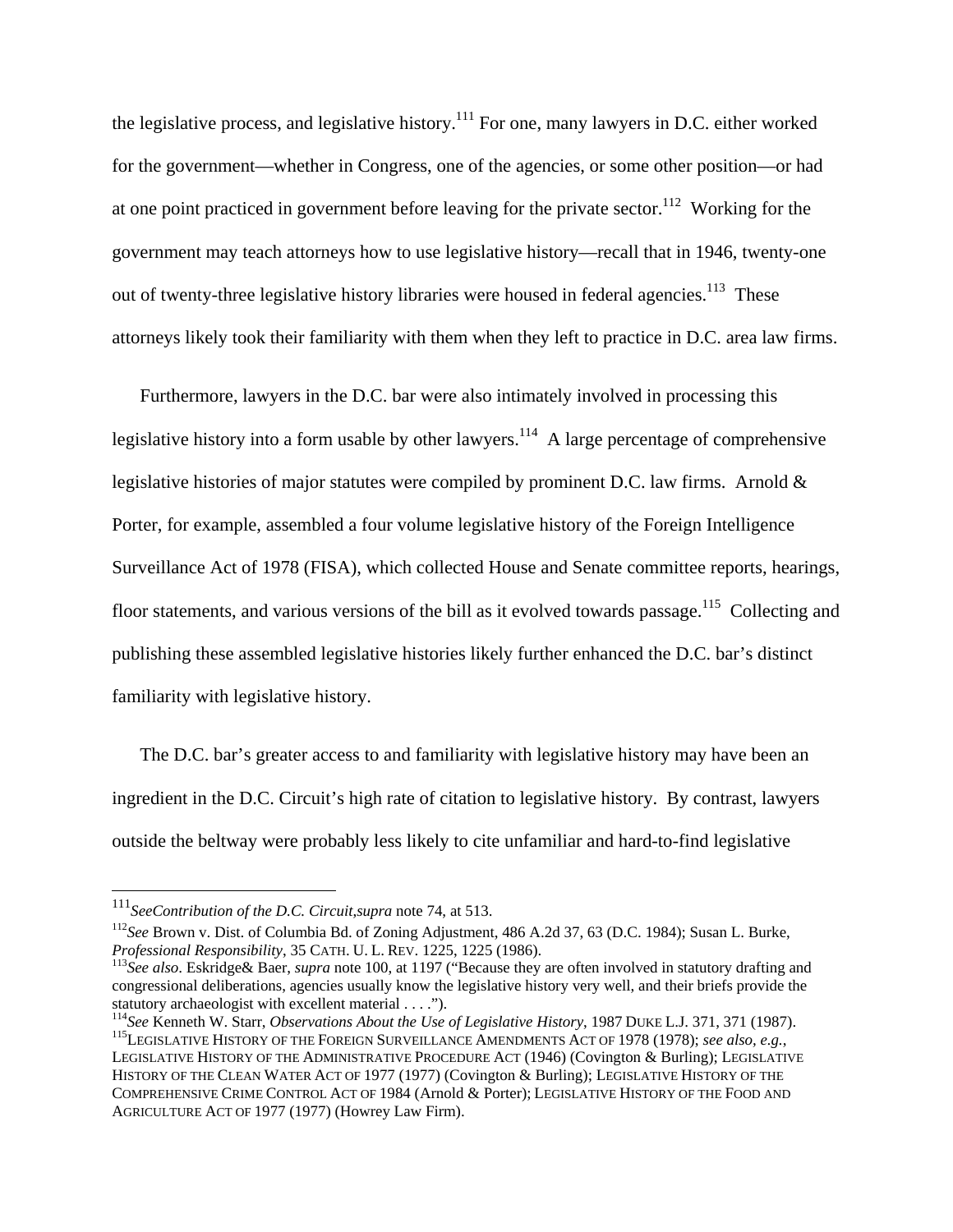the legislative process, and legislative history.<sup>111</sup> For one, many lawyers in D.C. either worked for the government—whether in Congress, one of the agencies, or some other position—or had at one point practiced in government before leaving for the private sector.<sup>112</sup> Working for the government may teach attorneys how to use legislative history—recall that in 1946, twenty-one out of twenty-three legislative history libraries were housed in federal agencies.<sup>113</sup> These attorneys likely took their familiarity with them when they left to practice in D.C. area law firms.

Furthermore, lawyers in the D.C. bar were also intimately involved in processing this legislative history into a form usable by other lawyers.<sup>114</sup> A large percentage of comprehensive legislative histories of major statutes were compiled by prominent D.C. law firms. Arnold & Porter, for example, assembled a four volume legislative history of the Foreign Intelligence Surveillance Act of 1978 (FISA), which collected House and Senate committee reports, hearings, floor statements, and various versions of the bill as it evolved towards passage.<sup>115</sup> Collecting and publishing these assembled legislative histories likely further enhanced the D.C. bar's distinct familiarity with legislative history.

The D.C. bar's greater access to and familiarity with legislative history may have been an ingredient in the D.C. Circuit's high rate of citation to legislative history. By contrast, lawyers outside the beltway were probably less likely to cite unfamiliar and hard-to-find legislative

 $^{111}$ SeeContribution of the D.C. Circuit, supra note 74, at 513.

<sup>&</sup>lt;sup>112</sup>See Brown v. Dist. of Columbia Bd. of Zoning Adjustment, 486 A.2d 37, 63 (D.C. 1984); Susan L. Burke, *Professional Responsibility*, 35 CATH. U. L. REV. 1225, 1225 (1986).

<sup>&</sup>lt;sup>113</sup>See also. Eskridge& Baer, *supra* note 100, at 1197 ("Because they are often involved in statutory drafting and congressional deliberations, agencies usually know the legislative history very well, and their briefs provide the statutory archaeologist with excellent material . . . .").<br><sup>114</sup>See Kenneth W. Starr, *Observations About the Use of Legislative History*, 1987 DUKE L.J. 371, 371 (1987).

<sup>&</sup>lt;sup>115</sup>LEGISLATIVE HISTORY OF THE FOREIGN SURVEILLANCE AMENDMENTS ACT OF 1978 (1978); see also, e.g.,

LEGISLATIVE HISTORY OF THE ADMINISTRATIVE PROCEDURE ACT (1946) (Covington & Burling); LEGISLATIVE HISTORY OF THE CLEAN WATER ACT OF 1977 (1977) (Covington & Burling); LEGISLATIVE HISTORY OF THE COMPREHENSIVE CRIME CONTROL ACT OF 1984 (Arnold & Porter); LEGISLATIVE HISTORY OF THE FOOD AND AGRICULTURE ACT OF 1977 (1977) (Howrey Law Firm).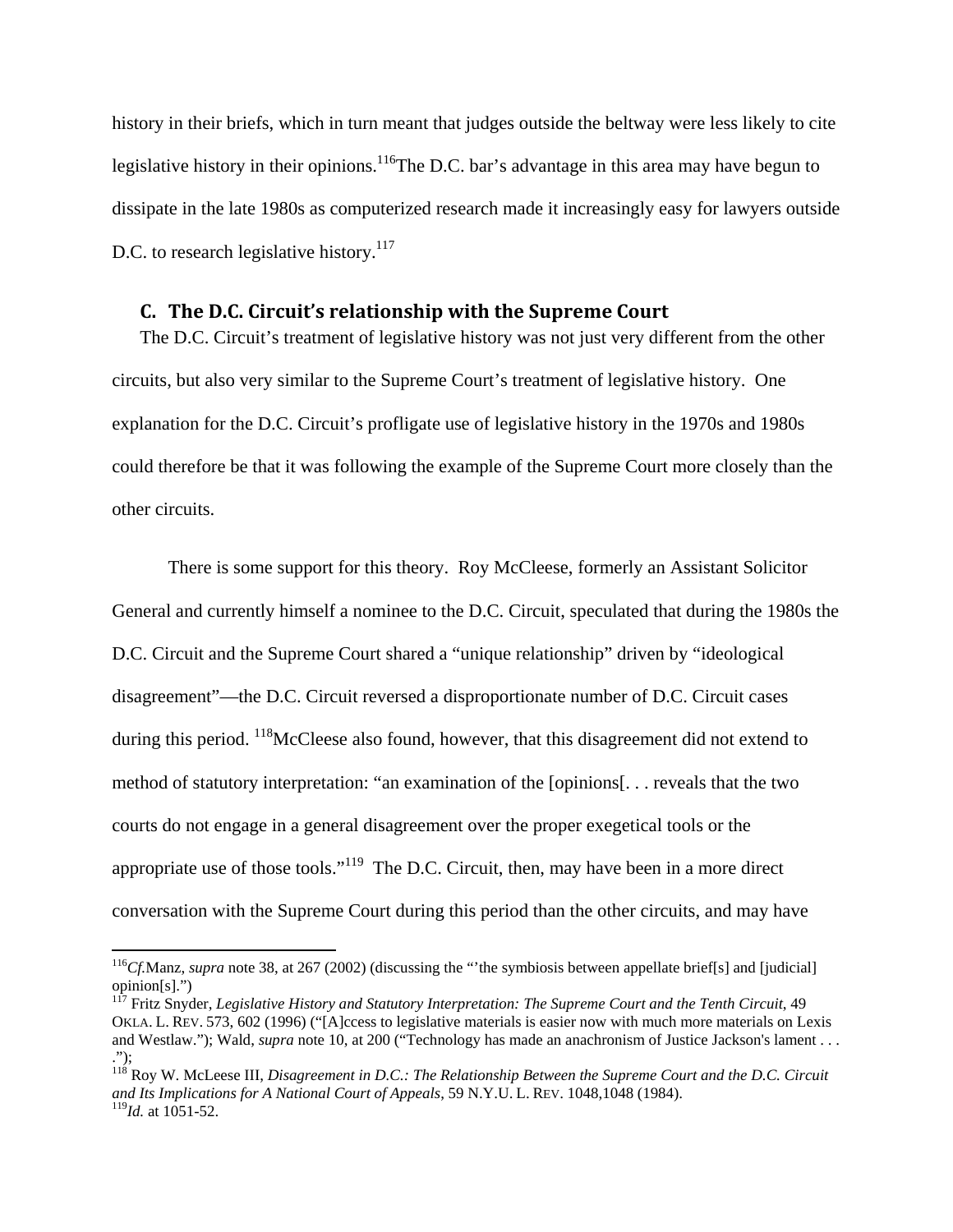history in their briefs, which in turn meant that judges outside the beltway were less likely to cite legislative history in their opinions.<sup>116</sup>The D.C. bar's advantage in this area may have begun to dissipate in the late 1980s as computerized research made it increasingly easy for lawyers outside D.C. to research legislative history.<sup>117</sup>

#### **C. The D.C. Circuit's relationship with the Supreme Court**

The D.C. Circuit's treatment of legislative history was not just very different from the other circuits, but also very similar to the Supreme Court's treatment of legislative history. One explanation for the D.C. Circuit's profligate use of legislative history in the 1970s and 1980s could therefore be that it was following the example of the Supreme Court more closely than the other circuits.

There is some support for this theory. Roy McCleese, formerly an Assistant Solicitor General and currently himself a nominee to the D.C. Circuit, speculated that during the 1980s the D.C. Circuit and the Supreme Court shared a "unique relationship" driven by "ideological disagreement"—the D.C. Circuit reversed a disproportionate number of D.C. Circuit cases during this period. <sup>118</sup>McCleese also found, however, that this disagreement did not extend to method of statutory interpretation: "an examination of the [opinions[. . . reveals that the two courts do not engage in a general disagreement over the proper exegetical tools or the appropriate use of those tools."119 The D.C. Circuit, then, may have been in a more direct conversation with the Supreme Court during this period than the other circuits, and may have

<sup>116</sup>*Cf.*Manz, *supra* note 38, at 267 (2002) (discussing the "'the symbiosis between appellate brief[s] and [judicial] opinion[s].")

<sup>117</sup> Fritz Snyder, *Legislative History and Statutory Interpretation: The Supreme Court and the Tenth Circuit*, 49 OKLA. L. REV. 573, 602 (1996) ("[A]ccess to legislative materials is easier now with much more materials on Lexis and Westlaw."); Wald, *supra* note 10, at 200 ("Technology has made an anachronism of Justice Jackson's lament . . . .");

<sup>118</sup> Roy W. McLeese III, *Disagreement in D.C.: The Relationship Between the Supreme Court and the D.C. Circuit and Its Implications for A National Court of Appeals*, 59 N.Y.U. L. REV. 1048,1048 (1984). <sup>119</sup>*Id.* at 1051-52.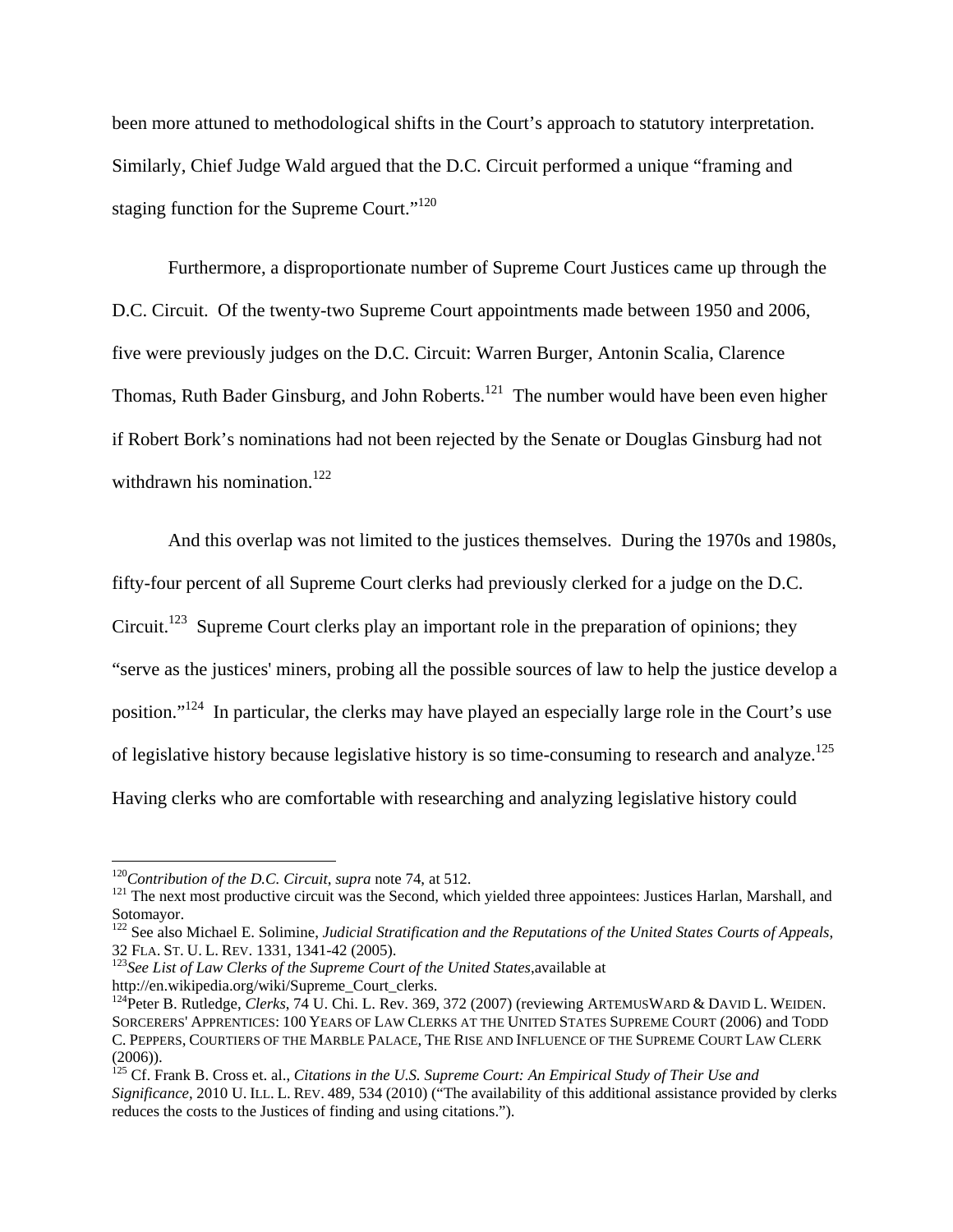been more attuned to methodological shifts in the Court's approach to statutory interpretation. Similarly, Chief Judge Wald argued that the D.C. Circuit performed a unique "framing and staging function for the Supreme Court."<sup>120</sup>

Furthermore, a disproportionate number of Supreme Court Justices came up through the D.C. Circuit. Of the twenty-two Supreme Court appointments made between 1950 and 2006, five were previously judges on the D.C. Circuit: Warren Burger, Antonin Scalia, Clarence Thomas, Ruth Bader Ginsburg, and John Roberts.<sup>121</sup> The number would have been even higher if Robert Bork's nominations had not been rejected by the Senate or Douglas Ginsburg had not withdrawn his nomination.<sup>122</sup>

And this overlap was not limited to the justices themselves. During the 1970s and 1980s, fifty-four percent of all Supreme Court clerks had previously clerked for a judge on the D.C. Circuit.<sup>123</sup> Supreme Court clerks play an important role in the preparation of opinions; they "serve as the justices' miners, probing all the possible sources of law to help the justice develop a position."124 In particular, the clerks may have played an especially large role in the Court's use of legislative history because legislative history is so time-consuming to research and analyze.<sup>125</sup> Having clerks who are comfortable with researching and analyzing legislative history could

<sup>&</sup>lt;sup>120</sup>Contribution of the D.C. Circuit, *supra* note 74, at 512.<br><sup>121</sup> The next most productive circuit was the Second, which yielded three appointees: Justices Harlan, Marshall, and Sotomayor.

<sup>&</sup>lt;sup>122</sup> See also Michael E. Solimine, *Judicial Stratification and the Reputations of the United States Courts of Appeals*,<br>32 FLA. ST. U. L. REV. 1331, 1341-42 (2005).

<sup>&</sup>lt;sup>123</sup> See List of Law Clerks of the Supreme Court of the United States, available at http://en.wikipedia.org/wiki/Supreme\_Court\_clerks.

<sup>&</sup>lt;sup>124</sup>Peter B. Rutledge, *Clerks*, 74 U. Chi. L. Rev. 369, 372 (2007) (reviewing ARTEMUSWARD & DAVID L. WEIDEN. SORCERERS' APPRENTICES: 100 YEARS OF LAW CLERKS AT THE UNITED STATES SUPREME COURT (2006) and TODD C. PEPPERS, COURTIERS OF THE MARBLE PALACE, THE RISE AND INFLUENCE OF THE SUPREME COURT LAW CLERK (2006)).

<sup>125</sup> Cf. Frank B. Cross et. al., *Citations in the U.S. Supreme Court: An Empirical Study of Their Use and Significance*, 2010 U. ILL. L. REV. 489, 534 (2010) ("The availability of this additional assistance provided by clerks reduces the costs to the Justices of finding and using citations.").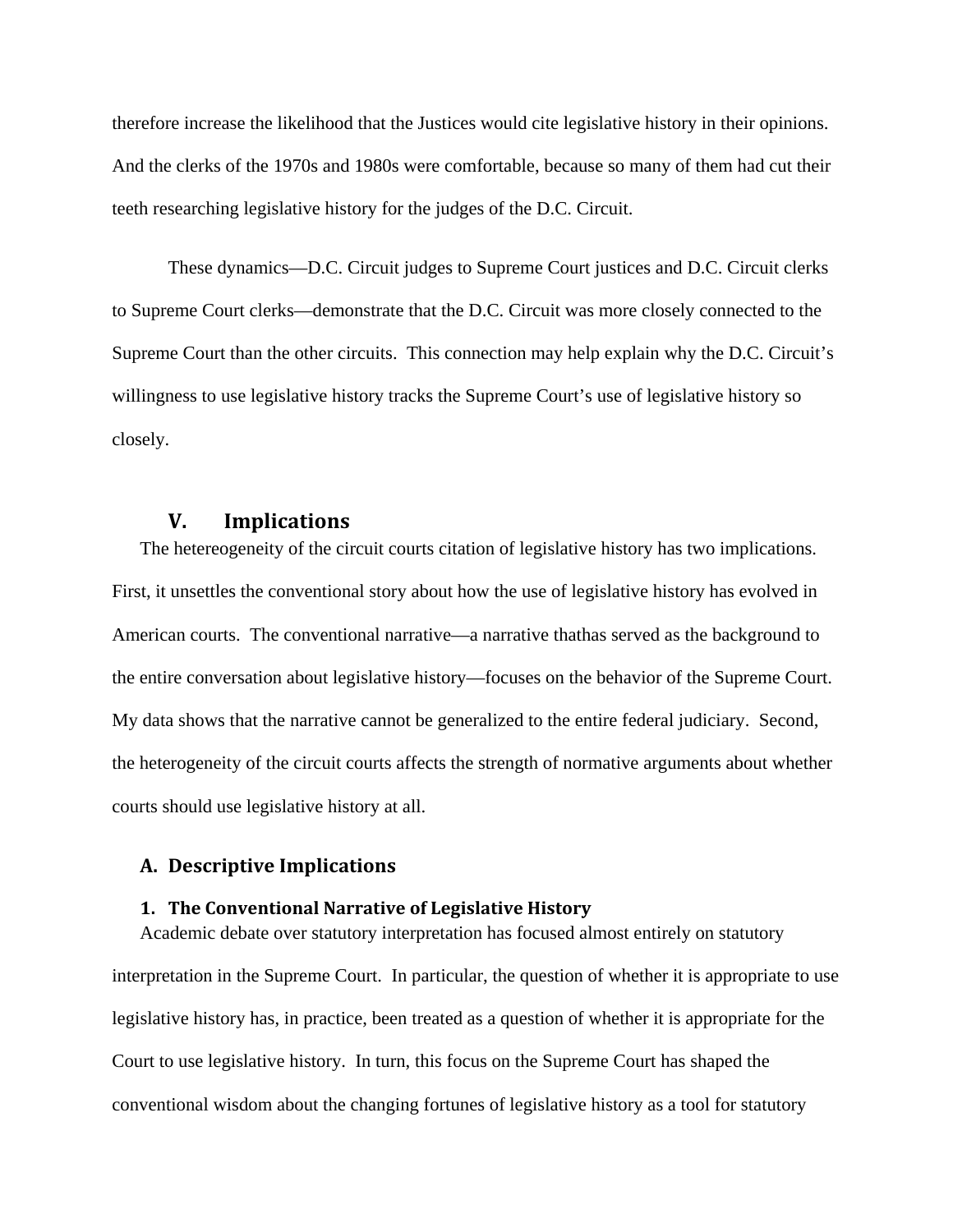therefore increase the likelihood that the Justices would cite legislative history in their opinions. And the clerks of the 1970s and 1980s were comfortable, because so many of them had cut their teeth researching legislative history for the judges of the D.C. Circuit.

These dynamics—D.C. Circuit judges to Supreme Court justices and D.C. Circuit clerks to Supreme Court clerks—demonstrate that the D.C. Circuit was more closely connected to the Supreme Court than the other circuits. This connection may help explain why the D.C. Circuit's willingness to use legislative history tracks the Supreme Court's use of legislative history so closely.

#### **V. Implications**

The hetereogeneity of the circuit courts citation of legislative history has two implications. First, it unsettles the conventional story about how the use of legislative history has evolved in American courts. The conventional narrative—a narrative thathas served as the background to the entire conversation about legislative history—focuses on the behavior of the Supreme Court. My data shows that the narrative cannot be generalized to the entire federal judiciary. Second, the heterogeneity of the circuit courts affects the strength of normative arguments about whether courts should use legislative history at all.

#### **A. Descriptive Implications**

#### **1. The Conventional Narrative of Legislative History**

Academic debate over statutory interpretation has focused almost entirely on statutory interpretation in the Supreme Court. In particular, the question of whether it is appropriate to use legislative history has, in practice, been treated as a question of whether it is appropriate for the Court to use legislative history. In turn, this focus on the Supreme Court has shaped the conventional wisdom about the changing fortunes of legislative history as a tool for statutory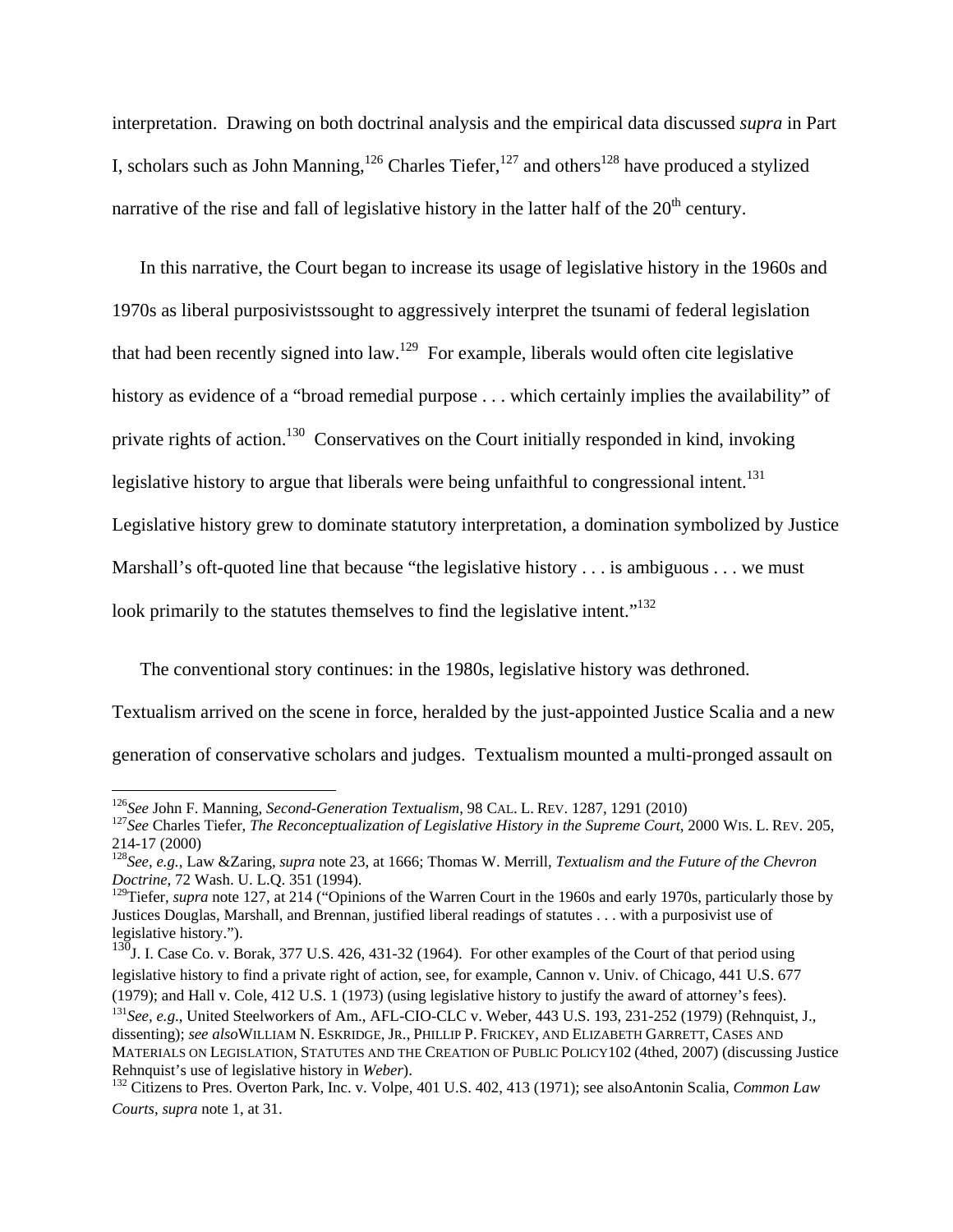interpretation. Drawing on both doctrinal analysis and the empirical data discussed *supra* in Part I, scholars such as John Manning,<sup>126</sup> Charles Tiefer,<sup>127</sup> and others<sup>128</sup> have produced a stylized narrative of the rise and fall of legislative history in the latter half of the  $20<sup>th</sup>$  century.

In this narrative, the Court began to increase its usage of legislative history in the 1960s and 1970s as liberal purposivistssought to aggressively interpret the tsunami of federal legislation that had been recently signed into law.<sup>129</sup> For example, liberals would often cite legislative history as evidence of a "broad remedial purpose . . . which certainly implies the availability" of private rights of action.<sup>130</sup> Conservatives on the Court initially responded in kind, invoking legislative history to argue that liberals were being unfaithful to congressional intent.<sup>131</sup> Legislative history grew to dominate statutory interpretation, a domination symbolized by Justice Marshall's oft-quoted line that because "the legislative history . . . is ambiguous . . . we must look primarily to the statutes themselves to find the legislative intent."<sup>132</sup>

The conventional story continues: in the 1980s, legislative history was dethroned.

Textualism arrived on the scene in force, heralded by the just-appointed Justice Scalia and a new generation of conservative scholars and judges. Textualism mounted a multi-pronged assault on

<sup>&</sup>lt;sup>126</sup>See John F. Manning, Second-Generation Textualism, 98 CAL. L. REV. 1287, 1291 (2010)<br><sup>127</sup>See Charles Tiefer, *The Reconceptualization of Legislative History in the Supreme Court, 2000 WIS. L. REV. 205,* 214-17 (2000)

<sup>128</sup>*See, e.g.*, Law &Zaring, *supra* note 23, at 1666; Thomas W. Merrill, *Textualism and the Future of the Chevron Doctrine*, 72 Wash. U. L.Q. 351 (1994).

<sup>&</sup>lt;sup>129</sup>Tiefer, *supra* note 127, at 214 ("Opinions of the Warren Court in the 1960s and early 1970s, particularly those by Justices Douglas, Marshall, and Brennan, justified liberal readings of statutes . . . with a purposivist use of legislative history.").

 $130$ J. I. Case Co. v. Borak, 377 U.S. 426, 431-32 (1964). For other examples of the Court of that period using legislative history to find a private right of action, see, for example, Cannon v. Univ. of Chicago, 441 U.S. 677 (1979); and Hall v. Cole, 412 U.S. 1 (1973) (using legislative history to justify the award of attorney's fees).<br><sup>131</sup>See, e.g., United Steelworkers of Am., AFL-CIO-CLC v. Weber, 443 U.S. 193, 231-252 (1979) (Rehnquist, J. dissenting); *see also*WILLIAM N. ESKRIDGE, JR., PHILLIP P. FRICKEY, AND ELIZABETH GARRETT, CASES AND MATERIALS ON LEGISLATION, STATUTES AND THE CREATION OF PUBLIC POLICY102 (4thed, 2007) (discussing Justice

Rehnquist's use of legislative history in *Weber*).<br><sup>132</sup> Citizens to Pres. Overton Park, Inc. v. Volpe, 401 U.S. 402, 413 (1971); see alsoAntonin Scalia, *Common Law Courts*, *supra* note 1, at 31.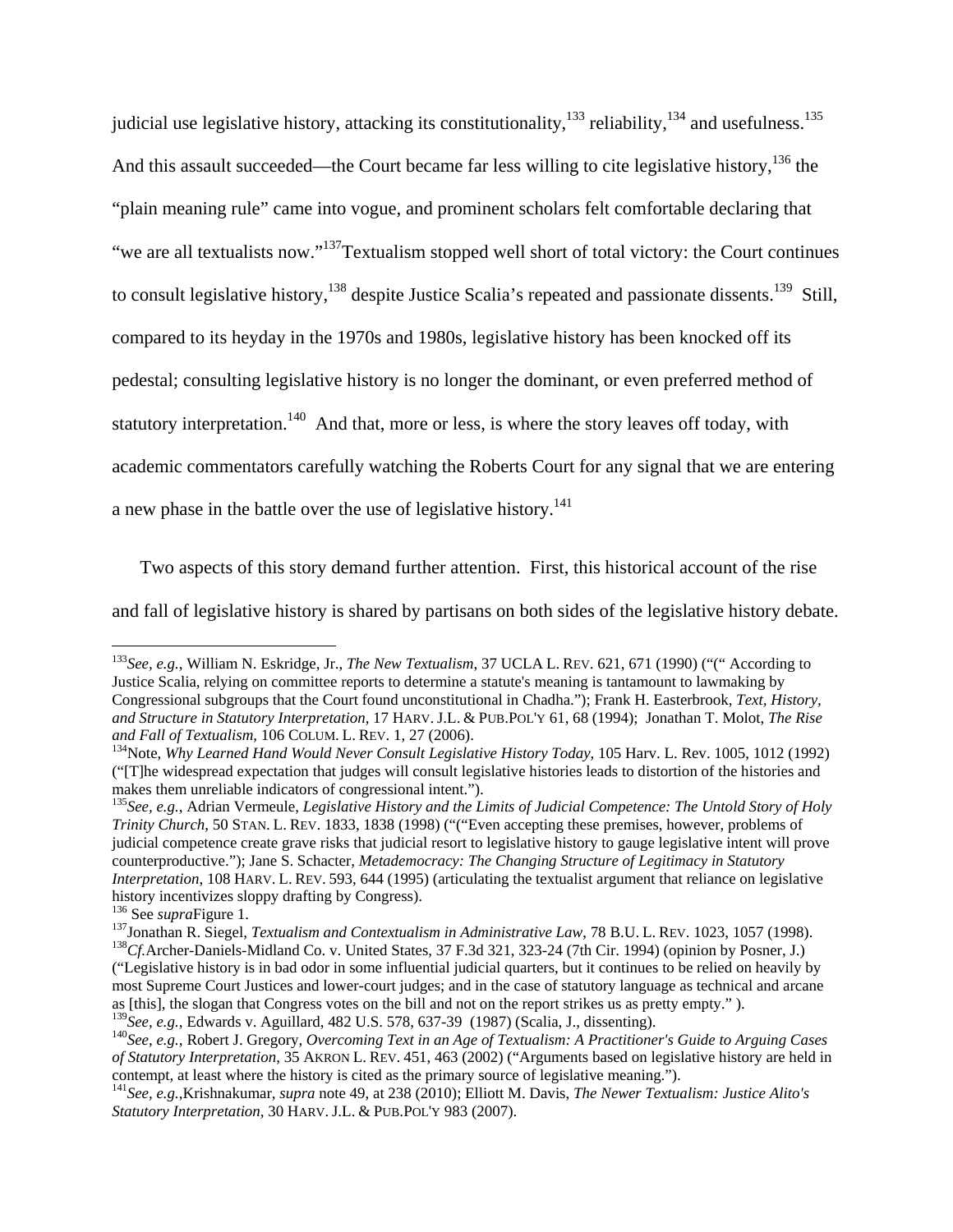judicial use legislative history, attacking its constitutionality, $133$  reliability, $134$  and usefulness.  $135$ And this assault succeeded—the Court became far less willing to cite legislative history,  $^{136}$  the "plain meaning rule" came into vogue, and prominent scholars felt comfortable declaring that "we are all textualists now."<sup>137</sup>Textualism stopped well short of total victory: the Court continues to consult legislative history,<sup>138</sup> despite Justice Scalia's repeated and passionate dissents.<sup>139</sup> Still, compared to its heyday in the 1970s and 1980s, legislative history has been knocked off its pedestal; consulting legislative history is no longer the dominant, or even preferred method of statutory interpretation.<sup>140</sup> And that, more or less, is where the story leaves off today, with academic commentators carefully watching the Roberts Court for any signal that we are entering a new phase in the battle over the use of legislative history.<sup>141</sup>

Two aspects of this story demand further attention. First, this historical account of the rise

and fall of legislative history is shared by partisans on both sides of the legislative history debate.

<sup>133</sup>*See, e.g.*, William N. Eskridge, Jr., *The New Textualism*, 37 UCLA L. REV. 621, 671 (1990) ("(" According to Justice Scalia, relying on committee reports to determine a statute's meaning is tantamount to lawmaking by Congressional subgroups that the Court found unconstitutional in Chadha."); Frank H. Easterbrook, *Text, History, and Structure in Statutory Interpretation*, 17 HARV. J.L. & PUB.POL'Y 61, 68 (1994); Jonathan T. Molot, *The Rise* 

<sup>&</sup>lt;sup>134</sup>Note, *Why Learned Hand Would Never Consult Legislative History Today*, 105 Harv. L. Rev. 1005, 1012 (1992) ("[T]he widespread expectation that judges will consult legislative histories leads to distortion of the histories and makes them unreliable indicators of congressional intent.").

<sup>135</sup>*See, e.g.*, Adrian Vermeule, *Legislative History and the Limits of Judicial Competence: The Untold Story of Holy Trinity Church*, 50 STAN. L. REV. 1833, 1838 (1998) ("("Even accepting these premises, however, problems of judicial competence create grave risks that judicial resort to legislative history to gauge legislative intent will prove counterproductive."); Jane S. Schacter, *Metademocracy: The Changing Structure of Legitimacy in Statutory Interpretation*, 108 HARV. L. REV. 593, 644 (1995) (articulating the textualist argument that reliance on legislative history incentivizes sloppy drafting by Congress).

<sup>&</sup>lt;sup>136</sup> See *supraFigure 1*.<br><sup>137</sup>Jonathan R. Siegel, *Textualism and Contextualism in Administrative Law*, 78 B.U. L. REV. 1023, 1057 (1998).<br><sup>138</sup>Cf.Archer-Daniels-Midland Co. v. United States, 37 F.3d 321, 323-24 (7th Cir

<sup>(&</sup>quot;Legislative history is in bad odor in some influential judicial quarters, but it continues to be relied on heavily by most Supreme Court Justices and lower-court judges; and in the case of statutory language as technical and arcane as [this], the slogan that Congress votes on the bill and not on the report strikes us as pretty empty." ).<br><sup>139</sup>See, e.g., Edwards v. Aguillard, 482 U.S. 578, 637-39 (1987) (Scalia, J., dissenting).

 $140$ See, e.g., Robert J. Gregory, Overcoming Text in an Age of Textualism: A Practitioner's Guide to Arguing Cases *of Statutory Interpretation*, 35 AKRON L. REV. 451, 463 (2002) ("Arguments based on legislative history are held in contempt, at least where the history is cited as the primary source of legislative meaning.").

<sup>&</sup>lt;sup>141</sup>See, e.g., Krishnakumar, supra note 49, at 238 (2010); Elliott M. Davis, The Newer Textualism: Justice Alito's *Statutory Interpretation*, 30 HARV. J.L. & PUB.POL'Y 983 (2007).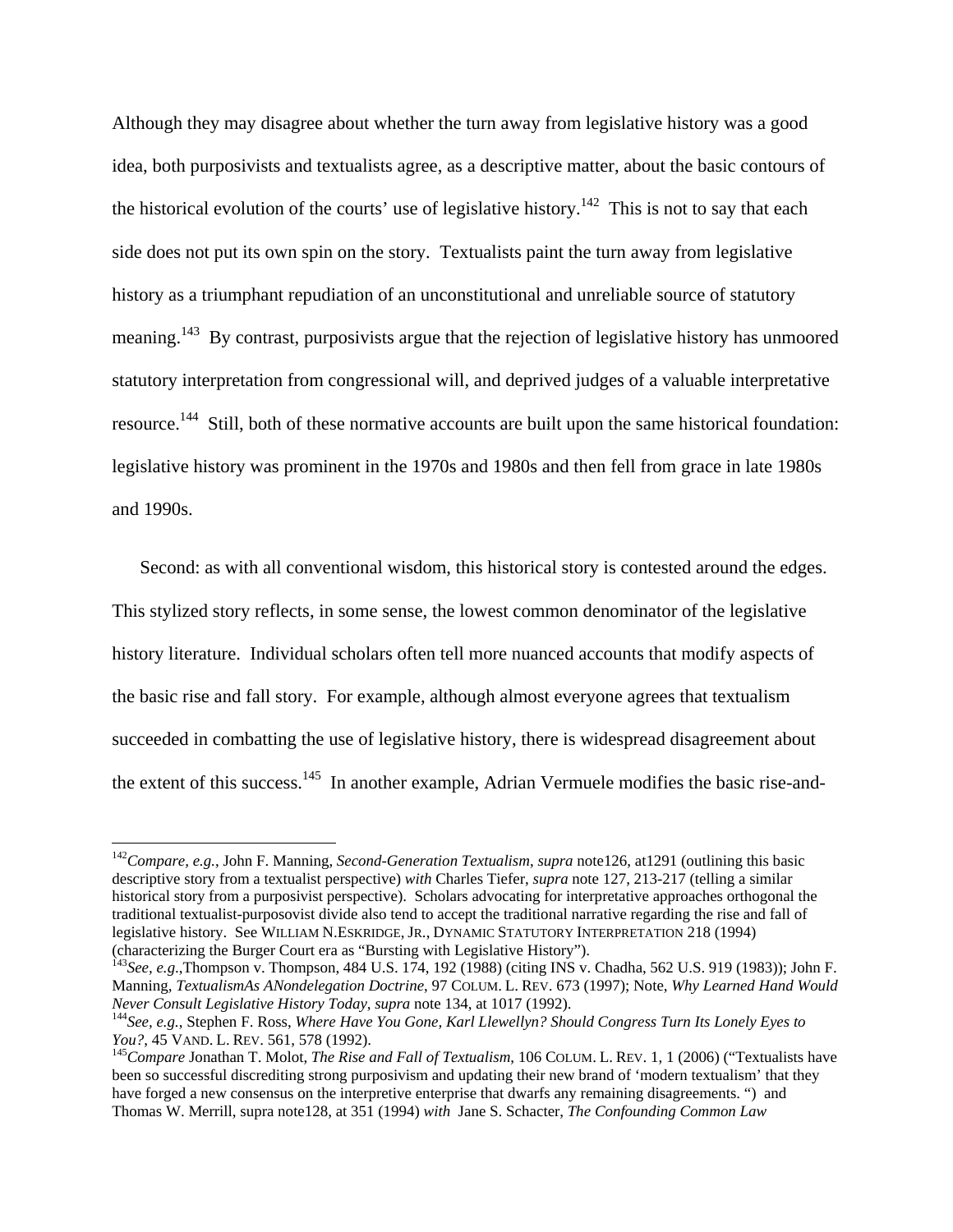Although they may disagree about whether the turn away from legislative history was a good idea, both purposivists and textualists agree, as a descriptive matter, about the basic contours of the historical evolution of the courts' use of legislative history.<sup>142</sup> This is not to say that each side does not put its own spin on the story. Textualists paint the turn away from legislative history as a triumphant repudiation of an unconstitutional and unreliable source of statutory meaning.<sup>143</sup> By contrast, purposivists argue that the rejection of legislative history has unmoored statutory interpretation from congressional will, and deprived judges of a valuable interpretative resource.<sup>144</sup> Still, both of these normative accounts are built upon the same historical foundation: legislative history was prominent in the 1970s and 1980s and then fell from grace in late 1980s and 1990s.

Second: as with all conventional wisdom, this historical story is contested around the edges. This stylized story reflects, in some sense, the lowest common denominator of the legislative history literature. Individual scholars often tell more nuanced accounts that modify aspects of the basic rise and fall story. For example, although almost everyone agrees that textualism succeeded in combatting the use of legislative history, there is widespread disagreement about the extent of this success.<sup>145</sup> In another example, Adrian Vermuele modifies the basic rise-and-

<sup>142</sup>*Compare, e.g.*, John F. Manning, *Second-Generation Textualism*, *supra* note126, at1291 (outlining this basic descriptive story from a textualist perspective) *with* Charles Tiefer, *supra* note 127, 213-217 (telling a similar historical story from a purposivist perspective). Scholars advocating for interpretative approaches orthogonal the traditional textualist-purposovist divide also tend to accept the traditional narrative regarding the rise and fall of legislative history. See WILLIAM N.ESKRIDGE, JR., DYNAMIC STATUTORY INTERPRETATION 218 (1994) (characterizing the Burger Court era as "Bursting with Legislative History").

<sup>&</sup>lt;sup>143</sup>See, e.g.,Thompson v. Thompson, 484 U.S. 174, 192 (1988) (citing INS v. Chadha, 562 U.S. 919 (1983)); John F. Manning*, TextualismAs ANondelegation Doctrine*, 97 COLUM. L. REV. 673 (1997); Note, *Why Learned Hand Would* 

<sup>&</sup>lt;sup>144</sup> See, e.g., Stephen F. Ross, *Where Have You Gone, Karl Llewellyn? Should Congress Turn Its Lonely Eyes to You?*, 45 VAND. L. REV. 561, 578 (1992).<br><sup>145</sup>*Compare* Jonathan T. Molot, *The Rise and Fall of Textualism*, 106 COLUM. L. REV. 1, 1 (2006) ("Textualists have

been so successful discrediting strong purposivism and updating their new brand of 'modern textualism' that they have forged a new consensus on the interpretive enterprise that dwarfs any remaining disagreements. ") and Thomas W. Merrill, supra note128, at 351 (1994) *with* Jane S. Schacter, *The Confounding Common Law*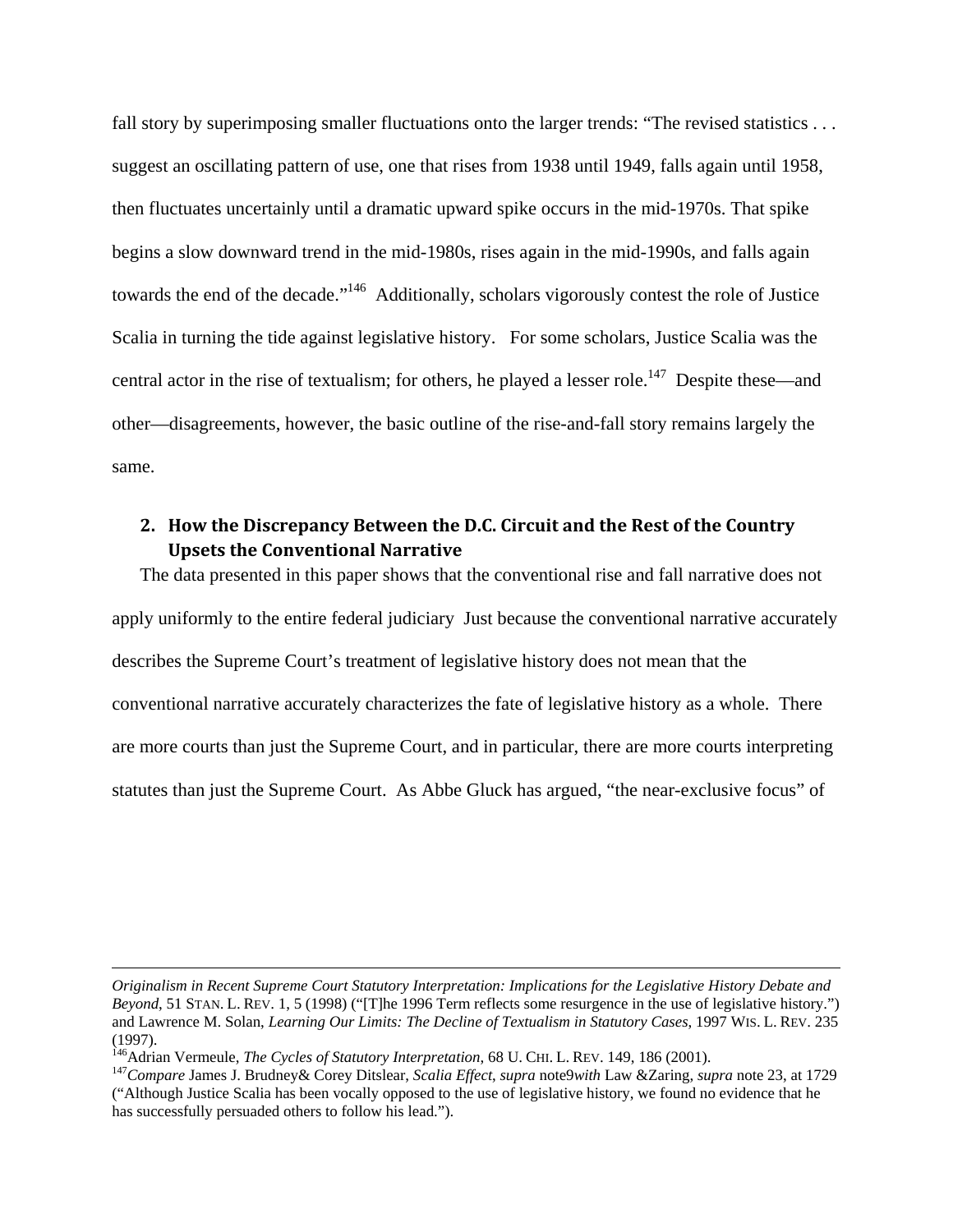fall story by superimposing smaller fluctuations onto the larger trends: "The revised statistics . . . suggest an oscillating pattern of use, one that rises from 1938 until 1949, falls again until 1958, then fluctuates uncertainly until a dramatic upward spike occurs in the mid-1970s. That spike begins a slow downward trend in the mid-1980s, rises again in the mid-1990s, and falls again towards the end of the decade."146 Additionally, scholars vigorously contest the role of Justice Scalia in turning the tide against legislative history. For some scholars, Justice Scalia was the central actor in the rise of textualism; for others, he played a lesser role.<sup>147</sup> Despite these—and other—disagreements, however, the basic outline of the rise-and-fall story remains largely the same.

# **2. How the Discrepancy Between the D.C. Circuit and the Rest of the Country Upsets the Conventional Narrative**

The data presented in this paper shows that the conventional rise and fall narrative does not apply uniformly to the entire federal judiciary Just because the conventional narrative accurately describes the Supreme Court's treatment of legislative history does not mean that the conventional narrative accurately characterizes the fate of legislative history as a whole. There are more courts than just the Supreme Court, and in particular, there are more courts interpreting statutes than just the Supreme Court. As Abbe Gluck has argued, "the near-exclusive focus" of

1

*Originalism in Recent Supreme Court Statutory Interpretation: Implications for the Legislative History Debate and Beyond*, 51 STAN. L. REV. 1, 5 (1998) ("[T]he 1996 Term reflects some resurgence in the use of legislative history.") and Lawrence M. Solan, *Learning Our Limits: The Decline of Textualism in Statutory Cases*, 1997 WIS. L. REV. 235 (1997).<br><sup>146</sup> Adrian Vermeule, *The Cycles of Statutory Interpretation*, 68 U. CHI. L. REV. 149, 186 (2001).

<sup>&</sup>lt;sup>147</sup>Compare James J. Brudney & Corey Ditslear, Scalia Effect, supra note9with Law & Zaring, supra note 23, at 1729 ("Although Justice Scalia has been vocally opposed to the use of legislative history, we found no evidence that he has successfully persuaded others to follow his lead.").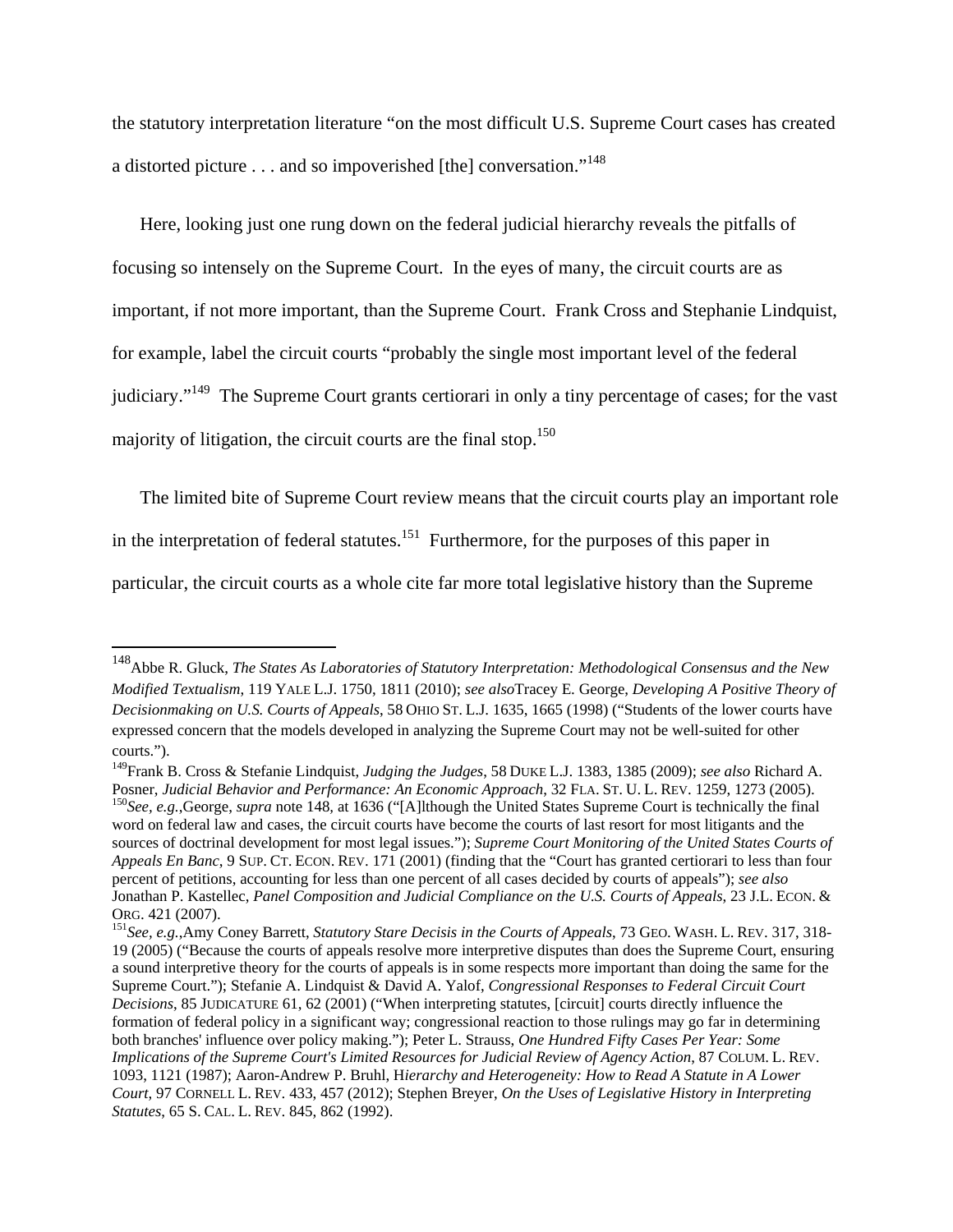the statutory interpretation literature "on the most difficult U.S. Supreme Court cases has created a distorted picture . . . and so impoverished [the] conversation."148

Here, looking just one rung down on the federal judicial hierarchy reveals the pitfalls of focusing so intensely on the Supreme Court. In the eyes of many, the circuit courts are as important, if not more important, than the Supreme Court. Frank Cross and Stephanie Lindquist, for example, label the circuit courts "probably the single most important level of the federal judiciary."149 The Supreme Court grants certiorari in only a tiny percentage of cases; for the vast majority of litigation, the circuit courts are the final stop. $150$ 

The limited bite of Supreme Court review means that the circuit courts play an important role in the interpretation of federal statutes.<sup>151</sup> Furthermore, for the purposes of this paper in particular, the circuit courts as a whole cite far more total legislative history than the Supreme

<sup>148</sup>Abbe R. Gluck, *The States As Laboratories of Statutory Interpretation: Methodological Consensus and the New Modified Textualism*, 119 YALE L.J. 1750, 1811 (2010); *see also*Tracey E. George, *Developing A Positive Theory of Decisionmaking on U.S. Courts of Appeals*, 58 OHIO ST. L.J. 1635, 1665 (1998) ("Students of the lower courts have expressed concern that the models developed in analyzing the Supreme Court may not be well-suited for other courts.").

<sup>149</sup>Frank B. Cross & Stefanie Lindquist, *Judging the Judges*, 58 DUKE L.J. 1383, 1385 (2009); *see also* Richard A. Posner, Judicial Behavior and Performance: An Economic Approach, 32 FLA. ST. U. L. REV. 1259, 1273 (2005).<br><sup>150</sup>See, e.g.,George, *supra* note 148, at 1636 ("[A]lthough the United States Supreme Court is technically the fi

word on federal law and cases, the circuit courts have become the courts of last resort for most litigants and the sources of doctrinal development for most legal issues."); *Supreme Court Monitoring of the United States Courts of Appeals En Banc*, 9 SUP. CT. ECON. REV. 171 (2001) (finding that the "Court has granted certiorari to less than four percent of petitions, accounting for less than one percent of all cases decided by courts of appeals"); *see also* Jonathan P. Kastellec, *Panel Composition and Judicial Compliance on the U.S. Courts of Appeals*, 23 J.L. ECON. & ORG. 421 (2007). 151*See, e.g.*,Amy Coney Barrett, *Statutory Stare Decisis in the Courts of Appeals*, 73 GEO. WASH. L. REV. 317, 318-

<sup>19 (2005) (&</sup>quot;Because the courts of appeals resolve more interpretive disputes than does the Supreme Court, ensuring a sound interpretive theory for the courts of appeals is in some respects more important than doing the same for the Supreme Court."); Stefanie A. Lindquist & David A. Yalof, *Congressional Responses to Federal Circuit Court Decisions*, 85 JUDICATURE 61, 62 (2001) ("When interpreting statutes, [circuit] courts directly influence the formation of federal policy in a significant way; congressional reaction to those rulings may go far in determining both branches' influence over policy making."); Peter L. Strauss, *One Hundred Fifty Cases Per Year: Some Implications of the Supreme Court's Limited Resources for Judicial Review of Agency Action*, 87 COLUM. L. REV. 1093, 1121 (1987); Aaron-Andrew P. Bruhl, H*ierarchy and Heterogeneity: How to Read A Statute in A Lower Court*, 97 CORNELL L. REV. 433, 457 (2012); Stephen Breyer, *On the Uses of Legislative History in Interpreting Statutes*, 65 S. CAL. L. REV. 845, 862 (1992).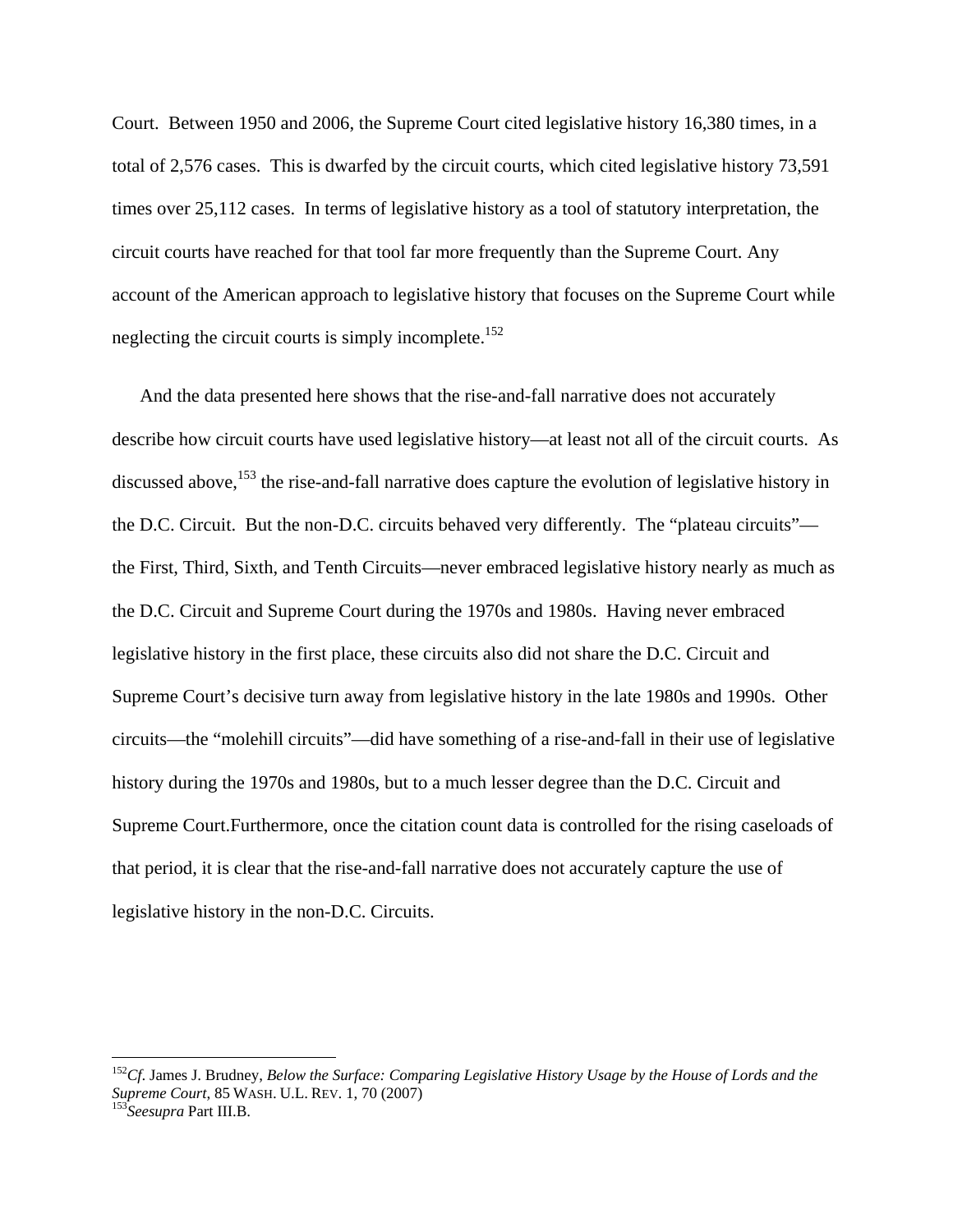Court. Between 1950 and 2006, the Supreme Court cited legislative history 16,380 times, in a total of 2,576 cases. This is dwarfed by the circuit courts, which cited legislative history 73,591 times over 25,112 cases. In terms of legislative history as a tool of statutory interpretation, the circuit courts have reached for that tool far more frequently than the Supreme Court. Any account of the American approach to legislative history that focuses on the Supreme Court while neglecting the circuit courts is simply incomplete.<sup>152</sup>

And the data presented here shows that the rise-and-fall narrative does not accurately describe how circuit courts have used legislative history—at least not all of the circuit courts. As discussed above,  $^{153}$  the rise-and-fall narrative does capture the evolution of legislative history in the D.C. Circuit. But the non-D.C. circuits behaved very differently. The "plateau circuits" the First, Third, Sixth, and Tenth Circuits—never embraced legislative history nearly as much as the D.C. Circuit and Supreme Court during the 1970s and 1980s. Having never embraced legislative history in the first place, these circuits also did not share the D.C. Circuit and Supreme Court's decisive turn away from legislative history in the late 1980s and 1990s. Other circuits—the "molehill circuits"—did have something of a rise-and-fall in their use of legislative history during the 1970s and 1980s, but to a much lesser degree than the D.C. Circuit and Supreme Court.Furthermore, once the citation count data is controlled for the rising caseloads of that period, it is clear that the rise-and-fall narrative does not accurately capture the use of legislative history in the non-D.C. Circuits.

<sup>152</sup>*Cf*. James J. Brudney, *Below the Surface: Comparing Legislative History Usage by the House of Lords and the Supreme Court*, 85 WASH. U.L. REV. 1, 70 (2007) 153*Seesupra* Part III.B.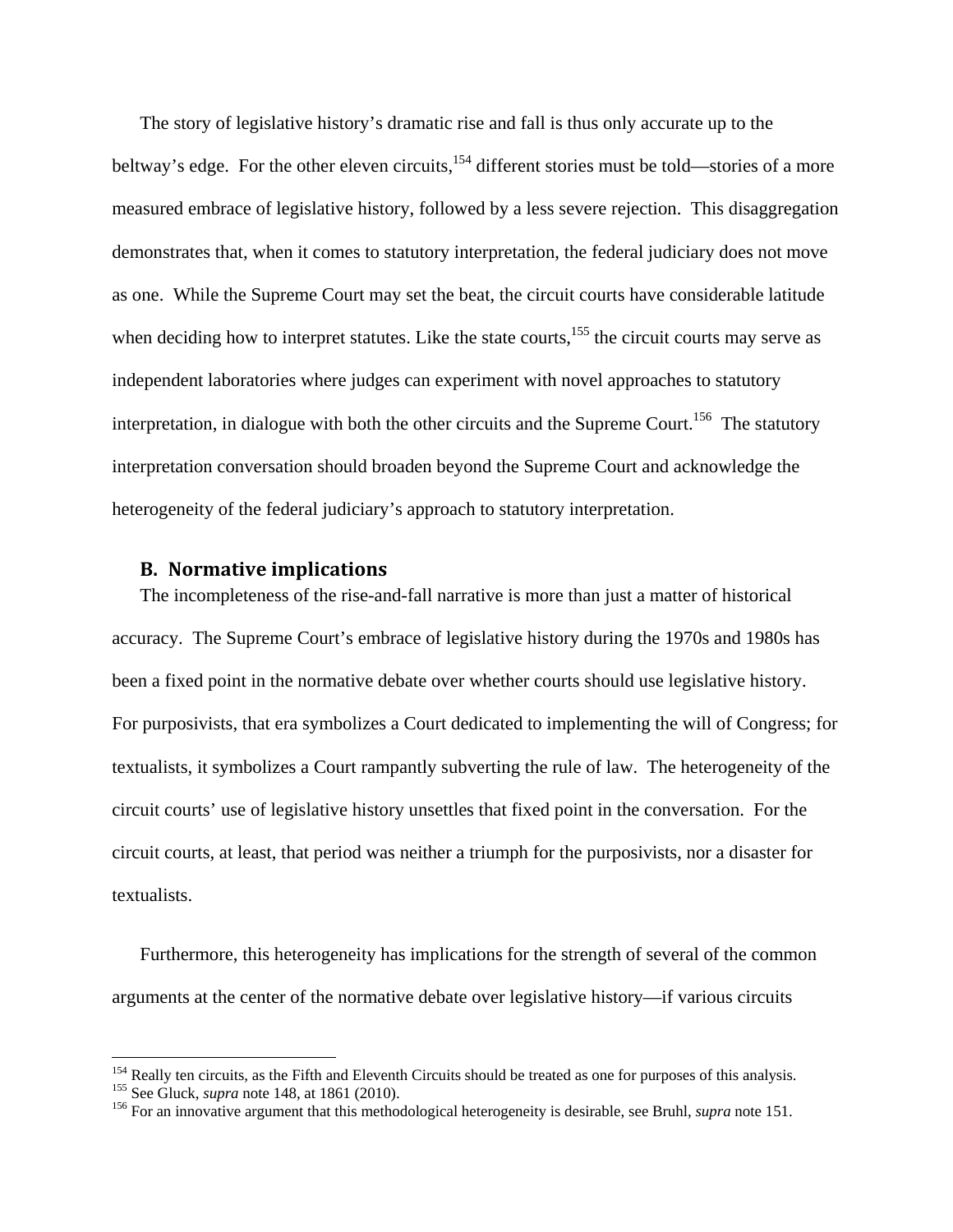The story of legislative history's dramatic rise and fall is thus only accurate up to the beltway's edge. For the other eleven circuits,<sup>154</sup> different stories must be told—stories of a more measured embrace of legislative history, followed by a less severe rejection. This disaggregation demonstrates that, when it comes to statutory interpretation, the federal judiciary does not move as one. While the Supreme Court may set the beat, the circuit courts have considerable latitude when deciding how to interpret statutes. Like the state courts, $155$  the circuit courts may serve as independent laboratories where judges can experiment with novel approaches to statutory interpretation, in dialogue with both the other circuits and the Supreme Court.<sup>156</sup> The statutory interpretation conversation should broaden beyond the Supreme Court and acknowledge the heterogeneity of the federal judiciary's approach to statutory interpretation.

## **B. Normative implications**

The incompleteness of the rise-and-fall narrative is more than just a matter of historical accuracy. The Supreme Court's embrace of legislative history during the 1970s and 1980s has been a fixed point in the normative debate over whether courts should use legislative history. For purposivists, that era symbolizes a Court dedicated to implementing the will of Congress; for textualists, it symbolizes a Court rampantly subverting the rule of law. The heterogeneity of the circuit courts' use of legislative history unsettles that fixed point in the conversation. For the circuit courts, at least, that period was neither a triumph for the purposivists, nor a disaster for textualists.

Furthermore, this heterogeneity has implications for the strength of several of the common arguments at the center of the normative debate over legislative history—if various circuits

<sup>&</sup>lt;sup>154</sup> Really ten circuits, as the Fifth and Eleventh Circuits should be treated as one for purposes of this analysis.<br><sup>155</sup> See Gluck, *supra* note 148, at 1861 (2010).<br><sup>156</sup> For an innovative argument that this methodolo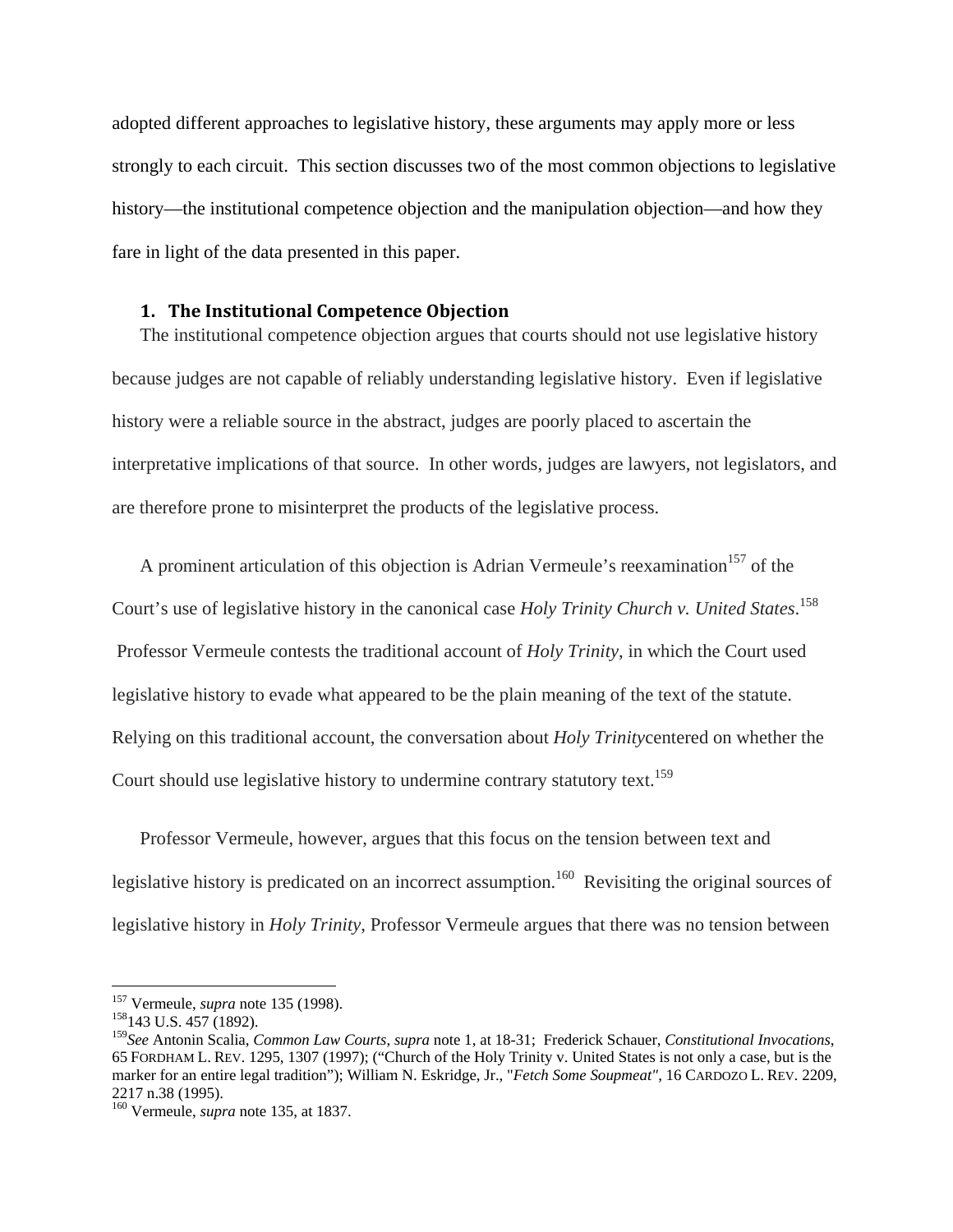adopted different approaches to legislative history, these arguments may apply more or less strongly to each circuit. This section discusses two of the most common objections to legislative history—the institutional competence objection and the manipulation objection—and how they fare in light of the data presented in this paper.

#### **1. The Institutional Competence Objection**

The institutional competence objection argues that courts should not use legislative history because judges are not capable of reliably understanding legislative history. Even if legislative history were a reliable source in the abstract, judges are poorly placed to ascertain the interpretative implications of that source. In other words, judges are lawyers, not legislators, and are therefore prone to misinterpret the products of the legislative process.

A prominent articulation of this objection is Adrian Vermeule's reexamination<sup>157</sup> of the Court's use of legislative history in the canonical case *Holy Trinity Church v. United States*. 158 Professor Vermeule contests the traditional account of *Holy Trinity*, in which the Court used legislative history to evade what appeared to be the plain meaning of the text of the statute. Relying on this traditional account, the conversation about *Holy Trinity*centered on whether the Court should use legislative history to undermine contrary statutory text.<sup>159</sup>

Professor Vermeule, however, argues that this focus on the tension between text and legislative history is predicated on an incorrect assumption.<sup>160</sup> Revisiting the original sources of legislative history in *Holy Trinity*, Professor Vermeule argues that there was no tension between

<sup>&</sup>lt;sup>157</sup> Vermeule, *supra* note 135 (1998).<br><sup>158</sup>143 U.S. 457 (1892).

<sup>159</sup>*See* Antonin Scalia, *Common Law Courts*, *supra* note 1, at 18-31; Frederick Schauer, *Constitutional Invocations*, 65 FORDHAM L. REV. 1295, 1307 (1997); ("Church of the Holy Trinity v. United States is not only a case, but is the marker for an entire legal tradition"); William N. Eskridge, Jr., "*Fetch Some Soupmeat"*, 16 CARDOZO L. REV. 2209, 2217 n.38 (1995).

<sup>160</sup> Vermeule, *supra* note 135, at 1837.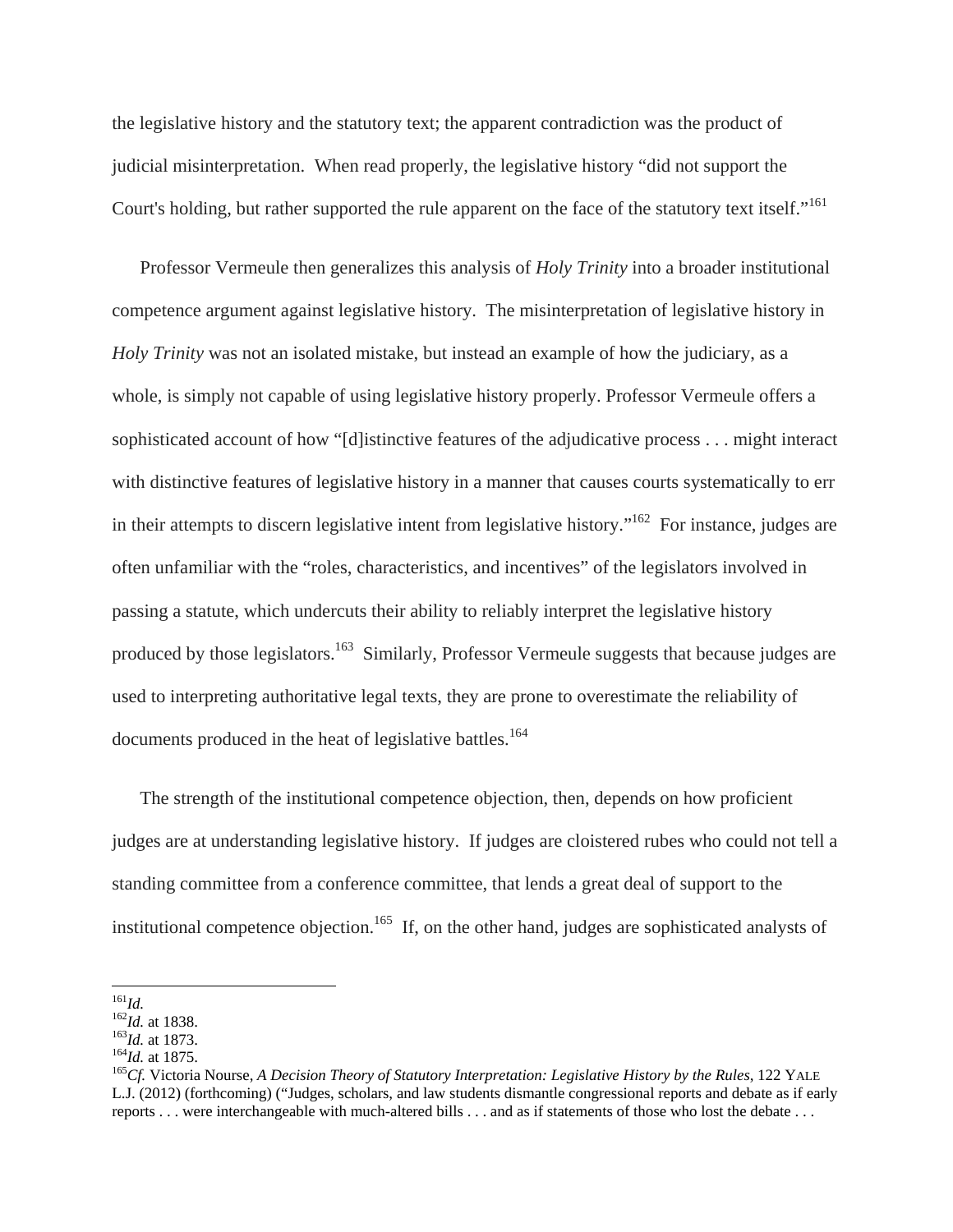the legislative history and the statutory text; the apparent contradiction was the product of judicial misinterpretation. When read properly, the legislative history "did not support the Court's holding, but rather supported the rule apparent on the face of the statutory text itself."<sup>161</sup>

Professor Vermeule then generalizes this analysis of *Holy Trinity* into a broader institutional competence argument against legislative history. The misinterpretation of legislative history in *Holy Trinity* was not an isolated mistake, but instead an example of how the judiciary, as a whole, is simply not capable of using legislative history properly. Professor Vermeule offers a sophisticated account of how "[d]istinctive features of the adjudicative process . . . might interact with distinctive features of legislative history in a manner that causes courts systematically to err in their attempts to discern legislative intent from legislative history."<sup>162</sup> For instance, judges are often unfamiliar with the "roles, characteristics, and incentives" of the legislators involved in passing a statute, which undercuts their ability to reliably interpret the legislative history produced by those legislators.<sup>163</sup> Similarly, Professor Vermeule suggests that because judges are used to interpreting authoritative legal texts, they are prone to overestimate the reliability of documents produced in the heat of legislative battles.<sup>164</sup>

The strength of the institutional competence objection, then, depends on how proficient judges are at understanding legislative history. If judges are cloistered rubes who could not tell a standing committee from a conference committee, that lends a great deal of support to the institutional competence objection.<sup>165</sup> If, on the other hand, judges are sophisticated analysts of

 $^{161}Id.$ 

<sup>&</sup>lt;sup>162</sup>*Id.* at 1838.<br><sup>163</sup>*Id.* at 1873.<br><sup>164</sup>*Id.* at 1875.<br><sup>165</sup>*Cf.* Victoria Nourse, *A Decision Theory of Statutory Interpretation: Legislative History by the Rules, 122 YALE* L.J. (2012) (forthcoming) ("Judges, scholars, and law students dismantle congressional reports and debate as if early reports . . . were interchangeable with much-altered bills . . . and as if statements of those who lost the debate . . .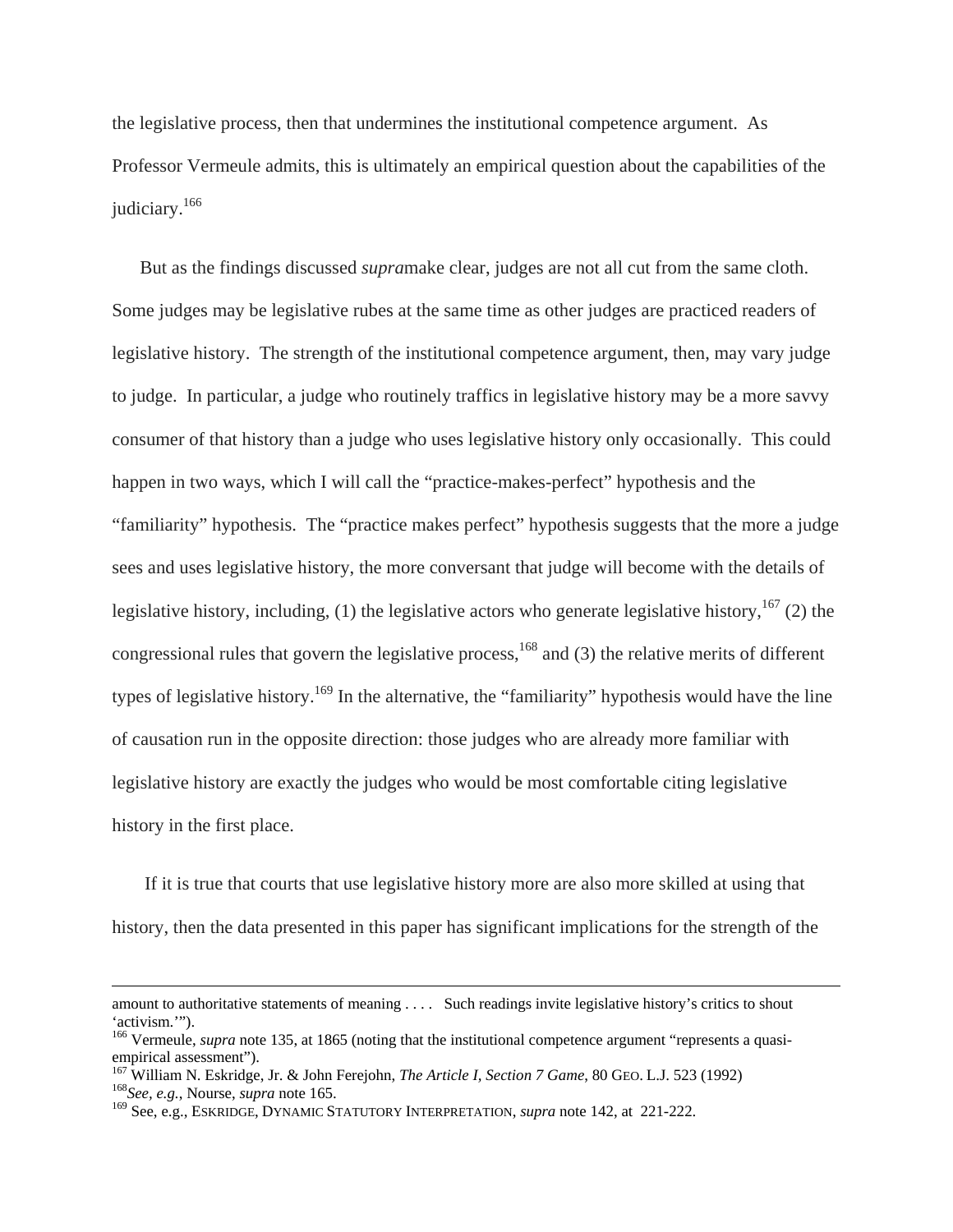the legislative process, then that undermines the institutional competence argument. As Professor Vermeule admits, this is ultimately an empirical question about the capabilities of the judiciary.<sup>166</sup>

But as the findings discussed *supra*make clear, judges are not all cut from the same cloth. Some judges may be legislative rubes at the same time as other judges are practiced readers of legislative history. The strength of the institutional competence argument, then, may vary judge to judge. In particular, a judge who routinely traffics in legislative history may be a more savvy consumer of that history than a judge who uses legislative history only occasionally. This could happen in two ways, which I will call the "practice-makes-perfect" hypothesis and the "familiarity" hypothesis. The "practice makes perfect" hypothesis suggests that the more a judge sees and uses legislative history, the more conversant that judge will become with the details of legislative history, including, (1) the legislative actors who generate legislative history,  $167$  (2) the congressional rules that govern the legislative process,<sup>168</sup> and (3) the relative merits of different types of legislative history.<sup>169</sup> In the alternative, the "familiarity" hypothesis would have the line of causation run in the opposite direction: those judges who are already more familiar with legislative history are exactly the judges who would be most comfortable citing legislative history in the first place.

 If it is true that courts that use legislative history more are also more skilled at using that history, then the data presented in this paper has significant implications for the strength of the

amount to authoritative statements of meaning . . . . Such readings invite legislative history's critics to shout 'activism.'").

<sup>&</sup>lt;sup>166</sup> Vermeule, *supra* note 135, at 1865 (noting that the institutional competence argument "represents a quasiempirical assessment").

<sup>&</sup>lt;sup>167</sup> William N. Eskridge, Jr. & John Ferejohn, *The Article I, Section 7 Game*, 80 GEO. L.J. 523 (1992) <sup>168</sup>*See, e.g.*, Nourse, *supra* note 165.

<sup>169</sup> See, e.g., ESKRIDGE, DYNAMIC STATUTORY INTERPRETATION, *supra* note 142, at 221-222.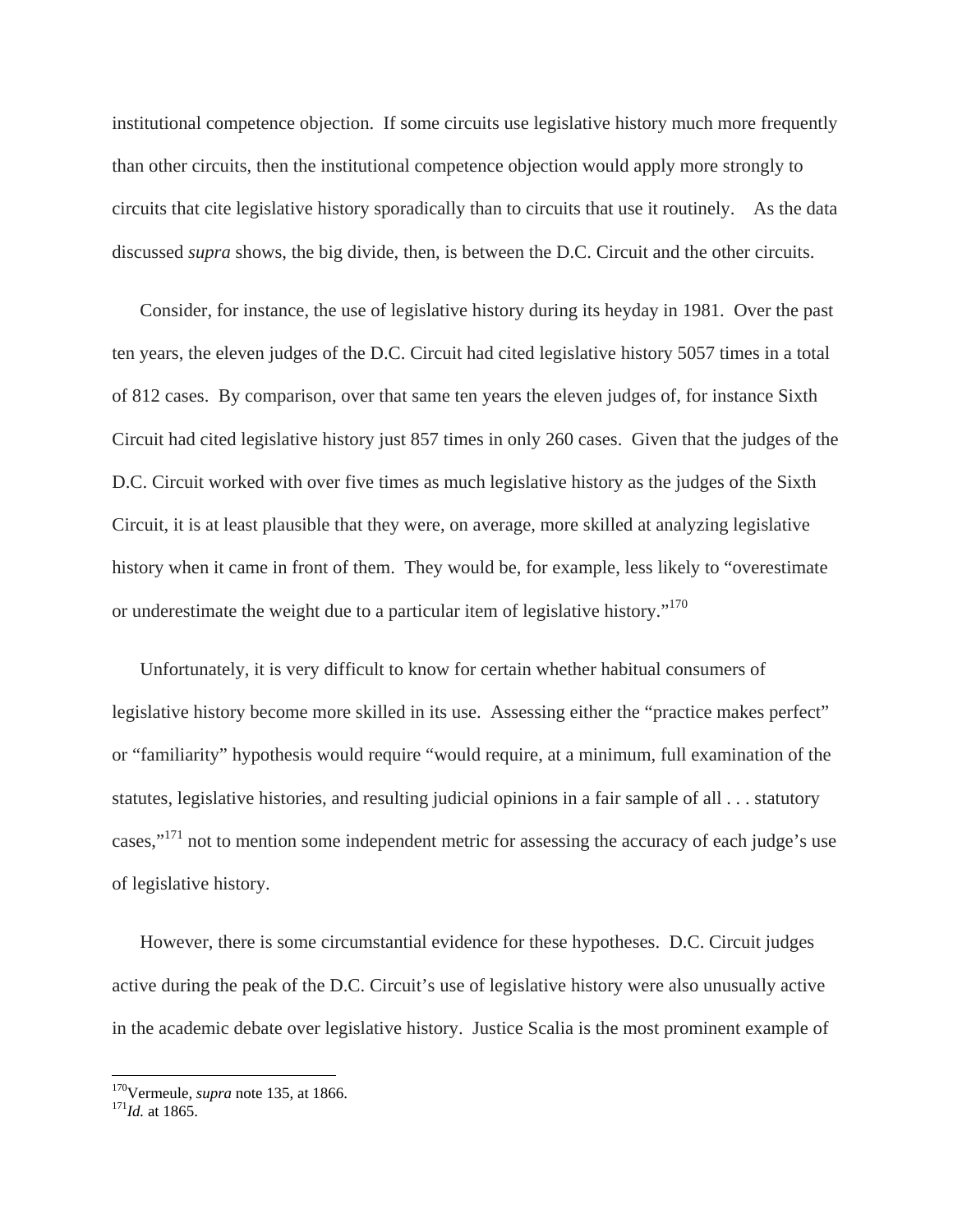institutional competence objection. If some circuits use legislative history much more frequently than other circuits, then the institutional competence objection would apply more strongly to circuits that cite legislative history sporadically than to circuits that use it routinely. As the data discussed *supra* shows, the big divide, then, is between the D.C. Circuit and the other circuits.

Consider, for instance, the use of legislative history during its heyday in 1981. Over the past ten years, the eleven judges of the D.C. Circuit had cited legislative history 5057 times in a total of 812 cases. By comparison, over that same ten years the eleven judges of, for instance Sixth Circuit had cited legislative history just 857 times in only 260 cases. Given that the judges of the D.C. Circuit worked with over five times as much legislative history as the judges of the Sixth Circuit, it is at least plausible that they were, on average, more skilled at analyzing legislative history when it came in front of them. They would be, for example, less likely to "overestimate or underestimate the weight due to a particular item of legislative history."<sup>170</sup>

Unfortunately, it is very difficult to know for certain whether habitual consumers of legislative history become more skilled in its use. Assessing either the "practice makes perfect" or "familiarity" hypothesis would require "would require, at a minimum, full examination of the statutes, legislative histories, and resulting judicial opinions in a fair sample of all . . . statutory cases,"<sup>171</sup> not to mention some independent metric for assessing the accuracy of each judge's use of legislative history.

However, there is some circumstantial evidence for these hypotheses. D.C. Circuit judges active during the peak of the D.C. Circuit's use of legislative history were also unusually active in the academic debate over legislative history. Justice Scalia is the most prominent example of

<sup>170</sup>Vermeule, *supra* note 135, at 1866. 171*Id.* at 1865.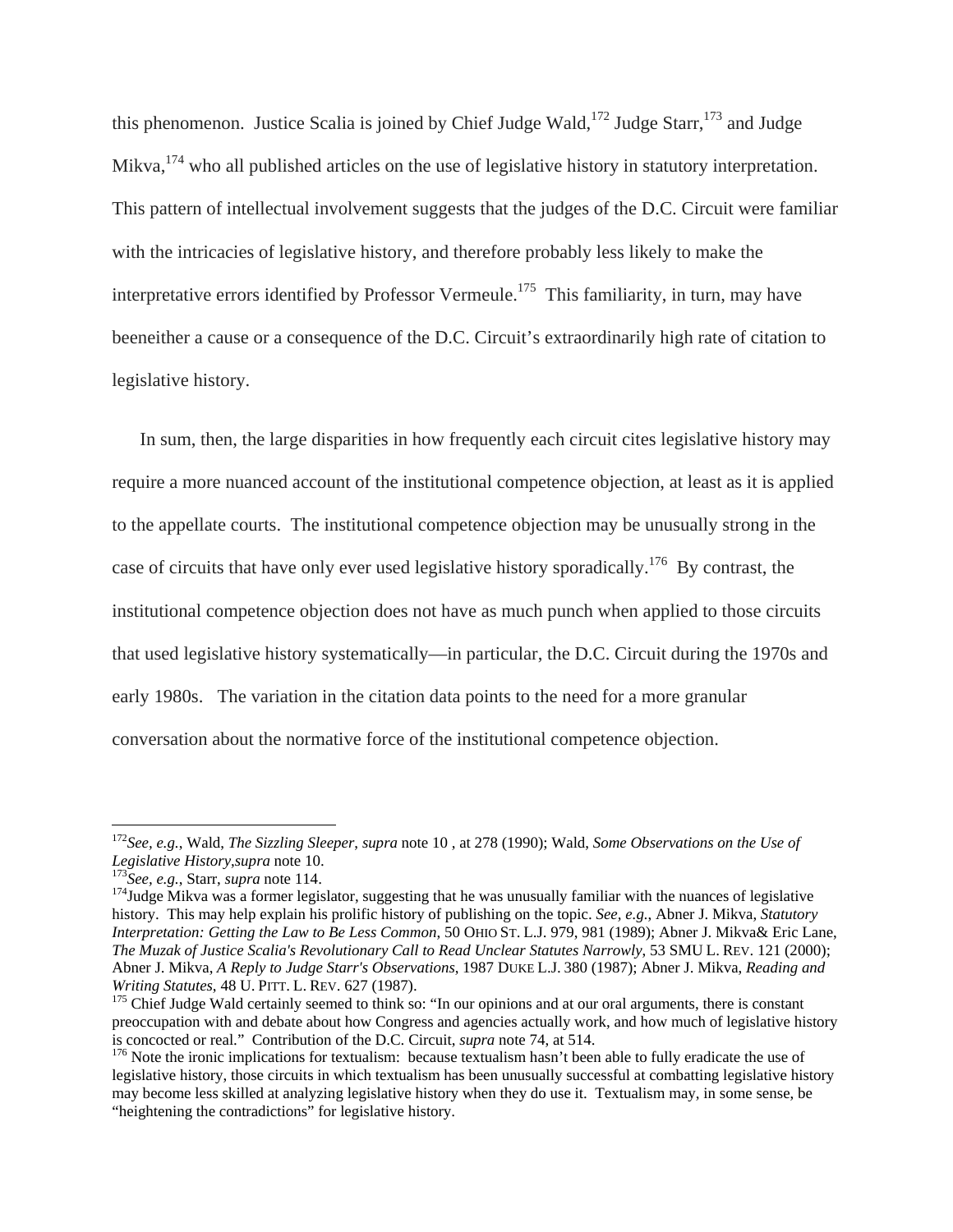this phenomenon. Justice Scalia is joined by Chief Judge Wald,<sup>172</sup> Judge Starr,<sup>173</sup> and Judge Mikva, $174$  who all published articles on the use of legislative history in statutory interpretation. This pattern of intellectual involvement suggests that the judges of the D.C. Circuit were familiar with the intricacies of legislative history, and therefore probably less likely to make the interpretative errors identified by Professor Vermeule.<sup>175</sup> This familiarity, in turn, may have beeneither a cause or a consequence of the D.C. Circuit's extraordinarily high rate of citation to legislative history.

In sum, then, the large disparities in how frequently each circuit cites legislative history may require a more nuanced account of the institutional competence objection, at least as it is applied to the appellate courts. The institutional competence objection may be unusually strong in the case of circuits that have only ever used legislative history sporadically.176 By contrast, the institutional competence objection does not have as much punch when applied to those circuits that used legislative history systematically—in particular, the D.C. Circuit during the 1970s and early 1980s. The variation in the citation data points to the need for a more granular conversation about the normative force of the institutional competence objection.

1

<sup>172</sup>*See, e.g.*, Wald, *The Sizzling Sleeper*, *supra* note 10 , at 278 (1990); Wald, *Some Observations on the Use of* 

<sup>&</sup>lt;sup>173</sup>See, e.g., Starr, *supra* note 114.<br><sup>174</sup>Judge Mikva was a former legislator, suggesting that he was unusually familiar with the nuances of legislative history. This may help explain his prolific history of publishing on the topic. *See, e.g.*, Abner J. Mikva, *Statutory Interpretation: Getting the Law to Be Less Common*, 50 OHIO ST. L.J. 979, 981 (1989); Abner J. Mikva& Eric Lane, *The Muzak of Justice Scalia's Revolutionary Call to Read Unclear Statutes Narrowly*, 53 SMU L. REV. 121 (2000); Abner J. Mikva, *A Reply to Judge Starr's Observations*, 1987 DUKE L.J. 380 (1987); Abner J. Mikva, *Reading and Writing Statutes*, 48 U. PITT. L. REV. 627 (1987).<br><sup>175</sup> Chief Judge Wald certainly seemed to think so: "In our opinions and at our oral arguments, there is constant

preoccupation with and debate about how Congress and agencies actually work, and how much of legislative history is concocted or real." Contribution of the D.C. Circuit, *supra* note 74, at 514.<br><sup>176</sup> Note the ironic implications for textualism: because textualism hasn't been able to fully eradicate the use of

legislative history, those circuits in which textualism has been unusually successful at combatting legislative history may become less skilled at analyzing legislative history when they do use it. Textualism may, in some sense, be "heightening the contradictions" for legislative history.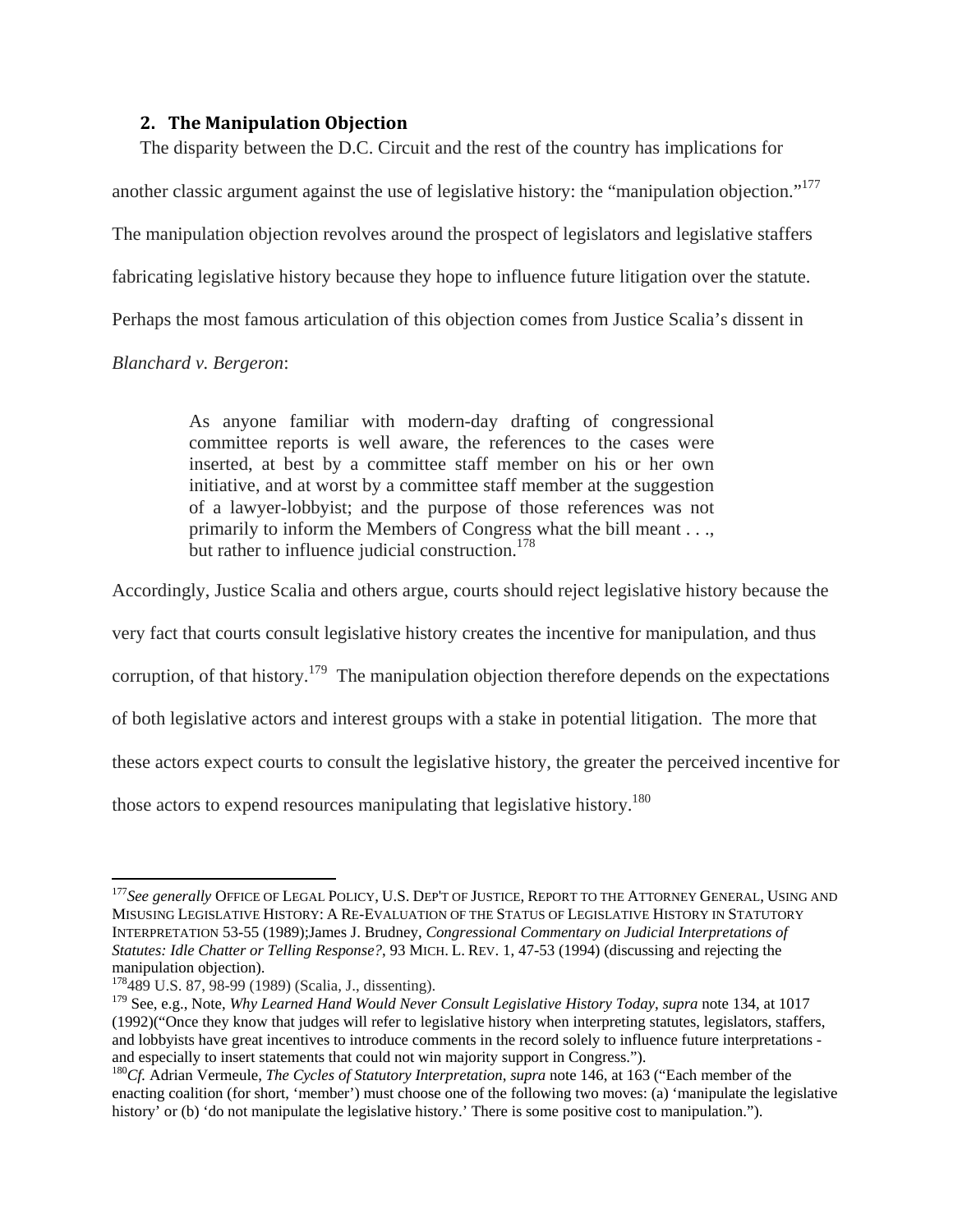#### **2. The Manipulation Objection**

The disparity between the D.C. Circuit and the rest of the country has implications for another classic argument against the use of legislative history: the "manipulation objection."177 The manipulation objection revolves around the prospect of legislators and legislative staffers fabricating legislative history because they hope to influence future litigation over the statute. Perhaps the most famous articulation of this objection comes from Justice Scalia's dissent in

*Blanchard v. Bergeron*:

As anyone familiar with modern-day drafting of congressional committee reports is well aware, the references to the cases were inserted, at best by a committee staff member on his or her own initiative, and at worst by a committee staff member at the suggestion of a lawyer-lobbyist; and the purpose of those references was not primarily to inform the Members of Congress what the bill meant . . ., but rather to influence judicial construction.<sup>178</sup>

Accordingly, Justice Scalia and others argue, courts should reject legislative history because the

very fact that courts consult legislative history creates the incentive for manipulation, and thus

corruption, of that history.<sup>179</sup> The manipulation objection therefore depends on the expectations

of both legislative actors and interest groups with a stake in potential litigation. The more that

these actors expect courts to consult the legislative history, the greater the perceived incentive for

those actors to expend resources manipulating that legislative history.<sup>180</sup>

<sup>&</sup>lt;sup>177</sup>See generally OFFICE OF LEGAL POLICY, U.S. DEP'T OF JUSTICE, REPORT TO THE ATTORNEY GENERAL, USING AND MISUSING LEGISLATIVE HISTORY: A RE-EVALUATION OF THE STATUS OF LEGISLATIVE HISTORY IN STATUTORY INTERPRETATION 53-55 (1989);James J. Brudney, *Congressional Commentary on Judicial Interpretations of Statutes: Idle Chatter or Telling Response?*, 93 MICH. L. REV. 1, 47-53 (1994) (discussing and rejecting the manipulation objection).

<sup>178489</sup> U.S. 87, 98-99 (1989) (Scalia, J., dissenting).

<sup>179</sup> See, e.g., Note, *Why Learned Hand Would Never Consult Legislative History Today*, *supra* note 134, at 1017 (1992)("Once they know that judges will refer to legislative history when interpreting statutes, legislators, staffers, and lobbyists have great incentives to introduce comments in the record solely to influence future interpretations and especially to insert statements that could not win majority support in Congress."). 180*Cf.* Adrian Vermeule, *The Cycles of Statutory Interpretation*, *supra* note 146, at 163 ("Each member of the

enacting coalition (for short, 'member') must choose one of the following two moves: (a) 'manipulate the legislative history' or (b) 'do not manipulate the legislative history.' There is some positive cost to manipulation.").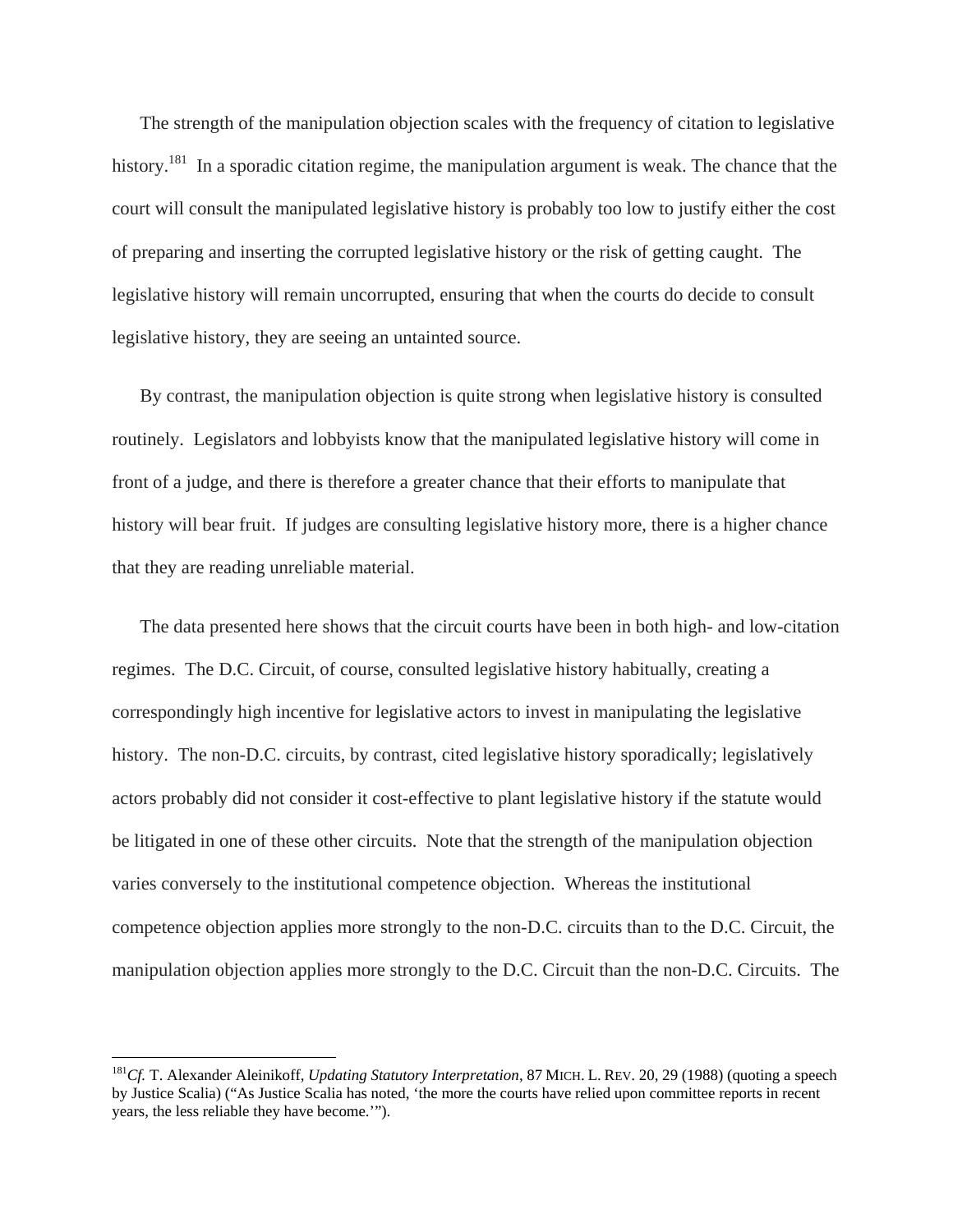The strength of the manipulation objection scales with the frequency of citation to legislative history.<sup>181</sup> In a sporadic citation regime, the manipulation argument is weak. The chance that the court will consult the manipulated legislative history is probably too low to justify either the cost of preparing and inserting the corrupted legislative history or the risk of getting caught. The legislative history will remain uncorrupted, ensuring that when the courts do decide to consult legislative history, they are seeing an untainted source.

By contrast, the manipulation objection is quite strong when legislative history is consulted routinely. Legislators and lobbyists know that the manipulated legislative history will come in front of a judge, and there is therefore a greater chance that their efforts to manipulate that history will bear fruit. If judges are consulting legislative history more, there is a higher chance that they are reading unreliable material.

The data presented here shows that the circuit courts have been in both high- and low-citation regimes. The D.C. Circuit, of course, consulted legislative history habitually, creating a correspondingly high incentive for legislative actors to invest in manipulating the legislative history. The non-D.C. circuits, by contrast, cited legislative history sporadically; legislatively actors probably did not consider it cost-effective to plant legislative history if the statute would be litigated in one of these other circuits. Note that the strength of the manipulation objection varies conversely to the institutional competence objection. Whereas the institutional competence objection applies more strongly to the non-D.C. circuits than to the D.C. Circuit, the manipulation objection applies more strongly to the D.C. Circuit than the non-D.C. Circuits. The

1

<sup>181</sup>*Cf.* T. Alexander Aleinikoff, *Updating Statutory Interpretation*, 87 MICH. L. REV. 20, 29 (1988) (quoting a speech by Justice Scalia) ("As Justice Scalia has noted, 'the more the courts have relied upon committee reports in recent years, the less reliable they have become.'").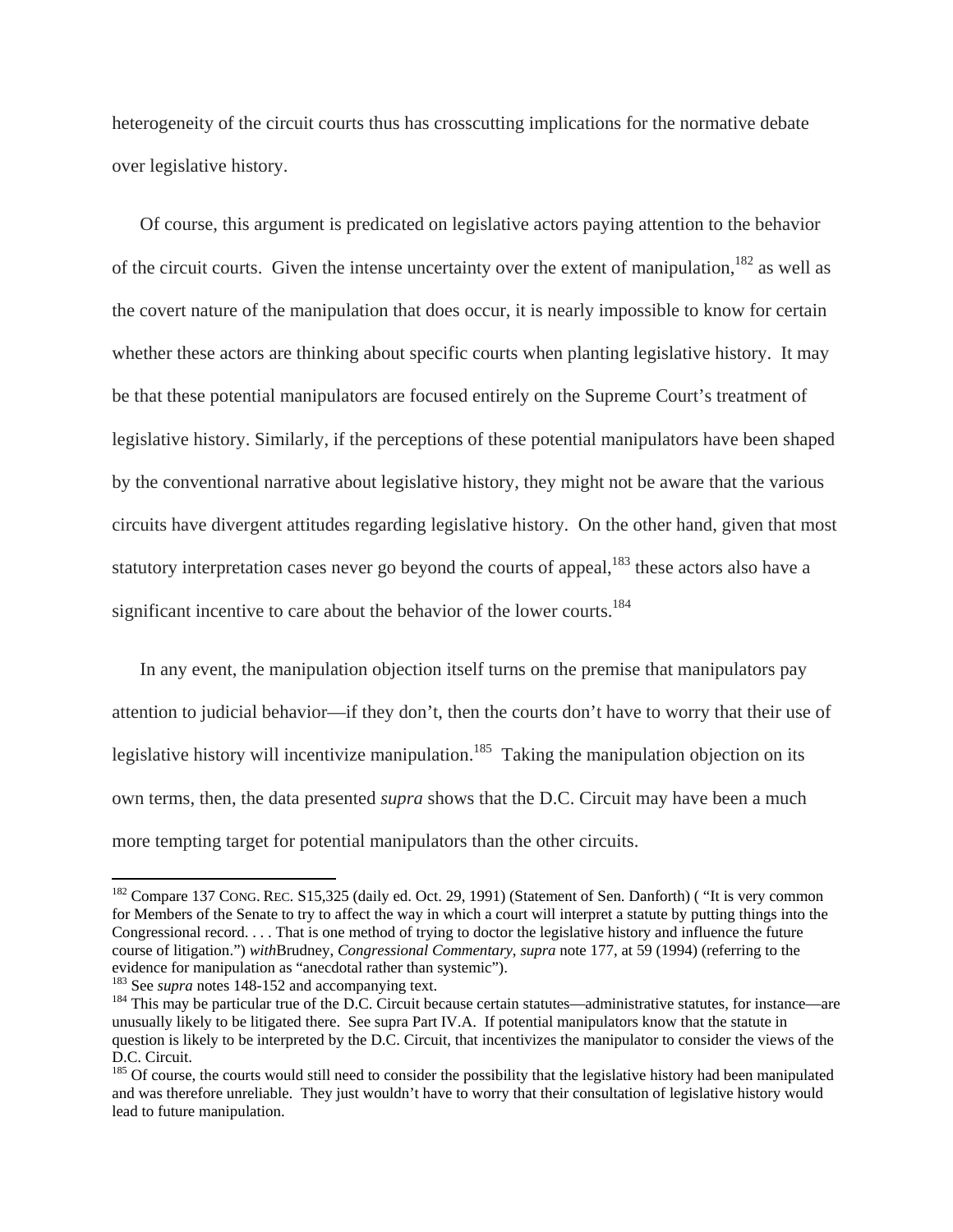heterogeneity of the circuit courts thus has crosscutting implications for the normative debate over legislative history.

Of course, this argument is predicated on legislative actors paying attention to the behavior of the circuit courts. Given the intense uncertainty over the extent of manipulation,  $^{182}$  as well as the covert nature of the manipulation that does occur, it is nearly impossible to know for certain whether these actors are thinking about specific courts when planting legislative history. It may be that these potential manipulators are focused entirely on the Supreme Court's treatment of legislative history. Similarly, if the perceptions of these potential manipulators have been shaped by the conventional narrative about legislative history, they might not be aware that the various circuits have divergent attitudes regarding legislative history. On the other hand, given that most statutory interpretation cases never go beyond the courts of appeal,<sup>183</sup> these actors also have a significant incentive to care about the behavior of the lower courts.<sup>184</sup>

In any event, the manipulation objection itself turns on the premise that manipulators pay attention to judicial behavior—if they don't, then the courts don't have to worry that their use of legislative history will incentivize manipulation.<sup>185</sup> Taking the manipulation objection on its own terms, then, the data presented *supra* shows that the D.C. Circuit may have been a much more tempting target for potential manipulators than the other circuits.

<sup>&</sup>lt;sup>182</sup> Compare 137 CONG. REC. S15,325 (daily ed. Oct. 29, 1991) (Statement of Sen. Danforth) ( "It is very common for Members of the Senate to try to affect the way in which a court will interpret a statute by putting things into the Congressional record. . . . That is one method of trying to doctor the legislative history and influence the future course of litigation.") *with*Brudney, *Congressional Commentary*, *supra* note 177, at 59 (1994) (referring to the

<sup>&</sup>lt;sup>183</sup> See *supra* notes 148-152 and accompanying text.<br><sup>184</sup> This may be particular true of the D.C. Circuit because certain statutes—administrative statutes, for instance—are unusually likely to be litigated there. See supra Part IV.A. If potential manipulators know that the statute in question is likely to be interpreted by the D.C. Circuit, that incentivizes the manipulator to consider the views of the D.C. Circuit.

 $185$  Of course, the courts would still need to consider the possibility that the legislative history had been manipulated and was therefore unreliable. They just wouldn't have to worry that their consultation of legislative history would lead to future manipulation.